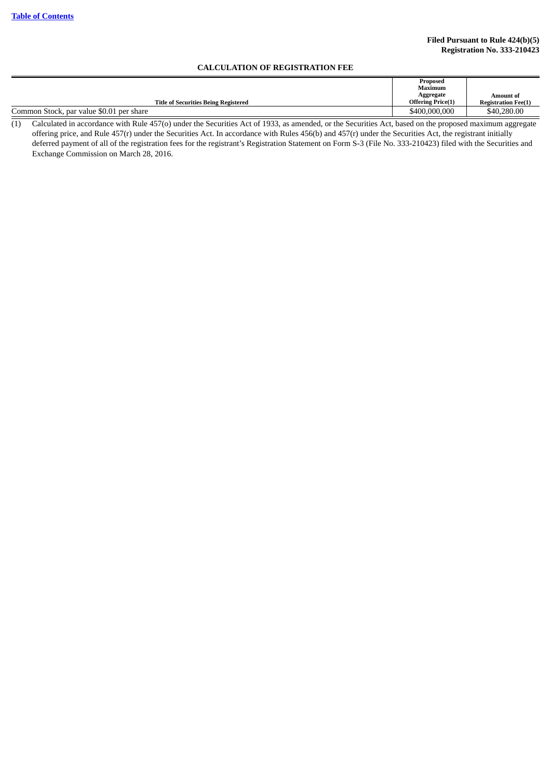## **CALCULATION OF REGISTRATION FEE**

|                                                                                                                                                                  | Proposed                 |                            |
|------------------------------------------------------------------------------------------------------------------------------------------------------------------|--------------------------|----------------------------|
|                                                                                                                                                                  | Maximum                  |                            |
|                                                                                                                                                                  | Aggregate                | Amount of                  |
| <b>Title of Securities Being Registered</b>                                                                                                                      | <b>Offering Price(1)</b> | <b>Registration Fee(1)</b> |
| Common Stock, par value \$0.01 per share                                                                                                                         | \$400,000,000            | \$40,280.00                |
| Colorador accordance with Britt 457(a) and article Committee Auto £ 1099, as sampled as the Committee Autoback and an absolutional commission opportunity<br>(1) |                          |                            |

(1) Calculated in accordance with Rule 457(o) under the Securities Act of 1933, as amended, or the Securities Act, based on the proposed maximum aggregate offering price, and Rule 457(r) under the Securities Act. In accordance with Rules 456(b) and 457(r) under the Securities Act, the registrant initially deferred payment of all of the registration fees for the registrant's Registration Statement on Form S-3 (File No. 333-210423) filed with the Securities and Exchange Commission on March 28, 2016.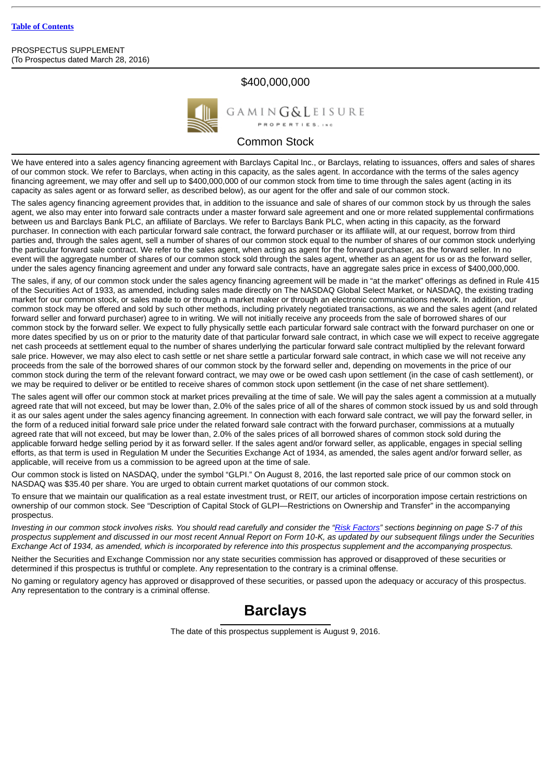#### PROSPECTUS SUPPLEMENT (To Prospectus dated March 28, 2016)

## \$400,000,000



**GAMING&LEISURE** PROPERTIES. INC.

## Common Stock

We have entered into a sales agency financing agreement with Barclays Capital Inc., or Barclays, relating to issuances, offers and sales of shares of our common stock. We refer to Barclays, when acting in this capacity, as the sales agent. In accordance with the terms of the sales agency financing agreement, we may offer and sell up to \$400,000,000 of our common stock from time to time through the sales agent (acting in its capacity as sales agent or as forward seller, as described below), as our agent for the offer and sale of our common stock.

The sales agency financing agreement provides that, in addition to the issuance and sale of shares of our common stock by us through the sales agent, we also may enter into forward sale contracts under a master forward sale agreement and one or more related supplemental confirmations between us and Barclays Bank PLC, an affiliate of Barclays. We refer to Barclays Bank PLC, when acting in this capacity, as the forward purchaser. In connection with each particular forward sale contract, the forward purchaser or its affiliate will, at our request, borrow from third parties and, through the sales agent, sell a number of shares of our common stock equal to the number of shares of our common stock underlying the particular forward sale contract. We refer to the sales agent, when acting as agent for the forward purchaser, as the forward seller. In no event will the aggregate number of shares of our common stock sold through the sales agent, whether as an agent for us or as the forward seller, under the sales agency financing agreement and under any forward sale contracts, have an aggregate sales price in excess of \$400,000,000.

The sales, if any, of our common stock under the sales agency financing agreement will be made in "at the market" offerings as defined in Rule 415 of the Securities Act of 1933, as amended, including sales made directly on The NASDAQ Global Select Market, or NASDAQ, the existing trading market for our common stock, or sales made to or through a market maker or through an electronic communications network. In addition, our common stock may be offered and sold by such other methods, including privately negotiated transactions, as we and the sales agent (and related forward seller and forward purchaser) agree to in writing. We will not initially receive any proceeds from the sale of borrowed shares of our common stock by the forward seller. We expect to fully physically settle each particular forward sale contract with the forward purchaser on one or more dates specified by us on or prior to the maturity date of that particular forward sale contract, in which case we will expect to receive aggregate net cash proceeds at settlement equal to the number of shares underlying the particular forward sale contract multiplied by the relevant forward sale price. However, we may also elect to cash settle or net share settle a particular forward sale contract, in which case we will not receive any proceeds from the sale of the borrowed shares of our common stock by the forward seller and, depending on movements in the price of our common stock during the term of the relevant forward contract, we may owe or be owed cash upon settlement (in the case of cash settlement), or we may be required to deliver or be entitled to receive shares of common stock upon settlement (in the case of net share settlement).

The sales agent will offer our common stock at market prices prevailing at the time of sale. We will pay the sales agent a commission at a mutually agreed rate that will not exceed, but may be lower than, 2.0% of the sales price of all of the shares of common stock issued by us and sold through it as our sales agent under the sales agency financing agreement. In connection with each forward sale contract, we will pay the forward seller, in the form of a reduced initial forward sale price under the related forward sale contract with the forward purchaser, commissions at a mutually agreed rate that will not exceed, but may be lower than, 2.0% of the sales prices of all borrowed shares of common stock sold during the applicable forward hedge selling period by it as forward seller. If the sales agent and/or forward seller, as applicable, engages in special selling efforts, as that term is used in Regulation M under the Securities Exchange Act of 1934, as amended, the sales agent and/or forward seller, as applicable, will receive from us a commission to be agreed upon at the time of sale.

Our common stock is listed on NASDAQ, under the symbol "GLPI." On August 8, 2016, the last reported sale price of our common stock on NASDAQ was \$35.40 per share. You are urged to obtain current market quotations of our common stock.

To ensure that we maintain our qualification as a real estate investment trust, or REIT, our articles of incorporation impose certain restrictions on ownership of our common stock. See "Description of Capital Stock of GLPI—Restrictions on Ownership and Transfer" in the accompanying prospectus.

*Investing in our common stock involves risks. You should read carefully and consider the "[Risk Factors"](#page-9-0) sections beginning on page S-7 of this prospectus supplement and discussed in our most recent Annual Report on Form 10-K, as updated by our subsequent filings under the Securities Exchange Act of 1934, as amended, which is incorporated by reference into this prospectus supplement and the accompanying prospectus.*

Neither the Securities and Exchange Commission nor any state securities commission has approved or disapproved of these securities or determined if this prospectus is truthful or complete. Any representation to the contrary is a criminal offense.

No gaming or regulatory agency has approved or disapproved of these securities, or passed upon the adequacy or accuracy of this prospectus. Any representation to the contrary is a criminal offense.

## **Barclays**

The date of this prospectus supplement is August 9, 2016.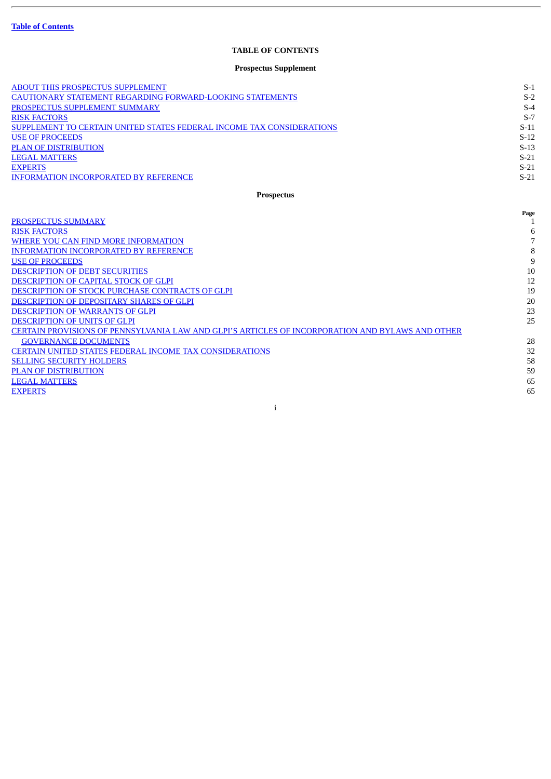## **TABLE OF CONTENTS**

## **Prospectus Supplement**

<span id="page-2-0"></span>

| <b>ABOUT THIS PROSPECTUS SUPPLEMENT</b>                                                          | $S-1$  |
|--------------------------------------------------------------------------------------------------|--------|
| <b>CAUTIONARY STATEMENT REGARDING FORWARD-LOOKING STATEMENTS</b>                                 | $S-2$  |
| PROSPECTUS SUPPLEMENT SUMMARY                                                                    | $S-4$  |
| <b>RISK FACTORS</b>                                                                              | $S-7$  |
| SUPPLEMENT TO CERTAIN UNITED STATES FEDERAL INCOME TAX CONSIDERATIONS                            | $S-11$ |
| <b>USE OF PROCEEDS</b>                                                                           | $S-12$ |
| PLAN OF DISTRIBUTION                                                                             | $S-13$ |
| <b>LEGAL MATTERS</b>                                                                             | $S-21$ |
| <b>EXPERTS</b>                                                                                   | $S-21$ |
| <b>INFORMATION INCORPORATED BY REFERENCE</b>                                                     | $S-21$ |
| <b>Prospectus</b>                                                                                |        |
|                                                                                                  | Page   |
| PROSPECTUS SUMMARY                                                                               | 1      |
| <b>RISK FACTORS</b>                                                                              | 6      |
| WHERE YOU CAN FIND MORE INFORMATION                                                              | 7      |
| <b>INFORMATION INCORPORATED BY REFERENCE</b>                                                     | 8      |
| <b>USE OF PROCEEDS</b>                                                                           | 9      |
| <b>DESCRIPTION OF DEBT SECURITIES</b>                                                            | 10     |
| DESCRIPTION OF CAPITAL STOCK OF GLPI                                                             | 12     |
| DESCRIPTION OF STOCK PURCHASE CONTRACTS OF GLPI                                                  | 19     |
| DESCRIPTION OF DEPOSITARY SHARES OF GLPI                                                         | 20     |
| <b>DESCRIPTION OF WARRANTS OF GLPI</b>                                                           | 23     |
| <b>DESCRIPTION OF UNITS OF GLPI</b>                                                              | 25     |
| CERTAIN PROVISIONS OF PENNSYLVANIA LAW AND GLPI'S ARTICLES OF INCORPORATION AND BYLAWS AND OTHER |        |
| <b>GOVERNANCE DOCUMENTS</b>                                                                      | 28     |
| <b>CERTAIN UNITED STATES FEDERAL INCOME TAX CONSIDERATIONS</b>                                   | 32     |
| <b>SELLING SECURITY HOLDERS</b>                                                                  | 58     |
| <b>PLAN OF DISTRIBUTION</b>                                                                      | 59     |
| <b>LEGAL MATTERS</b>                                                                             | 65     |
| <b>EXPERTS</b>                                                                                   | 65     |

i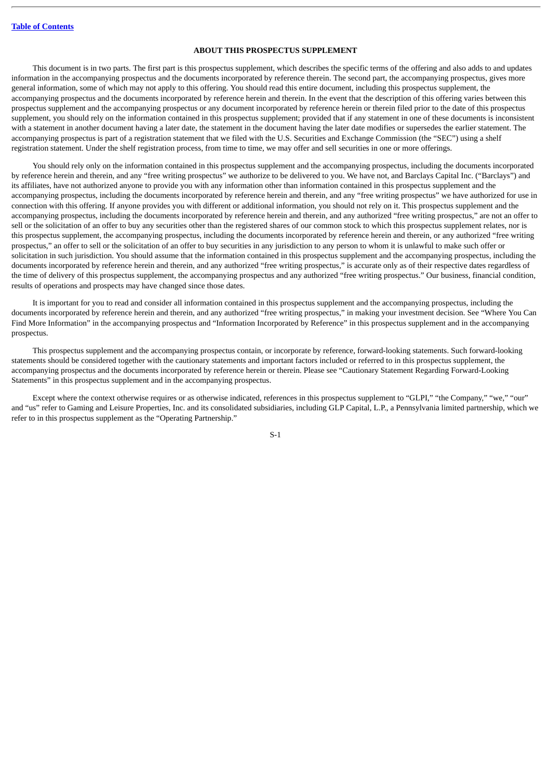## **ABOUT THIS PROSPECTUS SUPPLEMENT**

<span id="page-3-0"></span>This document is in two parts. The first part is this prospectus supplement, which describes the specific terms of the offering and also adds to and updates information in the accompanying prospectus and the documents incorporated by reference therein. The second part, the accompanying prospectus, gives more general information, some of which may not apply to this offering. You should read this entire document, including this prospectus supplement, the accompanying prospectus and the documents incorporated by reference herein and therein. In the event that the description of this offering varies between this prospectus supplement and the accompanying prospectus or any document incorporated by reference herein or therein filed prior to the date of this prospectus supplement, you should rely on the information contained in this prospectus supplement; provided that if any statement in one of these documents is inconsistent with a statement in another document having a later date, the statement in the document having the later date modifies or supersedes the earlier statement. The accompanying prospectus is part of a registration statement that we filed with the U.S. Securities and Exchange Commission (the "SEC") using a shelf registration statement. Under the shelf registration process, from time to time, we may offer and sell securities in one or more offerings.

You should rely only on the information contained in this prospectus supplement and the accompanying prospectus, including the documents incorporated by reference herein and therein, and any "free writing prospectus" we authorize to be delivered to you. We have not, and Barclays Capital Inc. ("Barclays") and its affiliates, have not authorized anyone to provide you with any information other than information contained in this prospectus supplement and the accompanying prospectus, including the documents incorporated by reference herein and therein, and any "free writing prospectus" we have authorized for use in connection with this offering. If anyone provides you with different or additional information, you should not rely on it. This prospectus supplement and the accompanying prospectus, including the documents incorporated by reference herein and therein, and any authorized "free writing prospectus," are not an offer to sell or the solicitation of an offer to buy any securities other than the registered shares of our common stock to which this prospectus supplement relates, nor is this prospectus supplement, the accompanying prospectus, including the documents incorporated by reference herein and therein, or any authorized "free writing prospectus," an offer to sell or the solicitation of an offer to buy securities in any jurisdiction to any person to whom it is unlawful to make such offer or solicitation in such jurisdiction. You should assume that the information contained in this prospectus supplement and the accompanying prospectus, including the documents incorporated by reference herein and therein, and any authorized "free writing prospectus," is accurate only as of their respective dates regardless of the time of delivery of this prospectus supplement, the accompanying prospectus and any authorized "free writing prospectus." Our business, financial condition, results of operations and prospects may have changed since those dates.

It is important for you to read and consider all information contained in this prospectus supplement and the accompanying prospectus, including the documents incorporated by reference herein and therein, and any authorized "free writing prospectus," in making your investment decision. See "Where You Can Find More Information" in the accompanying prospectus and "Information Incorporated by Reference" in this prospectus supplement and in the accompanying prospectus.

This prospectus supplement and the accompanying prospectus contain, or incorporate by reference, forward-looking statements. Such forward-looking statements should be considered together with the cautionary statements and important factors included or referred to in this prospectus supplement, the accompanying prospectus and the documents incorporated by reference herein or therein. Please see "Cautionary Statement Regarding Forward-Looking Statements" in this prospectus supplement and in the accompanying prospectus.

Except where the context otherwise requires or as otherwise indicated, references in this prospectus supplement to "GLPI," "the Company," "we," "our" and "us" refer to Gaming and Leisure Properties, Inc. and its consolidated subsidiaries, including GLP Capital, L.P., a Pennsylvania limited partnership, which we refer to in this prospectus supplement as the "Operating Partnership."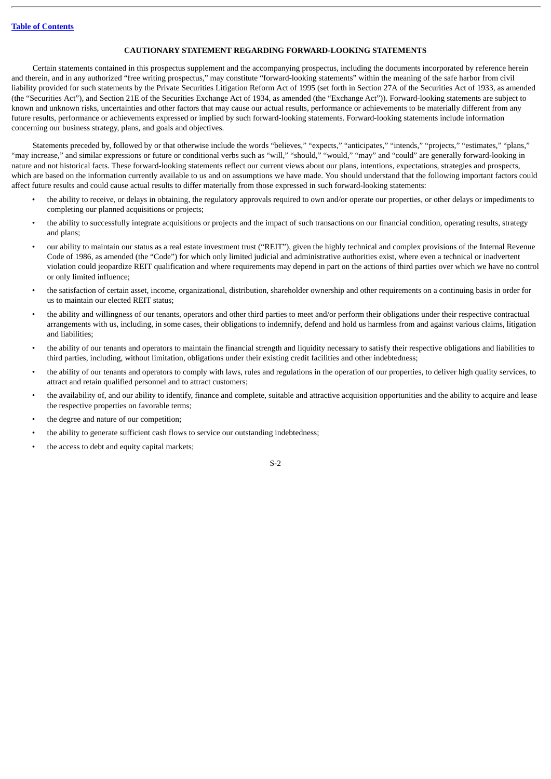#### **CAUTIONARY STATEMENT REGARDING FORWARD-LOOKING STATEMENTS**

<span id="page-4-0"></span>Certain statements contained in this prospectus supplement and the accompanying prospectus, including the documents incorporated by reference herein and therein, and in any authorized "free writing prospectus," may constitute "forward-looking statements" within the meaning of the safe harbor from civil liability provided for such statements by the Private Securities Litigation Reform Act of 1995 (set forth in Section 27A of the Securities Act of 1933, as amended (the "Securities Act"), and Section 21E of the Securities Exchange Act of 1934, as amended (the "Exchange Act")). Forward-looking statements are subject to known and unknown risks, uncertainties and other factors that may cause our actual results, performance or achievements to be materially different from any future results, performance or achievements expressed or implied by such forward-looking statements. Forward-looking statements include information concerning our business strategy, plans, and goals and objectives.

Statements preceded by, followed by or that otherwise include the words "believes," "expects," "anticipates," "intends," "projects," "estimates," "plans," "may increase," and similar expressions or future or conditional verbs such as "will," "should," "would," "may" and "could" are generally forward-looking in nature and not historical facts. These forward-looking statements reflect our current views about our plans, intentions, expectations, strategies and prospects, which are based on the information currently available to us and on assumptions we have made. You should understand that the following important factors could affect future results and could cause actual results to differ materially from those expressed in such forward-looking statements:

- the ability to receive, or delays in obtaining, the regulatory approvals required to own and/or operate our properties, or other delays or impediments to completing our planned acquisitions or projects;
- the ability to successfully integrate acquisitions or projects and the impact of such transactions on our financial condition, operating results, strategy and plans;
- our ability to maintain our status as a real estate investment trust ("REIT"), given the highly technical and complex provisions of the Internal Revenue Code of 1986, as amended (the "Code") for which only limited judicial and administrative authorities exist, where even a technical or inadvertent violation could jeopardize REIT qualification and where requirements may depend in part on the actions of third parties over which we have no control or only limited influence;
- the satisfaction of certain asset, income, organizational, distribution, shareholder ownership and other requirements on a continuing basis in order for us to maintain our elected REIT status;
- the ability and willingness of our tenants, operators and other third parties to meet and/or perform their obligations under their respective contractual arrangements with us, including, in some cases, their obligations to indemnify, defend and hold us harmless from and against various claims, litigation and liabilities;
- the ability of our tenants and operators to maintain the financial strength and liquidity necessary to satisfy their respective obligations and liabilities to third parties, including, without limitation, obligations under their existing credit facilities and other indebtedness;
- the ability of our tenants and operators to comply with laws, rules and regulations in the operation of our properties, to deliver high quality services, to attract and retain qualified personnel and to attract customers;
- the availability of, and our ability to identify, finance and complete, suitable and attractive acquisition opportunities and the ability to acquire and lease the respective properties on favorable terms;
- the degree and nature of our competition;
- the ability to generate sufficient cash flows to service our outstanding indebtedness;
- the access to debt and equity capital markets;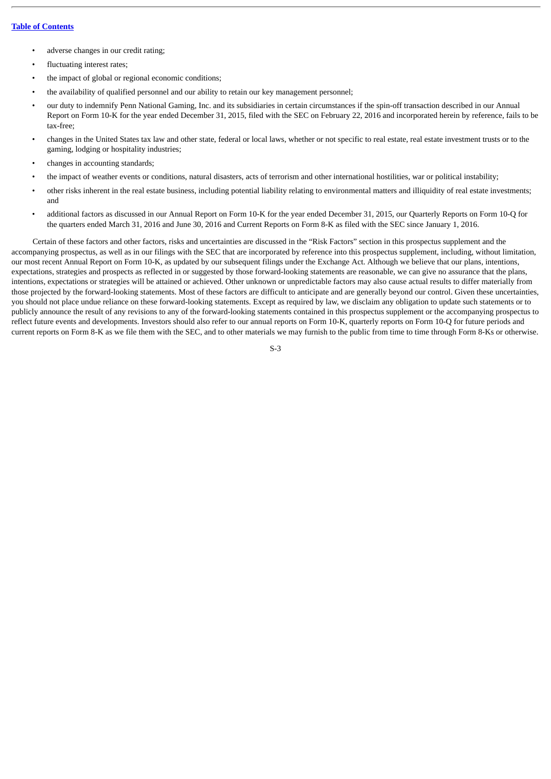- adverse changes in our credit rating;
- fluctuating interest rates;
- the impact of global or regional economic conditions;
- the availability of qualified personnel and our ability to retain our key management personnel;
- our duty to indemnify Penn National Gaming, Inc. and its subsidiaries in certain circumstances if the spin-off transaction described in our Annual Report on Form 10-K for the year ended December 31, 2015, filed with the SEC on February 22, 2016 and incorporated herein by reference, fails to be tax-free;
- changes in the United States tax law and other state, federal or local laws, whether or not specific to real estate, real estate investment trusts or to the gaming, lodging or hospitality industries;
- changes in accounting standards;
- the impact of weather events or conditions, natural disasters, acts of terrorism and other international hostilities, war or political instability;
- other risks inherent in the real estate business, including potential liability relating to environmental matters and illiquidity of real estate investments; and
- additional factors as discussed in our Annual Report on Form 10-K for the year ended December 31, 2015, our Quarterly Reports on Form 10-Q for the quarters ended March 31, 2016 and June 30, 2016 and Current Reports on Form 8-K as filed with the SEC since January 1, 2016.

Certain of these factors and other factors, risks and uncertainties are discussed in the "Risk Factors" section in this prospectus supplement and the accompanying prospectus, as well as in our filings with the SEC that are incorporated by reference into this prospectus supplement, including, without limitation, our most recent Annual Report on Form 10-K*,* as updated by our subsequent filings under the Exchange Act. Although we believe that our plans, intentions, expectations, strategies and prospects as reflected in or suggested by those forward-looking statements are reasonable, we can give no assurance that the plans, intentions, expectations or strategies will be attained or achieved. Other unknown or unpredictable factors may also cause actual results to differ materially from those projected by the forward-looking statements. Most of these factors are difficult to anticipate and are generally beyond our control. Given these uncertainties, you should not place undue reliance on these forward-looking statements. Except as required by law, we disclaim any obligation to update such statements or to publicly announce the result of any revisions to any of the forward-looking statements contained in this prospectus supplement or the accompanying prospectus to reflect future events and developments. Investors should also refer to our annual reports on Form 10-K, quarterly reports on Form 10-Q for future periods and current reports on Form 8-K as we file them with the SEC, and to other materials we may furnish to the public from time to time through Form 8-Ks or otherwise.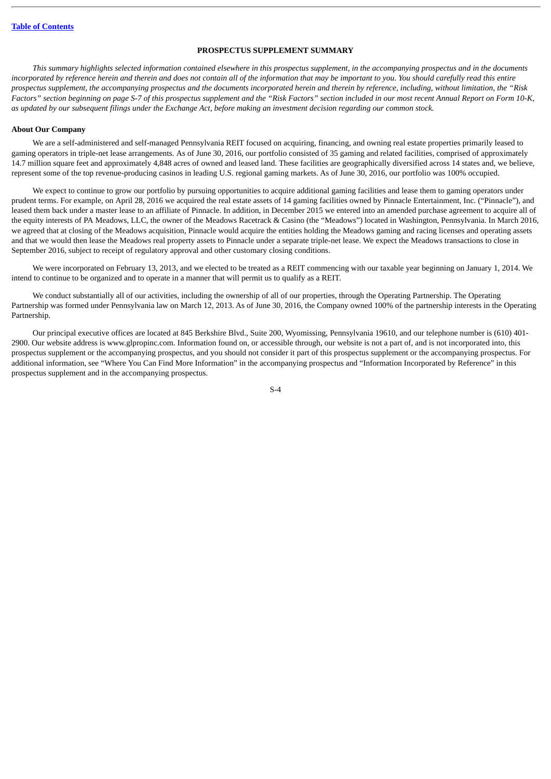#### **PROSPECTUS SUPPLEMENT SUMMARY**

<span id="page-6-0"></span>*This summary highlights selected information contained elsewhere in this prospectus supplement, in the accompanying prospectus and in the documents incorporated by reference herein and therein and does not contain all of the information that may be important to you. You should carefully read this entire prospectus supplement, the accompanying prospectus and the documents incorporated herein and therein by reference, including, without limitation, the "Risk Factors" section beginning on page S-7 of this prospectus supplement and the "Risk Factors" section included in our most recent Annual Report on Form 10-K, as updated by our subsequent filings under the Exchange Act, before making an investment decision regarding our common stock.*

#### **About Our Company**

We are a self-administered and self-managed Pennsylvania REIT focused on acquiring, financing, and owning real estate properties primarily leased to gaming operators in triple-net lease arrangements. As of June 30, 2016, our portfolio consisted of 35 gaming and related facilities, comprised of approximately 14.7 million square feet and approximately 4,848 acres of owned and leased land. These facilities are geographically diversified across 14 states and, we believe, represent some of the top revenue-producing casinos in leading U.S. regional gaming markets. As of June 30, 2016, our portfolio was 100% occupied.

We expect to continue to grow our portfolio by pursuing opportunities to acquire additional gaming facilities and lease them to gaming operators under prudent terms. For example, on April 28, 2016 we acquired the real estate assets of 14 gaming facilities owned by Pinnacle Entertainment, Inc. ("Pinnacle"), and leased them back under a master lease to an affiliate of Pinnacle. In addition, in December 2015 we entered into an amended purchase agreement to acquire all of the equity interests of PA Meadows, LLC, the owner of the Meadows Racetrack & Casino (the "Meadows") located in Washington, Pennsylvania. In March 2016, we agreed that at closing of the Meadows acquisition, Pinnacle would acquire the entities holding the Meadows gaming and racing licenses and operating assets and that we would then lease the Meadows real property assets to Pinnacle under a separate triple-net lease. We expect the Meadows transactions to close in September 2016, subject to receipt of regulatory approval and other customary closing conditions.

We were incorporated on February 13, 2013, and we elected to be treated as a REIT commencing with our taxable year beginning on January 1, 2014. We intend to continue to be organized and to operate in a manner that will permit us to qualify as a REIT.

We conduct substantially all of our activities, including the ownership of all of our properties, through the Operating Partnership. The Operating Partnership was formed under Pennsylvania law on March 12, 2013. As of June 30, 2016, the Company owned 100% of the partnership interests in the Operating Partnership.

Our principal executive offices are located at 845 Berkshire Blvd., Suite 200, Wyomissing, Pennsylvania 19610, and our telephone number is (610) 401- 2900. Our website address is www.glpropinc.com. Information found on, or accessible through, our website is not a part of, and is not incorporated into, this prospectus supplement or the accompanying prospectus, and you should not consider it part of this prospectus supplement or the accompanying prospectus. For additional information, see "Where You Can Find More Information" in the accompanying prospectus and "Information Incorporated by Reference" in this prospectus supplement and in the accompanying prospectus.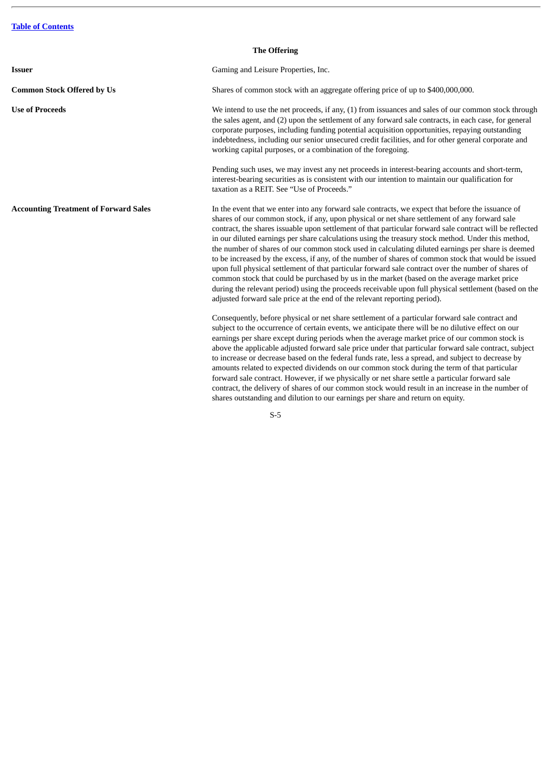| <b>The Offering</b>                          |                                                                                                                                                                                                                                                                                                                                                                                                                                                                                                                                                                                                                                                                                                                                                                                                                                                                                                                                                                                                                              |  |  |
|----------------------------------------------|------------------------------------------------------------------------------------------------------------------------------------------------------------------------------------------------------------------------------------------------------------------------------------------------------------------------------------------------------------------------------------------------------------------------------------------------------------------------------------------------------------------------------------------------------------------------------------------------------------------------------------------------------------------------------------------------------------------------------------------------------------------------------------------------------------------------------------------------------------------------------------------------------------------------------------------------------------------------------------------------------------------------------|--|--|
| <b>Issuer</b>                                | Gaming and Leisure Properties, Inc.                                                                                                                                                                                                                                                                                                                                                                                                                                                                                                                                                                                                                                                                                                                                                                                                                                                                                                                                                                                          |  |  |
| <b>Common Stock Offered by Us</b>            | Shares of common stock with an aggregate offering price of up to \$400,000,000.                                                                                                                                                                                                                                                                                                                                                                                                                                                                                                                                                                                                                                                                                                                                                                                                                                                                                                                                              |  |  |
| <b>Use of Proceeds</b>                       | We intend to use the net proceeds, if any, (1) from issuances and sales of our common stock through<br>the sales agent, and (2) upon the settlement of any forward sale contracts, in each case, for general<br>corporate purposes, including funding potential acquisition opportunities, repaying outstanding<br>indebtedness, including our senior unsecured credit facilities, and for other general corporate and<br>working capital purposes, or a combination of the foregoing.                                                                                                                                                                                                                                                                                                                                                                                                                                                                                                                                       |  |  |
|                                              | Pending such uses, we may invest any net proceeds in interest-bearing accounts and short-term,<br>interest-bearing securities as is consistent with our intention to maintain our qualification for<br>taxation as a REIT. See "Use of Proceeds."                                                                                                                                                                                                                                                                                                                                                                                                                                                                                                                                                                                                                                                                                                                                                                            |  |  |
| <b>Accounting Treatment of Forward Sales</b> | In the event that we enter into any forward sale contracts, we expect that before the issuance of<br>shares of our common stock, if any, upon physical or net share settlement of any forward sale<br>contract, the shares issuable upon settlement of that particular forward sale contract will be reflected<br>in our diluted earnings per share calculations using the treasury stock method. Under this method,<br>the number of shares of our common stock used in calculating diluted earnings per share is deemed<br>to be increased by the excess, if any, of the number of shares of common stock that would be issued<br>upon full physical settlement of that particular forward sale contract over the number of shares of<br>common stock that could be purchased by us in the market (based on the average market price<br>during the relevant period) using the proceeds receivable upon full physical settlement (based on the<br>adjusted forward sale price at the end of the relevant reporting period). |  |  |
|                                              | Consequently, before physical or net share settlement of a particular forward sale contract and<br>subject to the occurrence of certain events, we anticipate there will be no dilutive effect on our<br>earnings per share except during periods when the average market price of our common stock is<br>above the applicable adjusted forward sale price under that particular forward sale contract, subject<br>to increase or decrease based on the federal funds rate, less a spread, and subject to decrease by<br>amounts related to expected dividends on our common stock during the term of that particular<br>forward sale contract. However, if we physically or net share settle a particular forward sale                                                                                                                                                                                                                                                                                                      |  |  |

S-5

contract, the delivery of shares of our common stock would result in an increase in the number of

shares outstanding and dilution to our earnings per share and return on equity.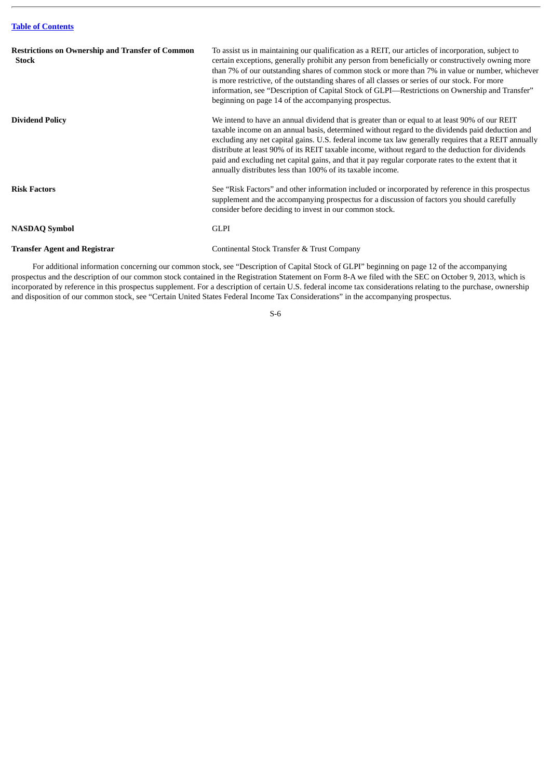| <b>Restrictions on Ownership and Transfer of Common</b><br><b>Stock</b> | To assist us in maintaining our qualification as a REIT, our articles of incorporation, subject to<br>certain exceptions, generally prohibit any person from beneficially or constructively owning more<br>than 7% of our outstanding shares of common stock or more than 7% in value or number, whichever<br>is more restrictive, of the outstanding shares of all classes or series of our stock. For more<br>information, see "Description of Capital Stock of GLPI-Restrictions on Ownership and Transfer"<br>beginning on page 14 of the accompanying prospectus.               |
|-------------------------------------------------------------------------|--------------------------------------------------------------------------------------------------------------------------------------------------------------------------------------------------------------------------------------------------------------------------------------------------------------------------------------------------------------------------------------------------------------------------------------------------------------------------------------------------------------------------------------------------------------------------------------|
| <b>Dividend Policy</b>                                                  | We intend to have an annual dividend that is greater than or equal to at least 90% of our REIT<br>taxable income on an annual basis, determined without regard to the dividends paid deduction and<br>excluding any net capital gains. U.S. federal income tax law generally requires that a REIT annually<br>distribute at least 90% of its REIT taxable income, without regard to the deduction for dividends<br>paid and excluding net capital gains, and that it pay regular corporate rates to the extent that it<br>annually distributes less than 100% of its taxable income. |
| <b>Risk Factors</b>                                                     | See "Risk Factors" and other information included or incorporated by reference in this prospectus<br>supplement and the accompanying prospectus for a discussion of factors you should carefully<br>consider before deciding to invest in our common stock.                                                                                                                                                                                                                                                                                                                          |
| <b>NASDAQ Symbol</b>                                                    | <b>GLPI</b>                                                                                                                                                                                                                                                                                                                                                                                                                                                                                                                                                                          |
| <b>Transfer Agent and Registrar</b>                                     | Continental Stock Transfer & Trust Company                                                                                                                                                                                                                                                                                                                                                                                                                                                                                                                                           |

For additional information concerning our common stock, see "Description of Capital Stock of GLPI" beginning on page 12 of the accompanying prospectus and the description of our common stock contained in the Registration Statement on Form 8-A we filed with the SEC on October 9, 2013, which is incorporated by reference in this prospectus supplement. For a description of certain U.S. federal income tax considerations relating to the purchase, ownership and disposition of our common stock, see "Certain United States Federal Income Tax Considerations" in the accompanying prospectus.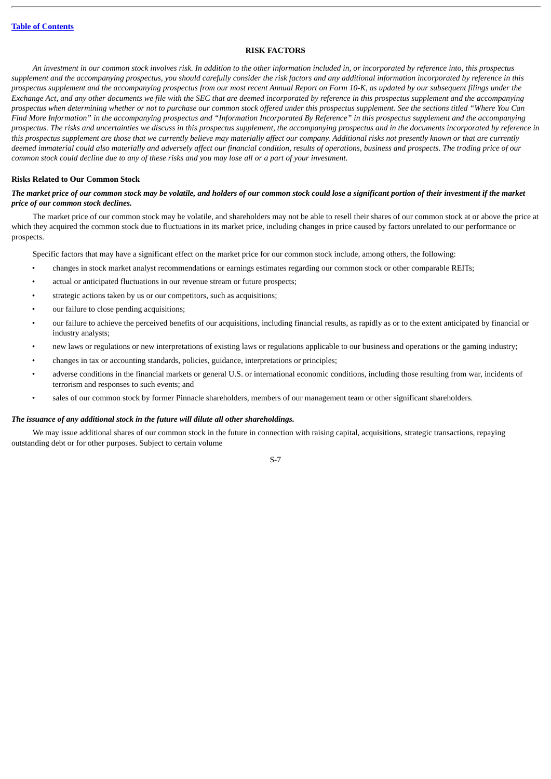#### **RISK FACTORS**

<span id="page-9-0"></span>*An investment in our common stock involves risk. In addition to the other information included in, or incorporated by reference into, this prospectus supplement and the accompanying prospectus, you should carefully consider the risk factors and any additional information incorporated by reference in this prospectus supplement and the accompanying prospectus from our most recent Annual Report on Form 10-K, as updated by our subsequent filings under the Exchange Act, and any other documents we file with the SEC that are deemed incorporated by reference in this prospectus supplement and the accompanying prospectus when determining whether or not to purchase our common stock offered under this prospectus supplement. See the sections titled "Where You Can Find More Information" in the accompanying prospectus and "Information Incorporated By Reference" in this prospectus supplement and the accompanying prospectus. The risks and uncertainties we discuss in this prospectus supplement, the accompanying prospectus and in the documents incorporated by reference in this prospectus supplement are those that we currently believe may materially affect our company. Additional risks not presently known or that are currently deemed immaterial could also materially and adversely affect our financial condition, results of operations, business and prospects. The trading price of our common stock could decline due to any of these risks and you may lose all or a part of your investment.*

#### **Risks Related to Our Common Stock**

## *The market price of our common stock may be volatile, and holders of our common stock could lose a significant portion of their investment if the market price of our common stock declines.*

The market price of our common stock may be volatile, and shareholders may not be able to resell their shares of our common stock at or above the price at which they acquired the common stock due to fluctuations in its market price, including changes in price caused by factors unrelated to our performance or prospects.

Specific factors that may have a significant effect on the market price for our common stock include, among others, the following:

- changes in stock market analyst recommendations or earnings estimates regarding our common stock or other comparable REITs;
- actual or anticipated fluctuations in our revenue stream or future prospects;
- strategic actions taken by us or our competitors, such as acquisitions;
- our failure to close pending acquisitions;
- our failure to achieve the perceived benefits of our acquisitions, including financial results, as rapidly as or to the extent anticipated by financial or industry analysts;
- new laws or regulations or new interpretations of existing laws or regulations applicable to our business and operations or the gaming industry;
- changes in tax or accounting standards, policies, guidance, interpretations or principles;
- adverse conditions in the financial markets or general U.S. or international economic conditions, including those resulting from war, incidents of terrorism and responses to such events; and
- sales of our common stock by former Pinnacle shareholders, members of our management team or other significant shareholders.

#### *The issuance of any additional stock in the future will dilute all other shareholdings.*

We may issue additional shares of our common stock in the future in connection with raising capital, acquisitions, strategic transactions, repaying outstanding debt or for other purposes. Subject to certain volume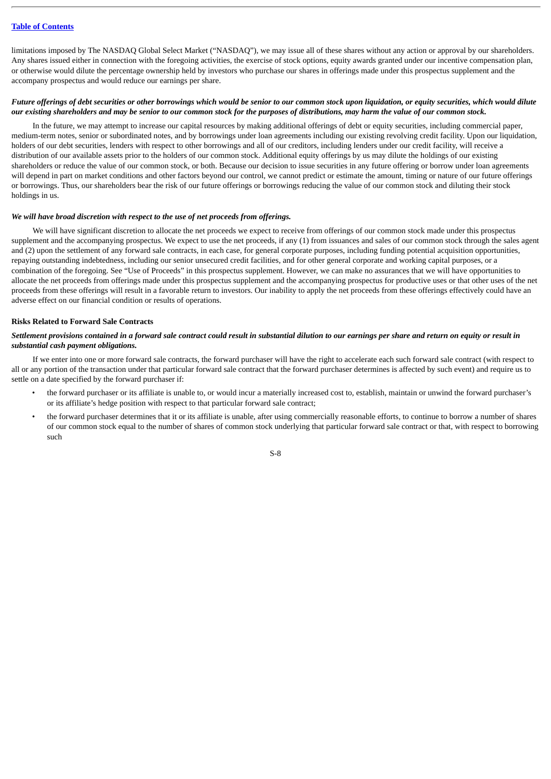limitations imposed by The NASDAQ Global Select Market ("NASDAQ"), we may issue all of these shares without any action or approval by our shareholders. Any shares issued either in connection with the foregoing activities, the exercise of stock options, equity awards granted under our incentive compensation plan, or otherwise would dilute the percentage ownership held by investors who purchase our shares in offerings made under this prospectus supplement and the accompany prospectus and would reduce our earnings per share.

#### *Future offerings of debt securities or other borrowings which would be senior to our common stock upon liquidation, or equity securities, which would dilute our existing shareholders and may be senior to our common stock for the purposes of distributions, may harm the value of our common stock.*

In the future, we may attempt to increase our capital resources by making additional offerings of debt or equity securities, including commercial paper, medium-term notes, senior or subordinated notes, and by borrowings under loan agreements including our existing revolving credit facility. Upon our liquidation, holders of our debt securities, lenders with respect to other borrowings and all of our creditors, including lenders under our credit facility, will receive a distribution of our available assets prior to the holders of our common stock. Additional equity offerings by us may dilute the holdings of our existing shareholders or reduce the value of our common stock, or both. Because our decision to issue securities in any future offering or borrow under loan agreements will depend in part on market conditions and other factors beyond our control, we cannot predict or estimate the amount, timing or nature of our future offerings or borrowings. Thus, our shareholders bear the risk of our future offerings or borrowings reducing the value of our common stock and diluting their stock holdings in us.

#### *We will have broad discretion with respect to the use of net proceeds from offerings.*

We will have significant discretion to allocate the net proceeds we expect to receive from offerings of our common stock made under this prospectus supplement and the accompanying prospectus. We expect to use the net proceeds, if any (1) from issuances and sales of our common stock through the sales agent and (2) upon the settlement of any forward sale contracts, in each case, for general corporate purposes, including funding potential acquisition opportunities, repaying outstanding indebtedness, including our senior unsecured credit facilities, and for other general corporate and working capital purposes, or a combination of the foregoing. See "Use of Proceeds" in this prospectus supplement. However, we can make no assurances that we will have opportunities to allocate the net proceeds from offerings made under this prospectus supplement and the accompanying prospectus for productive uses or that other uses of the net proceeds from these offerings will result in a favorable return to investors. Our inability to apply the net proceeds from these offerings effectively could have an adverse effect on our financial condition or results of operations.

#### **Risks Related to Forward Sale Contracts**

#### *Settlement provisions contained in a forward sale contract could result in substantial dilution to our earnings per share and return on equity or result in substantial cash payment obligations.*

If we enter into one or more forward sale contracts, the forward purchaser will have the right to accelerate each such forward sale contract (with respect to all or any portion of the transaction under that particular forward sale contract that the forward purchaser determines is affected by such event) and require us to settle on a date specified by the forward purchaser if:

- the forward purchaser or its affiliate is unable to, or would incur a materially increased cost to, establish, maintain or unwind the forward purchaser's or its affiliate's hedge position with respect to that particular forward sale contract;
- the forward purchaser determines that it or its affiliate is unable, after using commercially reasonable efforts, to continue to borrow a number of shares of our common stock equal to the number of shares of common stock underlying that particular forward sale contract or that, with respect to borrowing such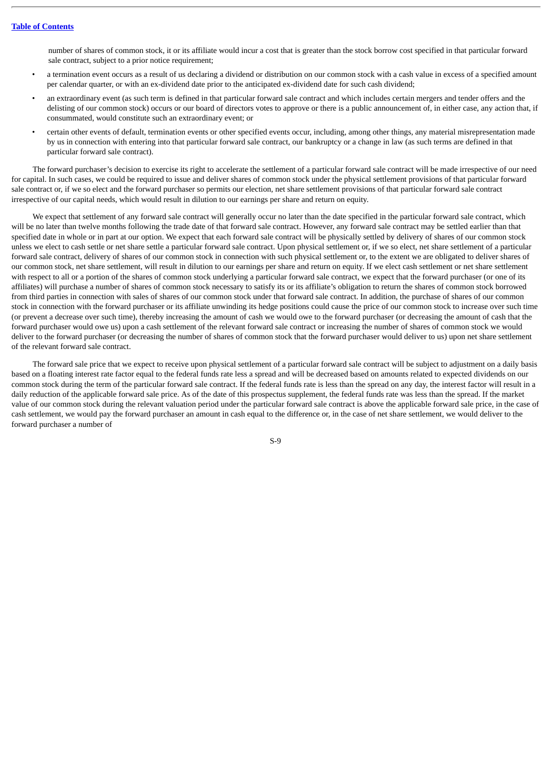number of shares of common stock, it or its affiliate would incur a cost that is greater than the stock borrow cost specified in that particular forward sale contract, subject to a prior notice requirement;

- a termination event occurs as a result of us declaring a dividend or distribution on our common stock with a cash value in excess of a specified amount per calendar quarter, or with an ex-dividend date prior to the anticipated ex-dividend date for such cash dividend;
- an extraordinary event (as such term is defined in that particular forward sale contract and which includes certain mergers and tender offers and the delisting of our common stock) occurs or our board of directors votes to approve or there is a public announcement of, in either case, any action that, if consummated, would constitute such an extraordinary event; or
- certain other events of default, termination events or other specified events occur, including, among other things, any material misrepresentation made by us in connection with entering into that particular forward sale contract, our bankruptcy or a change in law (as such terms are defined in that particular forward sale contract).

The forward purchaser's decision to exercise its right to accelerate the settlement of a particular forward sale contract will be made irrespective of our need for capital. In such cases, we could be required to issue and deliver shares of common stock under the physical settlement provisions of that particular forward sale contract or, if we so elect and the forward purchaser so permits our election, net share settlement provisions of that particular forward sale contract irrespective of our capital needs, which would result in dilution to our earnings per share and return on equity.

We expect that settlement of any forward sale contract will generally occur no later than the date specified in the particular forward sale contract, which will be no later than twelve months following the trade date of that forward sale contract. However, any forward sale contract may be settled earlier than that specified date in whole or in part at our option. We expect that each forward sale contract will be physically settled by delivery of shares of our common stock unless we elect to cash settle or net share settle a particular forward sale contract. Upon physical settlement or, if we so elect, net share settlement of a particular forward sale contract, delivery of shares of our common stock in connection with such physical settlement or, to the extent we are obligated to deliver shares of our common stock, net share settlement, will result in dilution to our earnings per share and return on equity. If we elect cash settlement or net share settlement with respect to all or a portion of the shares of common stock underlying a particular forward sale contract, we expect that the forward purchaser (or one of its affiliates) will purchase a number of shares of common stock necessary to satisfy its or its affiliate's obligation to return the shares of common stock borrowed from third parties in connection with sales of shares of our common stock under that forward sale contract. In addition, the purchase of shares of our common stock in connection with the forward purchaser or its affiliate unwinding its hedge positions could cause the price of our common stock to increase over such time (or prevent a decrease over such time), thereby increasing the amount of cash we would owe to the forward purchaser (or decreasing the amount of cash that the forward purchaser would owe us) upon a cash settlement of the relevant forward sale contract or increasing the number of shares of common stock we would deliver to the forward purchaser (or decreasing the number of shares of common stock that the forward purchaser would deliver to us) upon net share settlement of the relevant forward sale contract.

The forward sale price that we expect to receive upon physical settlement of a particular forward sale contract will be subject to adjustment on a daily basis based on a floating interest rate factor equal to the federal funds rate less a spread and will be decreased based on amounts related to expected dividends on our common stock during the term of the particular forward sale contract. If the federal funds rate is less than the spread on any day, the interest factor will result in a daily reduction of the applicable forward sale price. As of the date of this prospectus supplement, the federal funds rate was less than the spread. If the market value of our common stock during the relevant valuation period under the particular forward sale contract is above the applicable forward sale price, in the case of cash settlement, we would pay the forward purchaser an amount in cash equal to the difference or, in the case of net share settlement, we would deliver to the forward purchaser a number of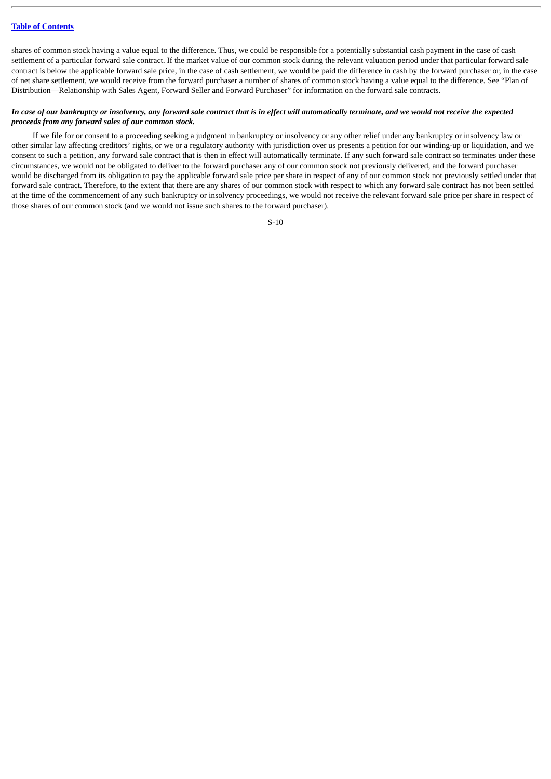shares of common stock having a value equal to the difference. Thus, we could be responsible for a potentially substantial cash payment in the case of cash settlement of a particular forward sale contract. If the market value of our common stock during the relevant valuation period under that particular forward sale contract is below the applicable forward sale price, in the case of cash settlement, we would be paid the difference in cash by the forward purchaser or, in the case of net share settlement, we would receive from the forward purchaser a number of shares of common stock having a value equal to the difference. See "Plan of Distribution—Relationship with Sales Agent, Forward Seller and Forward Purchaser" for information on the forward sale contracts.

## *In case of our bankruptcy or insolvency, any forward sale contract that is in effect will automatically terminate, and we would not receive the expected proceeds from any forward sales of our common stock.*

If we file for or consent to a proceeding seeking a judgment in bankruptcy or insolvency or any other relief under any bankruptcy or insolvency law or other similar law affecting creditors' rights, or we or a regulatory authority with jurisdiction over us presents a petition for our winding-up or liquidation, and we consent to such a petition, any forward sale contract that is then in effect will automatically terminate. If any such forward sale contract so terminates under these circumstances, we would not be obligated to deliver to the forward purchaser any of our common stock not previously delivered, and the forward purchaser would be discharged from its obligation to pay the applicable forward sale price per share in respect of any of our common stock not previously settled under that forward sale contract. Therefore, to the extent that there are any shares of our common stock with respect to which any forward sale contract has not been settled at the time of the commencement of any such bankruptcy or insolvency proceedings, we would not receive the relevant forward sale price per share in respect of those shares of our common stock (and we would not issue such shares to the forward purchaser).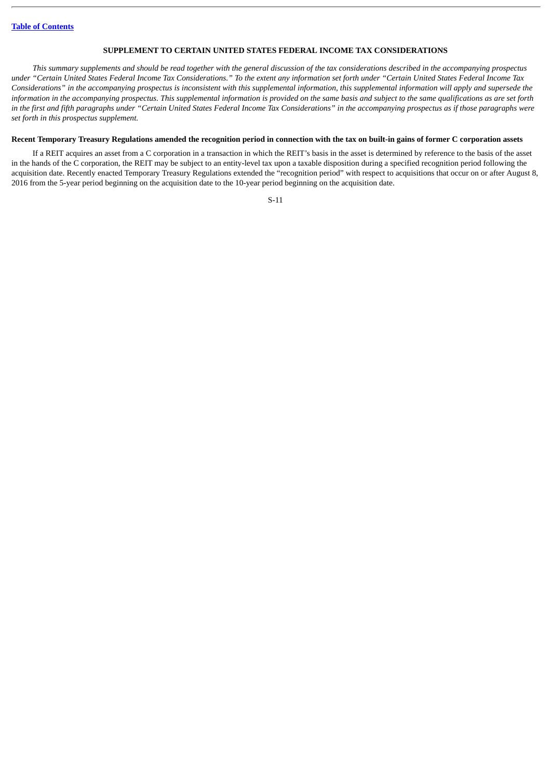## **SUPPLEMENT TO CERTAIN UNITED STATES FEDERAL INCOME TAX CONSIDERATIONS**

<span id="page-13-0"></span>*This summary supplements and should be read together with the general discussion of the tax considerations described in the accompanying prospectus under "Certain United States Federal Income Tax Considerations." To the extent any information set forth under "Certain United States Federal Income Tax Considerations" in the accompanying prospectus is inconsistent with this supplemental information, this supplemental information will apply and supersede the information in the accompanying prospectus. This supplemental information is provided on the same basis and subject to the same qualifications as are set forth in the first and fifth paragraphs under "Certain United States Federal Income Tax Considerations" in the accompanying prospectus as if those paragraphs were set forth in this prospectus supplement.*

#### **Recent Temporary Treasury Regulations amended the recognition period in connection with the tax on built-in gains of former C corporation assets**

If a REIT acquires an asset from a C corporation in a transaction in which the REIT's basis in the asset is determined by reference to the basis of the asset in the hands of the C corporation, the REIT may be subject to an entity-level tax upon a taxable disposition during a specified recognition period following the acquisition date. Recently enacted Temporary Treasury Regulations extended the "recognition period" with respect to acquisitions that occur on or after August 8, 2016 from the 5-year period beginning on the acquisition date to the 10-year period beginning on the acquisition date.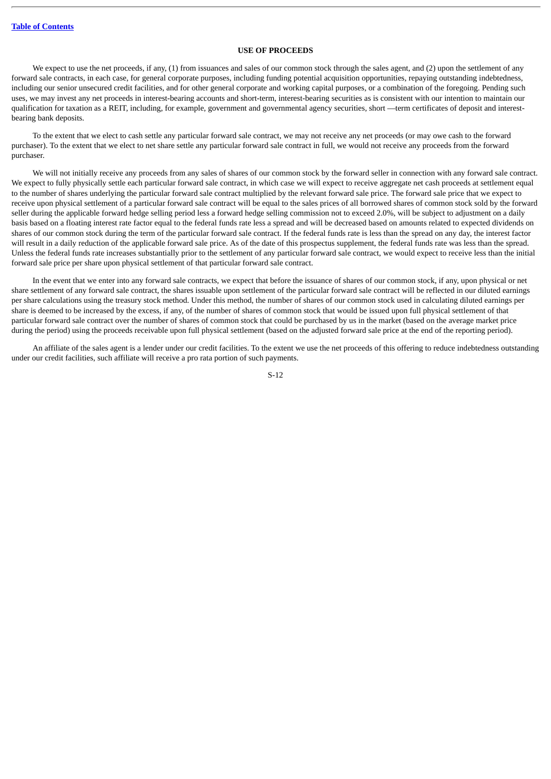#### **USE OF PROCEEDS**

<span id="page-14-0"></span>We expect to use the net proceeds, if any, (1) from issuances and sales of our common stock through the sales agent, and (2) upon the settlement of any forward sale contracts, in each case, for general corporate purposes, including funding potential acquisition opportunities, repaying outstanding indebtedness, including our senior unsecured credit facilities, and for other general corporate and working capital purposes, or a combination of the foregoing. Pending such uses, we may invest any net proceeds in interest-bearing accounts and short-term, interest-bearing securities as is consistent with our intention to maintain our qualification for taxation as a REIT, including, for example, government and governmental agency securities, short —term certificates of deposit and interestbearing bank deposits.

To the extent that we elect to cash settle any particular forward sale contract, we may not receive any net proceeds (or may owe cash to the forward purchaser). To the extent that we elect to net share settle any particular forward sale contract in full, we would not receive any proceeds from the forward purchaser.

We will not initially receive any proceeds from any sales of shares of our common stock by the forward seller in connection with any forward sale contract. We expect to fully physically settle each particular forward sale contract, in which case we will expect to receive aggregate net cash proceeds at settlement equal to the number of shares underlying the particular forward sale contract multiplied by the relevant forward sale price. The forward sale price that we expect to receive upon physical settlement of a particular forward sale contract will be equal to the sales prices of all borrowed shares of common stock sold by the forward seller during the applicable forward hedge selling period less a forward hedge selling commission not to exceed 2.0%, will be subject to adjustment on a daily basis based on a floating interest rate factor equal to the federal funds rate less a spread and will be decreased based on amounts related to expected dividends on shares of our common stock during the term of the particular forward sale contract. If the federal funds rate is less than the spread on any day, the interest factor will result in a daily reduction of the applicable forward sale price. As of the date of this prospectus supplement, the federal funds rate was less than the spread. Unless the federal funds rate increases substantially prior to the settlement of any particular forward sale contract, we would expect to receive less than the initial forward sale price per share upon physical settlement of that particular forward sale contract.

In the event that we enter into any forward sale contracts, we expect that before the issuance of shares of our common stock, if any, upon physical or net share settlement of any forward sale contract, the shares issuable upon settlement of the particular forward sale contract will be reflected in our diluted earnings per share calculations using the treasury stock method. Under this method, the number of shares of our common stock used in calculating diluted earnings per share is deemed to be increased by the excess, if any, of the number of shares of common stock that would be issued upon full physical settlement of that particular forward sale contract over the number of shares of common stock that could be purchased by us in the market (based on the average market price during the period) using the proceeds receivable upon full physical settlement (based on the adjusted forward sale price at the end of the reporting period).

An affiliate of the sales agent is a lender under our credit facilities. To the extent we use the net proceeds of this offering to reduce indebtedness outstanding under our credit facilities, such affiliate will receive a pro rata portion of such payments.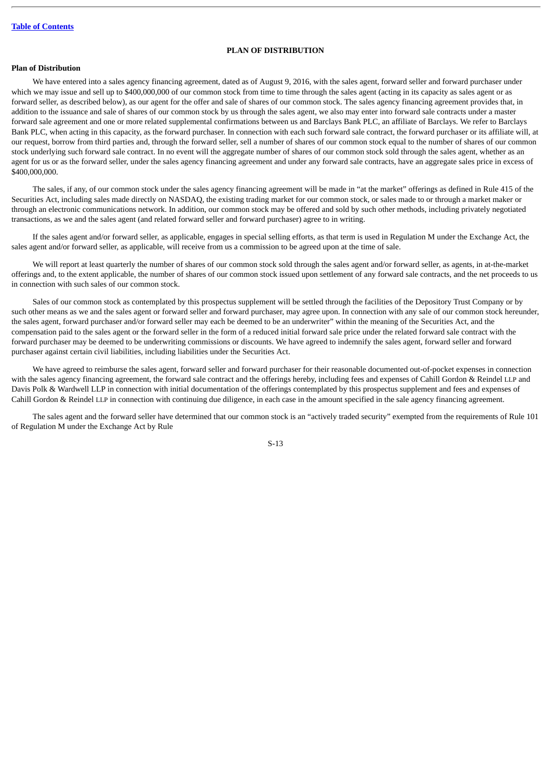## **PLAN OF DISTRIBUTION**

#### <span id="page-15-0"></span>**Plan of Distribution**

We have entered into a sales agency financing agreement, dated as of August 9, 2016, with the sales agent, forward seller and forward purchaser under which we may issue and sell up to \$400,000,000 of our common stock from time to time through the sales agent (acting in its capacity as sales agent or as forward seller, as described below), as our agent for the offer and sale of shares of our common stock. The sales agency financing agreement provides that, in addition to the issuance and sale of shares of our common stock by us through the sales agent, we also may enter into forward sale contracts under a master forward sale agreement and one or more related supplemental confirmations between us and Barclays Bank PLC, an affiliate of Barclays. We refer to Barclays Bank PLC, when acting in this capacity, as the forward purchaser. In connection with each such forward sale contract, the forward purchaser or its affiliate will, at our request, borrow from third parties and, through the forward seller, sell a number of shares of our common stock equal to the number of shares of our common stock underlying such forward sale contract. In no event will the aggregate number of shares of our common stock sold through the sales agent, whether as an agent for us or as the forward seller, under the sales agency financing agreement and under any forward sale contracts, have an aggregate sales price in excess of \$400,000,000.

The sales, if any, of our common stock under the sales agency financing agreement will be made in "at the market" offerings as defined in Rule 415 of the Securities Act, including sales made directly on NASDAQ, the existing trading market for our common stock, or sales made to or through a market maker or through an electronic communications network. In addition, our common stock may be offered and sold by such other methods, including privately negotiated transactions, as we and the sales agent (and related forward seller and forward purchaser) agree to in writing.

If the sales agent and/or forward seller, as applicable, engages in special selling efforts, as that term is used in Regulation M under the Exchange Act, the sales agent and/or forward seller, as applicable, will receive from us a commission to be agreed upon at the time of sale.

We will report at least quarterly the number of shares of our common stock sold through the sales agent and/or forward seller, as agents, in at-the-market offerings and, to the extent applicable, the number of shares of our common stock issued upon settlement of any forward sale contracts, and the net proceeds to us in connection with such sales of our common stock.

Sales of our common stock as contemplated by this prospectus supplement will be settled through the facilities of the Depository Trust Company or by such other means as we and the sales agent or forward seller and forward purchaser, may agree upon. In connection with any sale of our common stock hereunder, the sales agent, forward purchaser and/or forward seller may each be deemed to be an underwriter" within the meaning of the Securities Act, and the compensation paid to the sales agent or the forward seller in the form of a reduced initial forward sale price under the related forward sale contract with the forward purchaser may be deemed to be underwriting commissions or discounts. We have agreed to indemnify the sales agent, forward seller and forward purchaser against certain civil liabilities, including liabilities under the Securities Act.

We have agreed to reimburse the sales agent, forward seller and forward purchaser for their reasonable documented out-of-pocket expenses in connection with the sales agency financing agreement, the forward sale contract and the offerings hereby, including fees and expenses of Cahill Gordon & Reindel LLP and Davis Polk & Wardwell LLP in connection with initial documentation of the offerings contemplated by this prospectus supplement and fees and expenses of Cahill Gordon & Reindel LLP in connection with continuing due diligence, in each case in the amount specified in the sale agency financing agreement.

The sales agent and the forward seller have determined that our common stock is an "actively traded security" exempted from the requirements of Rule 101 of Regulation M under the Exchange Act by Rule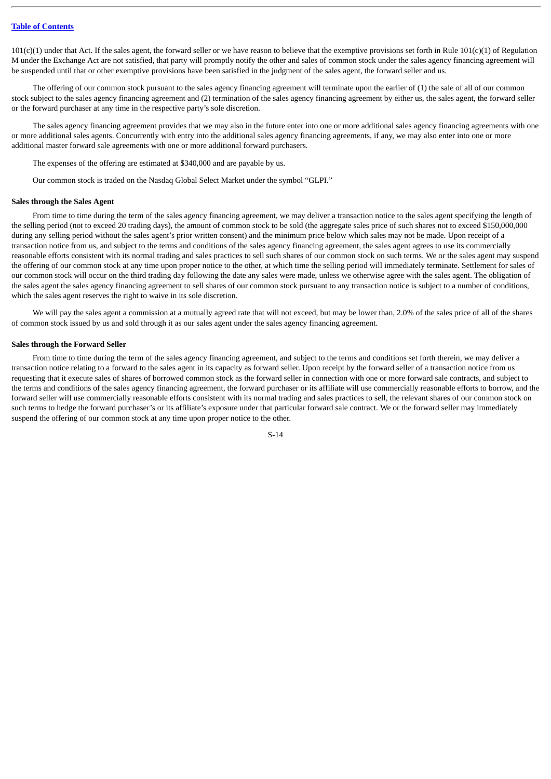$101(c)(1)$  under that Act. If the sales agent, the forward seller or we have reason to believe that the exemptive provisions set forth in Rule  $101(c)(1)$  of Regulation M under the Exchange Act are not satisfied, that party will promptly notify the other and sales of common stock under the sales agency financing agreement will be suspended until that or other exemptive provisions have been satisfied in the judgment of the sales agent, the forward seller and us.

The offering of our common stock pursuant to the sales agency financing agreement will terminate upon the earlier of (1) the sale of all of our common stock subject to the sales agency financing agreement and (2) termination of the sales agency financing agreement by either us, the sales agent, the forward seller or the forward purchaser at any time in the respective party's sole discretion.

The sales agency financing agreement provides that we may also in the future enter into one or more additional sales agency financing agreements with one or more additional sales agents. Concurrently with entry into the additional sales agency financing agreements, if any, we may also enter into one or more additional master forward sale agreements with one or more additional forward purchasers.

The expenses of the offering are estimated at \$340,000 and are payable by us.

Our common stock is traded on the Nasdaq Global Select Market under the symbol "GLPI."

#### **Sales through the Sales Agent**

From time to time during the term of the sales agency financing agreement, we may deliver a transaction notice to the sales agent specifying the length of the selling period (not to exceed 20 trading days), the amount of common stock to be sold (the aggregate sales price of such shares not to exceed \$150,000,000 during any selling period without the sales agent's prior written consent) and the minimum price below which sales may not be made. Upon receipt of a transaction notice from us, and subject to the terms and conditions of the sales agency financing agreement, the sales agent agrees to use its commercially reasonable efforts consistent with its normal trading and sales practices to sell such shares of our common stock on such terms. We or the sales agent may suspend the offering of our common stock at any time upon proper notice to the other, at which time the selling period will immediately terminate. Settlement for sales of our common stock will occur on the third trading day following the date any sales were made, unless we otherwise agree with the sales agent. The obligation of the sales agent the sales agency financing agreement to sell shares of our common stock pursuant to any transaction notice is subject to a number of conditions, which the sales agent reserves the right to waive in its sole discretion.

We will pay the sales agent a commission at a mutually agreed rate that will not exceed, but may be lower than, 2.0% of the sales price of all of the shares of common stock issued by us and sold through it as our sales agent under the sales agency financing agreement.

#### **Sales through the Forward Seller**

From time to time during the term of the sales agency financing agreement, and subject to the terms and conditions set forth therein, we may deliver a transaction notice relating to a forward to the sales agent in its capacity as forward seller. Upon receipt by the forward seller of a transaction notice from us requesting that it execute sales of shares of borrowed common stock as the forward seller in connection with one or more forward sale contracts, and subject to the terms and conditions of the sales agency financing agreement, the forward purchaser or its affiliate will use commercially reasonable efforts to borrow, and the forward seller will use commercially reasonable efforts consistent with its normal trading and sales practices to sell, the relevant shares of our common stock on such terms to hedge the forward purchaser's or its affiliate's exposure under that particular forward sale contract. We or the forward seller may immediately suspend the offering of our common stock at any time upon proper notice to the other.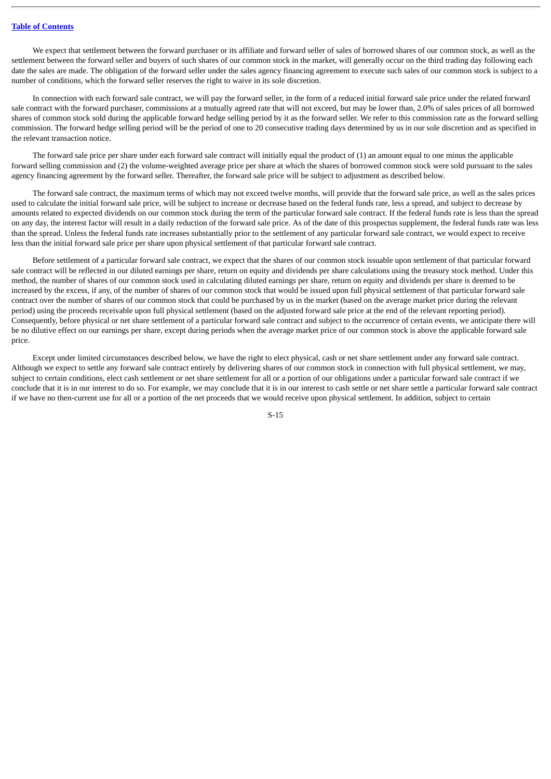We expect that settlement between the forward purchaser or its affiliate and forward seller of sales of borrowed shares of our common stock, as well as the settlement between the forward seller and buyers of such shares of our common stock in the market, will generally occur on the third trading day following each date the sales are made. The obligation of the forward seller under the sales agency financing agreement to execute such sales of our common stock is subject to a number of conditions, which the forward seller reserves the right to waive in its sole discretion.

In connection with each forward sale contract, we will pay the forward seller, in the form of a reduced initial forward sale price under the related forward sale contract with the forward purchaser, commissions at a mutually agreed rate that will not exceed, but may be lower than, 2.0% of sales prices of all borrowed shares of common stock sold during the applicable forward hedge selling period by it as the forward seller. We refer to this commission rate as the forward selling commission. The forward hedge selling period will be the period of one to 20 consecutive trading days determined by us in our sole discretion and as specified in the relevant transaction notice.

The forward sale price per share under each forward sale contract will initially equal the product of (1) an amount equal to one minus the applicable forward selling commission and (2) the volume-weighted average price per share at which the shares of borrowed common stock were sold pursuant to the sales agency financing agreement by the forward seller. Thereafter, the forward sale price will be subject to adjustment as described below.

The forward sale contract, the maximum terms of which may not exceed twelve months, will provide that the forward sale price, as well as the sales prices used to calculate the initial forward sale price, will be subject to increase or decrease based on the federal funds rate, less a spread, and subject to decrease by amounts related to expected dividends on our common stock during the term of the particular forward sale contract. If the federal funds rate is less than the spread on any day, the interest factor will result in a daily reduction of the forward sale price. As of the date of this prospectus supplement, the federal funds rate was less than the spread. Unless the federal funds rate increases substantially prior to the settlement of any particular forward sale contract, we would expect to receive less than the initial forward sale price per share upon physical settlement of that particular forward sale contract.

Before settlement of a particular forward sale contract, we expect that the shares of our common stock issuable upon settlement of that particular forward sale contract will be reflected in our diluted earnings per share, return on equity and dividends per share calculations using the treasury stock method. Under this method, the number of shares of our common stock used in calculating diluted earnings per share, return on equity and dividends per share is deemed to be increased by the excess, if any, of the number of shares of our common stock that would be issued upon full physical settlement of that particular forward sale contract over the number of shares of our common stock that could be purchased by us in the market (based on the average market price during the relevant period) using the proceeds receivable upon full physical settlement (based on the adjusted forward sale price at the end of the relevant reporting period). Consequently, before physical or net share settlement of a particular forward sale contract and subject to the occurrence of certain events, we anticipate there will be no dilutive effect on our earnings per share, except during periods when the average market price of our common stock is above the applicable forward sale price.

Except under limited circumstances described below, we have the right to elect physical, cash or net share settlement under any forward sale contract. Although we expect to settle any forward sale contract entirely by delivering shares of our common stock in connection with full physical settlement, we may, subject to certain conditions, elect cash settlement or net share settlement for all or a portion of our obligations under a particular forward sale contract if we conclude that it is in our interest to do so. For example, we may conclude that it is in our interest to cash settle or net share settle a particular forward sale contract if we have no then-current use for all or a portion of the net proceeds that we would receive upon physical settlement. In addition, subject to certain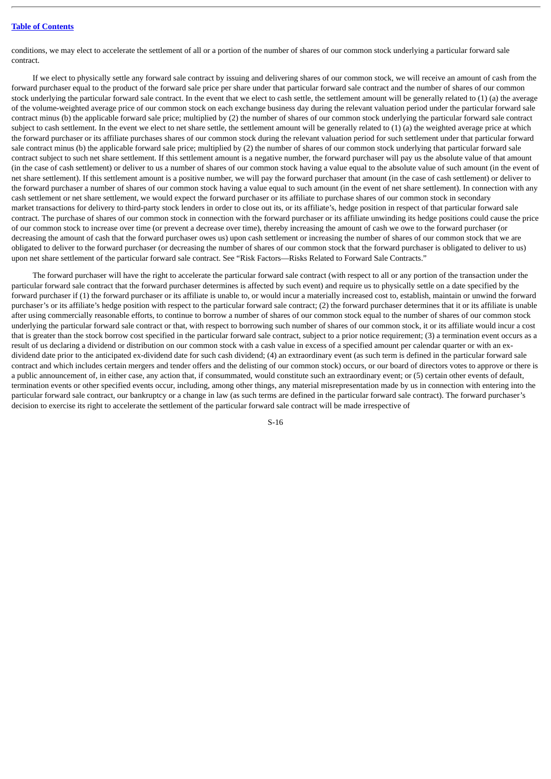conditions, we may elect to accelerate the settlement of all or a portion of the number of shares of our common stock underlying a particular forward sale contract.

If we elect to physically settle any forward sale contract by issuing and delivering shares of our common stock, we will receive an amount of cash from the forward purchaser equal to the product of the forward sale price per share under that particular forward sale contract and the number of shares of our common stock underlying the particular forward sale contract. In the event that we elect to cash settle, the settlement amount will be generally related to (1) (a) the average of the volume-weighted average price of our common stock on each exchange business day during the relevant valuation period under the particular forward sale contract minus (b) the applicable forward sale price; multiplied by (2) the number of shares of our common stock underlying the particular forward sale contract subject to cash settlement. In the event we elect to net share settle, the settlement amount will be generally related to (1) (a) the weighted average price at which the forward purchaser or its affiliate purchases shares of our common stock during the relevant valuation period for such settlement under that particular forward sale contract minus (b) the applicable forward sale price; multiplied by (2) the number of shares of our common stock underlying that particular forward sale contract subject to such net share settlement. If this settlement amount is a negative number, the forward purchaser will pay us the absolute value of that amount (in the case of cash settlement) or deliver to us a number of shares of our common stock having a value equal to the absolute value of such amount (in the event of net share settlement). If this settlement amount is a positive number, we will pay the forward purchaser that amount (in the case of cash settlement) or deliver to the forward purchaser a number of shares of our common stock having a value equal to such amount (in the event of net share settlement). In connection with any cash settlement or net share settlement, we would expect the forward purchaser or its affiliate to purchase shares of our common stock in secondary market transactions for delivery to third-party stock lenders in order to close out its, or its affiliate's, hedge position in respect of that particular forward sale contract. The purchase of shares of our common stock in connection with the forward purchaser or its affiliate unwinding its hedge positions could cause the price of our common stock to increase over time (or prevent a decrease over time), thereby increasing the amount of cash we owe to the forward purchaser (or decreasing the amount of cash that the forward purchaser owes us) upon cash settlement or increasing the number of shares of our common stock that we are obligated to deliver to the forward purchaser (or decreasing the number of shares of our common stock that the forward purchaser is obligated to deliver to us) upon net share settlement of the particular forward sale contract. See "Risk Factors—Risks Related to Forward Sale Contracts."

The forward purchaser will have the right to accelerate the particular forward sale contract (with respect to all or any portion of the transaction under the particular forward sale contract that the forward purchaser determines is affected by such event) and require us to physically settle on a date specified by the forward purchaser if (1) the forward purchaser or its affiliate is unable to, or would incur a materially increased cost to, establish, maintain or unwind the forward purchaser's or its affiliate's hedge position with respect to the particular forward sale contract; (2) the forward purchaser determines that it or its affiliate is unable after using commercially reasonable efforts, to continue to borrow a number of shares of our common stock equal to the number of shares of our common stock underlying the particular forward sale contract or that, with respect to borrowing such number of shares of our common stock, it or its affiliate would incur a cost that is greater than the stock borrow cost specified in the particular forward sale contract, subject to a prior notice requirement; (3) a termination event occurs as a result of us declaring a dividend or distribution on our common stock with a cash value in excess of a specified amount per calendar quarter or with an exdividend date prior to the anticipated ex-dividend date for such cash dividend; (4) an extraordinary event (as such term is defined in the particular forward sale contract and which includes certain mergers and tender offers and the delisting of our common stock) occurs, or our board of directors votes to approve or there is a public announcement of, in either case, any action that, if consummated, would constitute such an extraordinary event; or (5) certain other events of default, termination events or other specified events occur, including, among other things, any material misrepresentation made by us in connection with entering into the particular forward sale contract, our bankruptcy or a change in law (as such terms are defined in the particular forward sale contract). The forward purchaser's decision to exercise its right to accelerate the settlement of the particular forward sale contract will be made irrespective of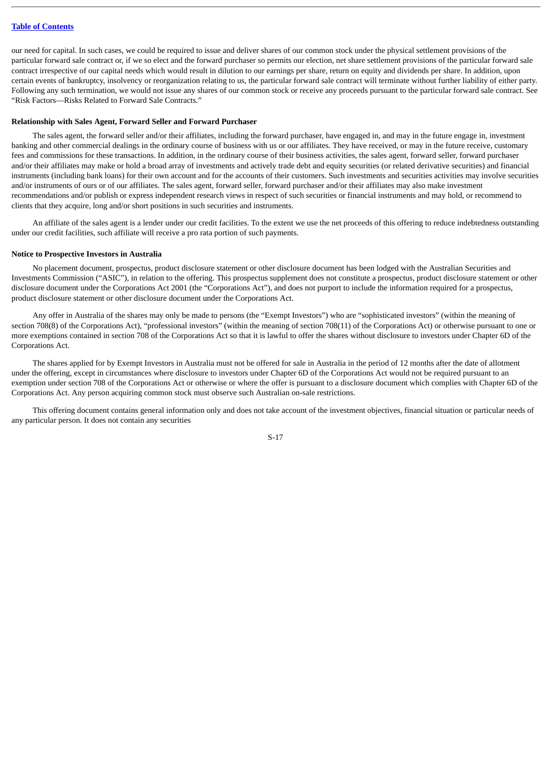our need for capital. In such cases, we could be required to issue and deliver shares of our common stock under the physical settlement provisions of the particular forward sale contract or, if we so elect and the forward purchaser so permits our election, net share settlement provisions of the particular forward sale contract irrespective of our capital needs which would result in dilution to our earnings per share, return on equity and dividends per share. In addition, upon certain events of bankruptcy, insolvency or reorganization relating to us, the particular forward sale contract will terminate without further liability of either party. Following any such termination, we would not issue any shares of our common stock or receive any proceeds pursuant to the particular forward sale contract. See "Risk Factors—Risks Related to Forward Sale Contracts."

#### **Relationship with Sales Agent, Forward Seller and Forward Purchaser**

The sales agent, the forward seller and/or their affiliates, including the forward purchaser, have engaged in, and may in the future engage in, investment banking and other commercial dealings in the ordinary course of business with us or our affiliates. They have received, or may in the future receive, customary fees and commissions for these transactions. In addition, in the ordinary course of their business activities, the sales agent, forward seller, forward purchaser and/or their affiliates may make or hold a broad array of investments and actively trade debt and equity securities (or related derivative securities) and financial instruments (including bank loans) for their own account and for the accounts of their customers. Such investments and securities activities may involve securities and/or instruments of ours or of our affiliates. The sales agent, forward seller, forward purchaser and/or their affiliates may also make investment recommendations and/or publish or express independent research views in respect of such securities or financial instruments and may hold, or recommend to clients that they acquire, long and/or short positions in such securities and instruments.

An affiliate of the sales agent is a lender under our credit facilities. To the extent we use the net proceeds of this offering to reduce indebtedness outstanding under our credit facilities, such affiliate will receive a pro rata portion of such payments.

#### **Notice to Prospective Investors in Australia**

No placement document, prospectus, product disclosure statement or other disclosure document has been lodged with the Australian Securities and Investments Commission ("ASIC"), in relation to the offering. This prospectus supplement does not constitute a prospectus, product disclosure statement or other disclosure document under the Corporations Act 2001 (the "Corporations Act"), and does not purport to include the information required for a prospectus, product disclosure statement or other disclosure document under the Corporations Act.

Any offer in Australia of the shares may only be made to persons (the "Exempt Investors") who are "sophisticated investors" (within the meaning of section 708(8) of the Corporations Act), "professional investors" (within the meaning of section 708(11) of the Corporations Act) or otherwise pursuant to one or more exemptions contained in section 708 of the Corporations Act so that it is lawful to offer the shares without disclosure to investors under Chapter 6D of the Corporations Act.

The shares applied for by Exempt Investors in Australia must not be offered for sale in Australia in the period of 12 months after the date of allotment under the offering, except in circumstances where disclosure to investors under Chapter 6D of the Corporations Act would not be required pursuant to an exemption under section 708 of the Corporations Act or otherwise or where the offer is pursuant to a disclosure document which complies with Chapter 6D of the Corporations Act. Any person acquiring common stock must observe such Australian on-sale restrictions.

This offering document contains general information only and does not take account of the investment objectives, financial situation or particular needs of any particular person. It does not contain any securities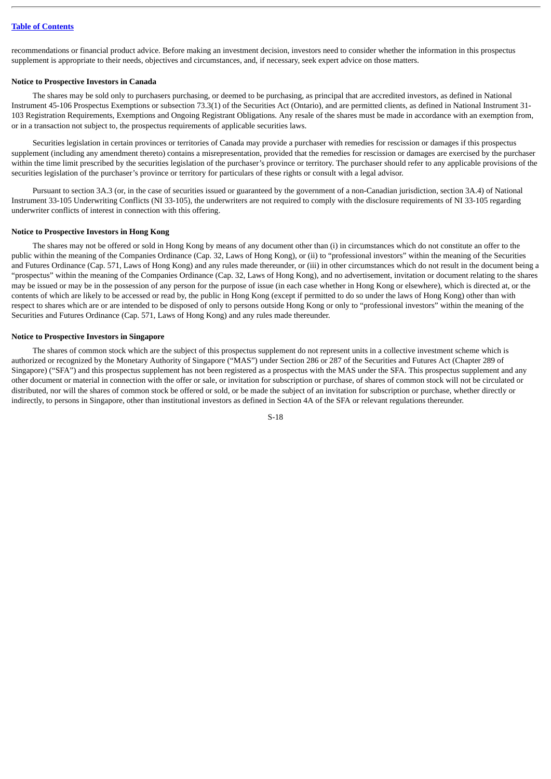recommendations or financial product advice. Before making an investment decision, investors need to consider whether the information in this prospectus supplement is appropriate to their needs, objectives and circumstances, and, if necessary, seek expert advice on those matters.

#### **Notice to Prospective Investors in Canada**

The shares may be sold only to purchasers purchasing, or deemed to be purchasing, as principal that are accredited investors, as defined in National Instrument 45-106 Prospectus Exemptions or subsection 73.3(1) of the Securities Act (Ontario), and are permitted clients, as defined in National Instrument 31- 103 Registration Requirements, Exemptions and Ongoing Registrant Obligations. Any resale of the shares must be made in accordance with an exemption from, or in a transaction not subject to, the prospectus requirements of applicable securities laws.

Securities legislation in certain provinces or territories of Canada may provide a purchaser with remedies for rescission or damages if this prospectus supplement (including any amendment thereto) contains a misrepresentation, provided that the remedies for rescission or damages are exercised by the purchaser within the time limit prescribed by the securities legislation of the purchaser's province or territory. The purchaser should refer to any applicable provisions of the securities legislation of the purchaser's province or territory for particulars of these rights or consult with a legal advisor.

Pursuant to section 3A.3 (or, in the case of securities issued or guaranteed by the government of a non-Canadian jurisdiction, section 3A.4) of National Instrument 33-105 Underwriting Conflicts (NI 33-105), the underwriters are not required to comply with the disclosure requirements of NI 33-105 regarding underwriter conflicts of interest in connection with this offering.

#### **Notice to Prospective Investors in Hong Kong**

The shares may not be offered or sold in Hong Kong by means of any document other than (i) in circumstances which do not constitute an offer to the public within the meaning of the Companies Ordinance (Cap. 32, Laws of Hong Kong), or (ii) to "professional investors" within the meaning of the Securities and Futures Ordinance (Cap. 571, Laws of Hong Kong) and any rules made thereunder, or (iii) in other circumstances which do not result in the document being a "prospectus" within the meaning of the Companies Ordinance (Cap. 32, Laws of Hong Kong), and no advertisement, invitation or document relating to the shares may be issued or may be in the possession of any person for the purpose of issue (in each case whether in Hong Kong or elsewhere), which is directed at, or the contents of which are likely to be accessed or read by, the public in Hong Kong (except if permitted to do so under the laws of Hong Kong) other than with respect to shares which are or are intended to be disposed of only to persons outside Hong Kong or only to "professional investors" within the meaning of the Securities and Futures Ordinance (Cap. 571, Laws of Hong Kong) and any rules made thereunder.

#### **Notice to Prospective Investors in Singapore**

The shares of common stock which are the subject of this prospectus supplement do not represent units in a collective investment scheme which is authorized or recognized by the Monetary Authority of Singapore ("MAS") under Section 286 or 287 of the Securities and Futures Act (Chapter 289 of Singapore) ("SFA") and this prospectus supplement has not been registered as a prospectus with the MAS under the SFA. This prospectus supplement and any other document or material in connection with the offer or sale, or invitation for subscription or purchase, of shares of common stock will not be circulated or distributed, nor will the shares of common stock be offered or sold, or be made the subject of an invitation for subscription or purchase, whether directly or indirectly, to persons in Singapore, other than institutional investors as defined in Section 4A of the SFA or relevant regulations thereunder.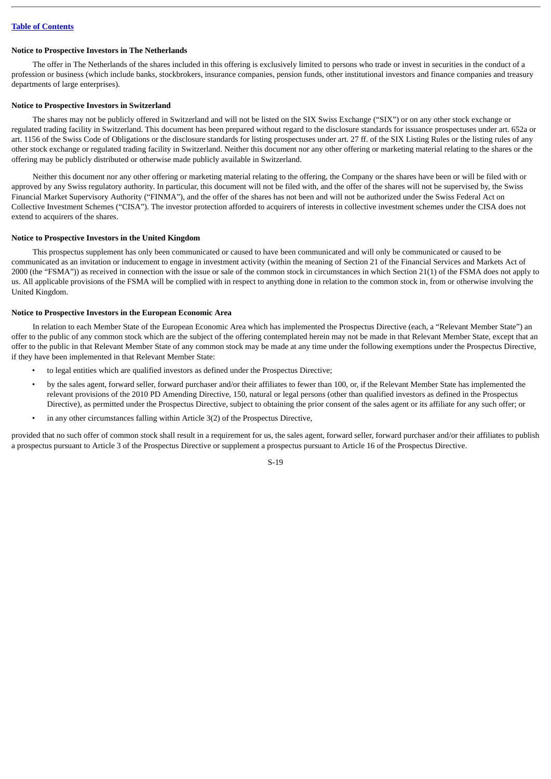## **Notice to Prospective Investors in The Netherlands**

The offer in The Netherlands of the shares included in this offering is exclusively limited to persons who trade or invest in securities in the conduct of a profession or business (which include banks, stockbrokers, insurance companies, pension funds, other institutional investors and finance companies and treasury departments of large enterprises).

#### **Notice to Prospective Investors in Switzerland**

The shares may not be publicly offered in Switzerland and will not be listed on the SIX Swiss Exchange ("SIX") or on any other stock exchange or regulated trading facility in Switzerland. This document has been prepared without regard to the disclosure standards for issuance prospectuses under art. 652a or art. 1156 of the Swiss Code of Obligations or the disclosure standards for listing prospectuses under art. 27 ff. of the SIX Listing Rules or the listing rules of any other stock exchange or regulated trading facility in Switzerland. Neither this document nor any other offering or marketing material relating to the shares or the offering may be publicly distributed or otherwise made publicly available in Switzerland.

Neither this document nor any other offering or marketing material relating to the offering, the Company or the shares have been or will be filed with or approved by any Swiss regulatory authority. In particular, this document will not be filed with, and the offer of the shares will not be supervised by, the Swiss Financial Market Supervisory Authority ("FINMA"), and the offer of the shares has not been and will not be authorized under the Swiss Federal Act on Collective Investment Schemes ("CISA"). The investor protection afforded to acquirers of interests in collective investment schemes under the CISA does not extend to acquirers of the shares.

#### **Notice to Prospective Investors in the United Kingdom**

This prospectus supplement has only been communicated or caused to have been communicated and will only be communicated or caused to be communicated as an invitation or inducement to engage in investment activity (within the meaning of Section 21 of the Financial Services and Markets Act of 2000 (the "FSMA")) as received in connection with the issue or sale of the common stock in circumstances in which Section 21(1) of the FSMA does not apply to us. All applicable provisions of the FSMA will be complied with in respect to anything done in relation to the common stock in, from or otherwise involving the United Kingdom.

#### **Notice to Prospective Investors in the European Economic Area**

In relation to each Member State of the European Economic Area which has implemented the Prospectus Directive (each, a "Relevant Member State") an offer to the public of any common stock which are the subject of the offering contemplated herein may not be made in that Relevant Member State, except that an offer to the public in that Relevant Member State of any common stock may be made at any time under the following exemptions under the Prospectus Directive, if they have been implemented in that Relevant Member State:

- to legal entities which are qualified investors as defined under the Prospectus Directive;
- by the sales agent, forward seller, forward purchaser and/or their affiliates to fewer than 100, or, if the Relevant Member State has implemented the relevant provisions of the 2010 PD Amending Directive, 150, natural or legal persons (other than qualified investors as defined in the Prospectus Directive), as permitted under the Prospectus Directive, subject to obtaining the prior consent of the sales agent or its affiliate for any such offer; or
- in any other circumstances falling within Article 3(2) of the Prospectus Directive,

provided that no such offer of common stock shall result in a requirement for us, the sales agent, forward seller, forward purchaser and/or their affiliates to publish a prospectus pursuant to Article 3 of the Prospectus Directive or supplement a prospectus pursuant to Article 16 of the Prospectus Directive.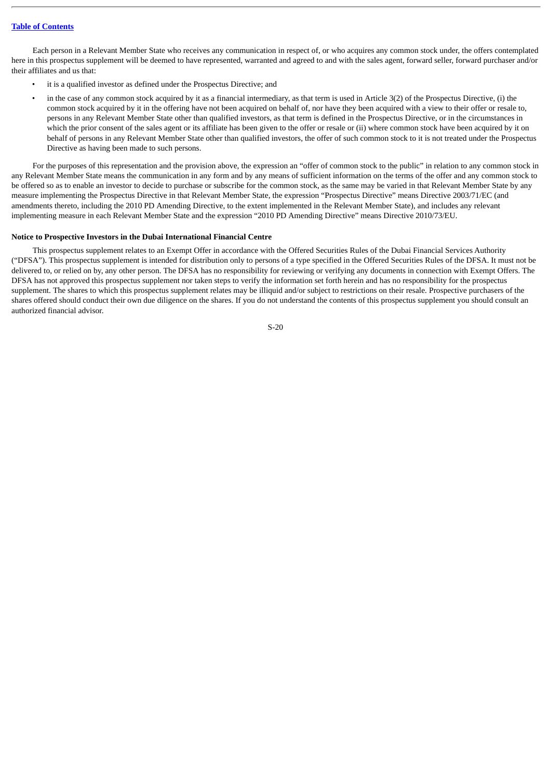Each person in a Relevant Member State who receives any communication in respect of, or who acquires any common stock under, the offers contemplated here in this prospectus supplement will be deemed to have represented, warranted and agreed to and with the sales agent, forward seller, forward purchaser and/or their affiliates and us that:

- it is a qualified investor as defined under the Prospectus Directive; and
- in the case of any common stock acquired by it as a financial intermediary, as that term is used in Article 3(2) of the Prospectus Directive, (i) the common stock acquired by it in the offering have not been acquired on behalf of, nor have they been acquired with a view to their offer or resale to, persons in any Relevant Member State other than qualified investors, as that term is defined in the Prospectus Directive, or in the circumstances in which the prior consent of the sales agent or its affiliate has been given to the offer or resale or (ii) where common stock have been acquired by it on behalf of persons in any Relevant Member State other than qualified investors, the offer of such common stock to it is not treated under the Prospectus Directive as having been made to such persons.

For the purposes of this representation and the provision above, the expression an "offer of common stock to the public" in relation to any common stock in any Relevant Member State means the communication in any form and by any means of sufficient information on the terms of the offer and any common stock to be offered so as to enable an investor to decide to purchase or subscribe for the common stock, as the same may be varied in that Relevant Member State by any measure implementing the Prospectus Directive in that Relevant Member State, the expression "Prospectus Directive" means Directive 2003/71/EC (and amendments thereto, including the 2010 PD Amending Directive, to the extent implemented in the Relevant Member State), and includes any relevant implementing measure in each Relevant Member State and the expression "2010 PD Amending Directive" means Directive 2010/73/EU.

#### **Notice to Prospective Investors in the Dubai International Financial Centre**

This prospectus supplement relates to an Exempt Offer in accordance with the Offered Securities Rules of the Dubai Financial Services Authority ("DFSA"). This prospectus supplement is intended for distribution only to persons of a type specified in the Offered Securities Rules of the DFSA. It must not be delivered to, or relied on by, any other person. The DFSA has no responsibility for reviewing or verifying any documents in connection with Exempt Offers. The DFSA has not approved this prospectus supplement nor taken steps to verify the information set forth herein and has no responsibility for the prospectus supplement. The shares to which this prospectus supplement relates may be illiquid and/or subject to restrictions on their resale. Prospective purchasers of the shares offered should conduct their own due diligence on the shares. If you do not understand the contents of this prospectus supplement you should consult an authorized financial advisor.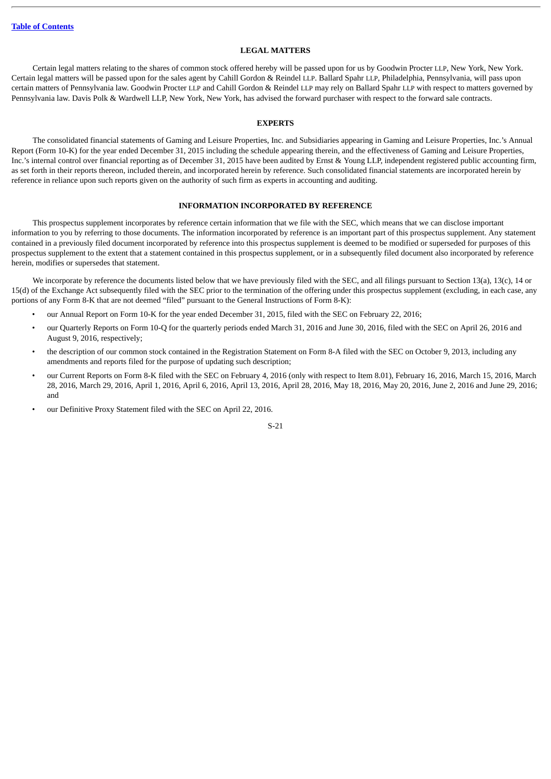#### **LEGAL MATTERS**

<span id="page-23-0"></span>Certain legal matters relating to the shares of common stock offered hereby will be passed upon for us by Goodwin Procter LLP, New York, New York. Certain legal matters will be passed upon for the sales agent by Cahill Gordon & Reindel LLP. Ballard Spahr LLP, Philadelphia, Pennsylvania, will pass upon certain matters of Pennsylvania law. Goodwin Procter LLP and Cahill Gordon & Reindel LLP may rely on Ballard Spahr LLP with respect to matters governed by Pennsylvania law. Davis Polk & Wardwell LLP, New York, New York, has advised the forward purchaser with respect to the forward sale contracts.

#### **EXPERTS**

<span id="page-23-1"></span>The consolidated financial statements of Gaming and Leisure Properties, Inc. and Subsidiaries appearing in Gaming and Leisure Properties, Inc.'s Annual Report (Form 10-K) for the year ended December 31, 2015 including the schedule appearing therein, and the effectiveness of Gaming and Leisure Properties, Inc.'s internal control over financial reporting as of December 31, 2015 have been audited by Ernst & Young LLP, independent registered public accounting firm, as set forth in their reports thereon, included therein, and incorporated herein by reference. Such consolidated financial statements are incorporated herein by reference in reliance upon such reports given on the authority of such firm as experts in accounting and auditing.

#### **INFORMATION INCORPORATED BY REFERENCE**

<span id="page-23-2"></span>This prospectus supplement incorporates by reference certain information that we file with the SEC, which means that we can disclose important information to you by referring to those documents. The information incorporated by reference is an important part of this prospectus supplement. Any statement contained in a previously filed document incorporated by reference into this prospectus supplement is deemed to be modified or superseded for purposes of this prospectus supplement to the extent that a statement contained in this prospectus supplement, or in a subsequently filed document also incorporated by reference herein, modifies or supersedes that statement.

We incorporate by reference the documents listed below that we have previously filed with the SEC, and all filings pursuant to Section 13(a), 13(c), 14 or 15(d) of the Exchange Act subsequently filed with the SEC prior to the termination of the offering under this prospectus supplement (excluding, in each case, any portions of any Form 8-K that are not deemed "filed" pursuant to the General Instructions of Form 8-K):

- our Annual Report on Form 10-K for the year ended December 31, 2015, filed with the SEC on February 22, 2016;
- our Quarterly Reports on Form 10-Q for the quarterly periods ended March 31, 2016 and June 30, 2016, filed with the SEC on April 26, 2016 and August 9, 2016, respectively;
- the description of our common stock contained in the Registration Statement on Form 8-A filed with the SEC on October 9, 2013, including any amendments and reports filed for the purpose of updating such description;
- our Current Reports on Form 8-K filed with the SEC on February 4, 2016 (only with respect to Item 8.01), February 16, 2016, March 15, 2016, March 28, 2016, March 29, 2016, April 1, 2016, April 6, 2016, April 13, 2016, April 28, 2016, May 18, 2016, May 20, 2016, June 2, 2016 and June 29, 2016; and
- our Definitive Proxy Statement filed with the SEC on April 22, 2016.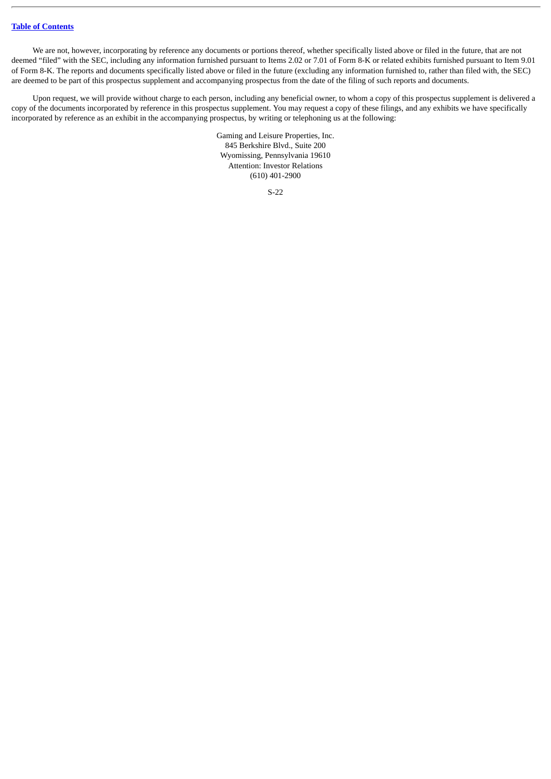We are not, however, incorporating by reference any documents or portions thereof, whether specifically listed above or filed in the future, that are not deemed "filed" with the SEC, including any information furnished pursuant to Items 2.02 or 7.01 of Form 8-K or related exhibits furnished pursuant to Item 9.01 of Form 8-K. The reports and documents specifically listed above or filed in the future (excluding any information furnished to, rather than filed with, the SEC) are deemed to be part of this prospectus supplement and accompanying prospectus from the date of the filing of such reports and documents.

Upon request, we will provide without charge to each person, including any beneficial owner, to whom a copy of this prospectus supplement is delivered a copy of the documents incorporated by reference in this prospectus supplement. You may request a copy of these filings, and any exhibits we have specifically incorporated by reference as an exhibit in the accompanying prospectus, by writing or telephoning us at the following:

> Gaming and Leisure Properties, Inc. 845 Berkshire Blvd., Suite 200 Wyomissing, Pennsylvania 19610 Attention: Investor Relations (610) 401-2900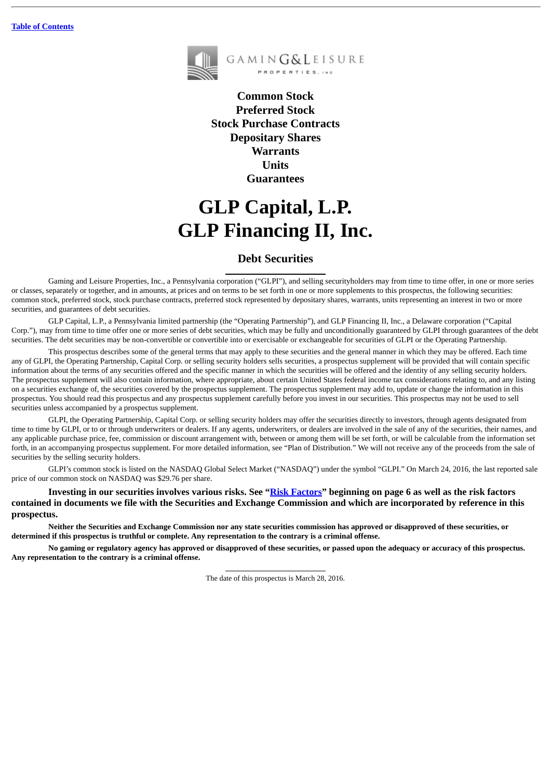

GAMING&LEISURE

**Common Stock Preferred Stock Stock Purchase Contracts Depositary Shares Warrants Units Guarantees**

# **GLP Capital, L.P. GLP Financing II, Inc.**

## **Debt Securities**

Gaming and Leisure Properties, Inc., a Pennsylvania corporation ("GLPI"), and selling securityholders may from time to time offer, in one or more series or classes, separately or together, and in amounts, at prices and on terms to be set forth in one or more supplements to this prospectus, the following securities: common stock, preferred stock, stock purchase contracts, preferred stock represented by depositary shares, warrants, units representing an interest in two or more securities, and guarantees of debt securities.

GLP Capital, L.P., a Pennsylvania limited partnership (the "Operating Partnership"), and GLP Financing II, Inc., a Delaware corporation ("Capital Corp."), may from time to time offer one or more series of debt securities, which may be fully and unconditionally guaranteed by GLPI through guarantees of the debt securities. The debt securities may be non-convertible or convertible into or exercisable or exchangeable for securities of GLPI or the Operating Partnership.

This prospectus describes some of the general terms that may apply to these securities and the general manner in which they may be offered. Each time any of GLPI, the Operating Partnership, Capital Corp. or selling security holders sells securities, a prospectus supplement will be provided that will contain specific information about the terms of any securities offered and the specific manner in which the securities will be offered and the identity of any selling security holders. The prospectus supplement will also contain information, where appropriate, about certain United States federal income tax considerations relating to, and any listing on a securities exchange of, the securities covered by the prospectus supplement. The prospectus supplement may add to, update or change the information in this prospectus. You should read this prospectus and any prospectus supplement carefully before you invest in our securities. This prospectus may not be used to sell securities unless accompanied by a prospectus supplement.

GLPI, the Operating Partnership, Capital Corp. or selling security holders may offer the securities directly to investors, through agents designated from time to time by GLPI, or to or through underwriters or dealers. If any agents, underwriters, or dealers are involved in the sale of any of the securities, their names, and any applicable purchase price, fee, commission or discount arrangement with, between or among them will be set forth, or will be calculable from the information set forth, in an accompanying prospectus supplement. For more detailed information, see "Plan of Distribution." We will not receive any of the proceeds from the sale of securities by the selling security holders.

GLPI's common stock is listed on the NASDAQ Global Select Market ("NASDAQ") under the symbol "GLPI." On March 24, 2016, the last reported sale price of our common stock on NASDAQ was \$29.76 per share.

Investing in our securities involves various risks. See "Risk [Factors"](#page-32-0) beginning on page 6 as well as the risk factors contained in documents we file with the Securities and Exchange Commission and which are incorporated by reference in this **prospectus.**

Neither the Securities and Exchange Commission nor any state securities commission has approved or disapproved of these securities, or determined if this prospectus is truthful or complete. Any representation to the contrary is a criminal offense.

No gaming or regulatory agency has approved or disapproved of these securities, or passed upon the adequacy or accuracy of this prospectus. **Any representation to the contrary is a criminal offense.**

The date of this prospectus is March 28, 2016.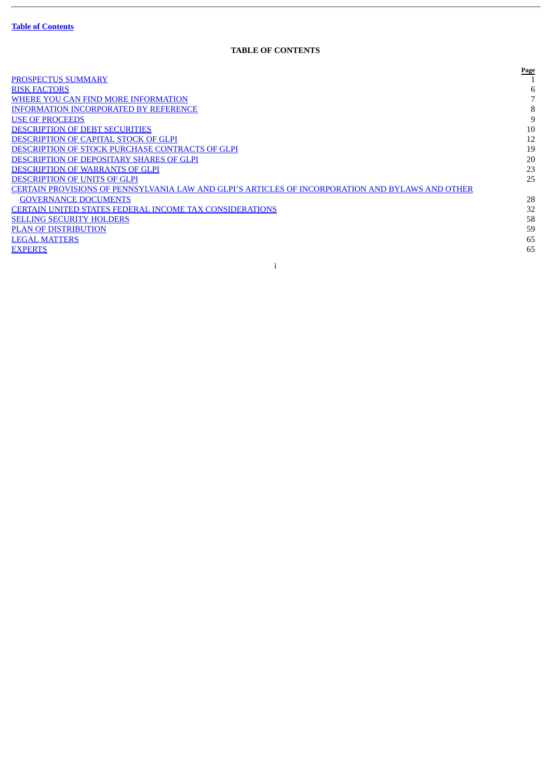J.

## **TABLE OF CONTENTS**

|                                                                                                  | Page |
|--------------------------------------------------------------------------------------------------|------|
| PROSPECTUS SUMMARY                                                                               |      |
| <b>RISK FACTORS</b>                                                                              | h    |
| WHERE YOU CAN FIND MORE INFORMATION                                                              |      |
| <b>INFORMATION INCORPORATED BY REFERENCE</b>                                                     | 8    |
| <b>USE OF PROCEEDS</b>                                                                           | 9    |
| <b>DESCRIPTION OF DEBT SECURITIES</b>                                                            | 10   |
| <b>DESCRIPTION OF CAPITAL STOCK OF GLPI</b>                                                      | 12   |
| DESCRIPTION OF STOCK PURCHASE CONTRACTS OF GLPI                                                  | 19   |
| <b>DESCRIPTION OF DEPOSITARY SHARES OF GLPI</b>                                                  | 20   |
| <b>DESCRIPTION OF WARRANTS OF GLPI</b>                                                           | 23   |
| <b>DESCRIPTION OF UNITS OF GLPI</b>                                                              | 25   |
| CERTAIN PROVISIONS OF PENNSYLVANIA LAW AND GLPI'S ARTICLES OF INCORPORATION AND BYLAWS AND OTHER |      |
| <b>GOVERNANCE DOCUMENTS</b>                                                                      | 28   |
| <b>CERTAIN UNITED STATES FEDERAL INCOME TAX CONSIDERATIONS</b>                                   | 32   |
| <b>SELLING SECURITY HOLDERS</b>                                                                  | 58   |
| <b>PLAN OF DISTRIBUTION</b>                                                                      | 59   |
| <b>LEGAL MATTERS</b>                                                                             | 65   |
| <b>EXPERTS</b>                                                                                   | 65   |
|                                                                                                  |      |
|                                                                                                  |      |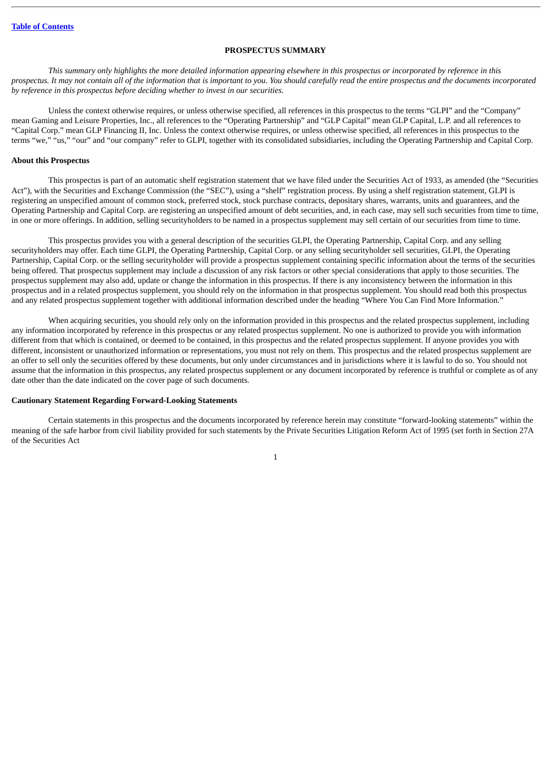#### **PROSPECTUS SUMMARY**

<span id="page-27-0"></span>This summary only highlights the more detailed information appearing elsewhere in this prospectus or incorporated by reference in this prospectus. It may not contain all of the information that is important to you. You should carefully read the entire prospectus and the documents incorporated *by reference in this prospectus before deciding whether to invest in our securities.*

Unless the context otherwise requires, or unless otherwise specified, all references in this prospectus to the terms "GLPI" and the "Company" mean Gaming and Leisure Properties, Inc., all references to the "Operating Partnership" and "GLP Capital" mean GLP Capital, L.P. and all references to "Capital Corp." mean GLP Financing II, Inc. Unless the context otherwise requires, or unless otherwise specified, all references in this prospectus to the terms "we," "us," "our" and "our company" refer to GLPI, together with its consolidated subsidiaries, including the Operating Partnership and Capital Corp.

#### **About this Prospectus**

This prospectus is part of an automatic shelf registration statement that we have filed under the Securities Act of 1933, as amended (the "Securities Act"), with the Securities and Exchange Commission (the "SEC"), using a "shelf" registration process. By using a shelf registration statement, GLPI is registering an unspecified amount of common stock, preferred stock, stock purchase contracts, depositary shares, warrants, units and guarantees, and the Operating Partnership and Capital Corp. are registering an unspecified amount of debt securities, and, in each case, may sell such securities from time to time, in one or more offerings. In addition, selling securityholders to be named in a prospectus supplement may sell certain of our securities from time to time.

This prospectus provides you with a general description of the securities GLPI, the Operating Partnership, Capital Corp. and any selling securityholders may offer. Each time GLPI, the Operating Partnership, Capital Corp. or any selling securityholder sell securities, GLPI, the Operating Partnership, Capital Corp. or the selling securityholder will provide a prospectus supplement containing specific information about the terms of the securities being offered. That prospectus supplement may include a discussion of any risk factors or other special considerations that apply to those securities. The prospectus supplement may also add, update or change the information in this prospectus. If there is any inconsistency between the information in this prospectus and in a related prospectus supplement, you should rely on the information in that prospectus supplement. You should read both this prospectus and any related prospectus supplement together with additional information described under the heading "Where You Can Find More Information."

When acquiring securities, you should rely only on the information provided in this prospectus and the related prospectus supplement, including any information incorporated by reference in this prospectus or any related prospectus supplement. No one is authorized to provide you with information different from that which is contained, or deemed to be contained, in this prospectus and the related prospectus supplement. If anyone provides you with different, inconsistent or unauthorized information or representations, you must not rely on them. This prospectus and the related prospectus supplement are an offer to sell only the securities offered by these documents, but only under circumstances and in jurisdictions where it is lawful to do so. You should not assume that the information in this prospectus, any related prospectus supplement or any document incorporated by reference is truthful or complete as of any date other than the date indicated on the cover page of such documents.

## **Cautionary Statement Regarding Forward-Looking Statements**

Certain statements in this prospectus and the documents incorporated by reference herein may constitute "forward-looking statements" within the meaning of the safe harbor from civil liability provided for such statements by the Private Securities Litigation Reform Act of 1995 (set forth in Section 27A of the Securities Act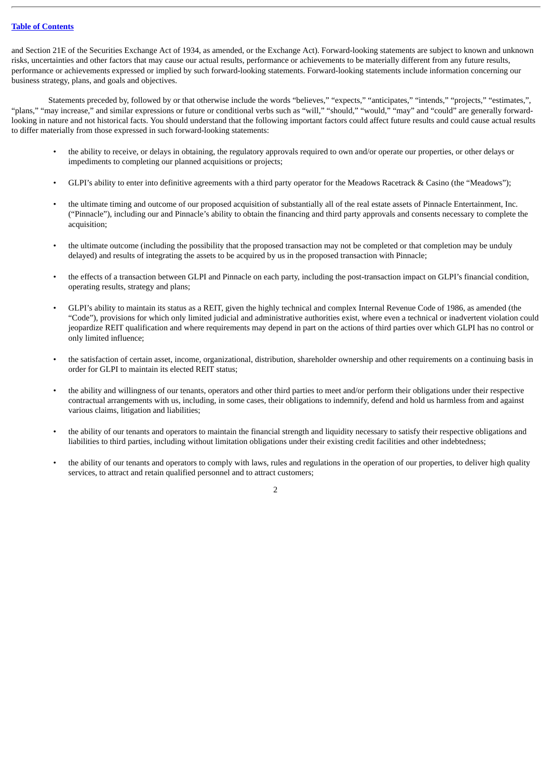and Section 21E of the Securities Exchange Act of 1934, as amended, or the Exchange Act). Forward-looking statements are subject to known and unknown risks, uncertainties and other factors that may cause our actual results, performance or achievements to be materially different from any future results, performance or achievements expressed or implied by such forward-looking statements. Forward-looking statements include information concerning our business strategy, plans, and goals and objectives.

Statements preceded by, followed by or that otherwise include the words "believes," "expects," "anticipates," "intends," "projects," "estimates,", "plans," "may increase," and similar expressions or future or conditional verbs such as "will," "should," "would," "may" and "could" are generally forwardlooking in nature and not historical facts. You should understand that the following important factors could affect future results and could cause actual results to differ materially from those expressed in such forward-looking statements:

- the ability to receive, or delays in obtaining, the regulatory approvals required to own and/or operate our properties, or other delays or impediments to completing our planned acquisitions or projects;
- GLPI's ability to enter into definitive agreements with a third party operator for the Meadows Racetrack & Casino (the "Meadows");
- the ultimate timing and outcome of our proposed acquisition of substantially all of the real estate assets of Pinnacle Entertainment, Inc. ("Pinnacle"), including our and Pinnacle's ability to obtain the financing and third party approvals and consents necessary to complete the acquisition;
- the ultimate outcome (including the possibility that the proposed transaction may not be completed or that completion may be unduly delayed) and results of integrating the assets to be acquired by us in the proposed transaction with Pinnacle;
- the effects of a transaction between GLPI and Pinnacle on each party, including the post-transaction impact on GLPI's financial condition, operating results, strategy and plans;
- GLPI's ability to maintain its status as a REIT, given the highly technical and complex Internal Revenue Code of 1986, as amended (the "Code"), provisions for which only limited judicial and administrative authorities exist, where even a technical or inadvertent violation could jeopardize REIT qualification and where requirements may depend in part on the actions of third parties over which GLPI has no control or only limited influence;
- the satisfaction of certain asset, income, organizational, distribution, shareholder ownership and other requirements on a continuing basis in order for GLPI to maintain its elected REIT status;
- the ability and willingness of our tenants, operators and other third parties to meet and/or perform their obligations under their respective contractual arrangements with us, including, in some cases, their obligations to indemnify, defend and hold us harmless from and against various claims, litigation and liabilities;
- the ability of our tenants and operators to maintain the financial strength and liquidity necessary to satisfy their respective obligations and liabilities to third parties, including without limitation obligations under their existing credit facilities and other indebtedness;
- the ability of our tenants and operators to comply with laws, rules and regulations in the operation of our properties, to deliver high quality services, to attract and retain qualified personnel and to attract customers;

 $\overline{2}$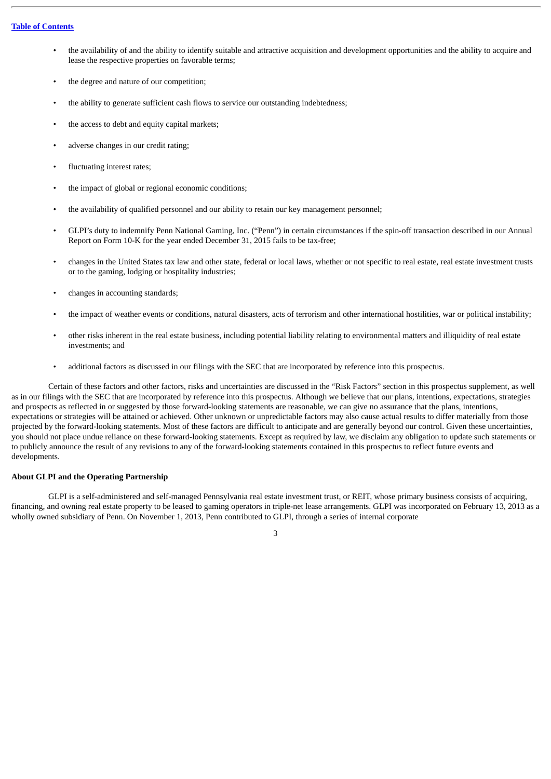- the availability of and the ability to identify suitable and attractive acquisition and development opportunities and the ability to acquire and lease the respective properties on favorable terms;
- the degree and nature of our competition;
- the ability to generate sufficient cash flows to service our outstanding indebtedness;
- the access to debt and equity capital markets;
- adverse changes in our credit rating;
- fluctuating interest rates;
- the impact of global or regional economic conditions;
- the availability of qualified personnel and our ability to retain our key management personnel;
- GLPI's duty to indemnify Penn National Gaming, Inc. ("Penn") in certain circumstances if the spin-off transaction described in our Annual Report on Form 10-K for the year ended December 31, 2015 fails to be tax-free;
- changes in the United States tax law and other state, federal or local laws, whether or not specific to real estate, real estate investment trusts or to the gaming, lodging or hospitality industries;
- changes in accounting standards;
- the impact of weather events or conditions, natural disasters, acts of terrorism and other international hostilities, war or political instability;
- other risks inherent in the real estate business, including potential liability relating to environmental matters and illiquidity of real estate investments; and
- additional factors as discussed in our filings with the SEC that are incorporated by reference into this prospectus.

Certain of these factors and other factors, risks and uncertainties are discussed in the "Risk Factors" section in this prospectus supplement, as well as in our filings with the SEC that are incorporated by reference into this prospectus. Although we believe that our plans, intentions, expectations, strategies and prospects as reflected in or suggested by those forward-looking statements are reasonable, we can give no assurance that the plans, intentions, expectations or strategies will be attained or achieved. Other unknown or unpredictable factors may also cause actual results to differ materially from those projected by the forward-looking statements. Most of these factors are difficult to anticipate and are generally beyond our control. Given these uncertainties, you should not place undue reliance on these forward-looking statements. Except as required by law, we disclaim any obligation to update such statements or to publicly announce the result of any revisions to any of the forward-looking statements contained in this prospectus to reflect future events and developments.

#### **About GLPI and the Operating Partnership**

GLPI is a self-administered and self-managed Pennsylvania real estate investment trust, or REIT, whose primary business consists of acquiring, financing, and owning real estate property to be leased to gaming operators in triple-net lease arrangements. GLPI was incorporated on February 13, 2013 as a wholly owned subsidiary of Penn. On November 1, 2013, Penn contributed to GLPI, through a series of internal corporate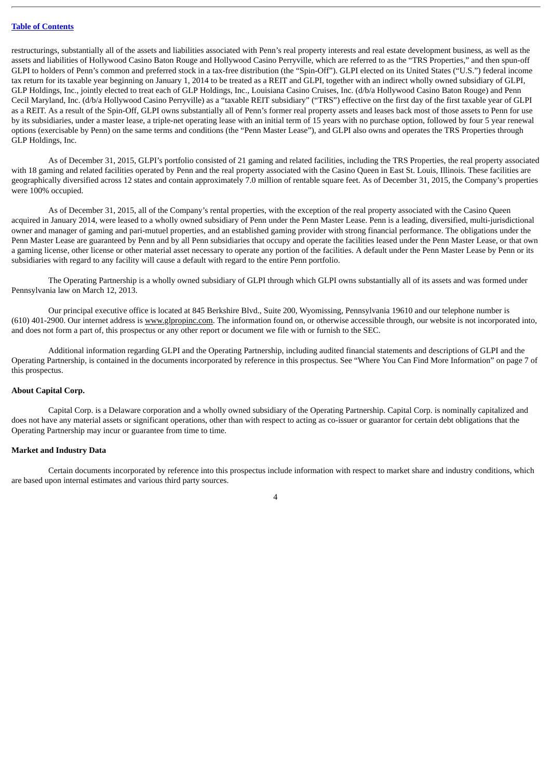restructurings, substantially all of the assets and liabilities associated with Penn's real property interests and real estate development business, as well as the assets and liabilities of Hollywood Casino Baton Rouge and Hollywood Casino Perryville, which are referred to as the "TRS Properties," and then spun-off GLPI to holders of Penn's common and preferred stock in a tax-free distribution (the "Spin-Off"). GLPI elected on its United States ("U.S.") federal income tax return for its taxable year beginning on January 1, 2014 to be treated as a REIT and GLPI, together with an indirect wholly owned subsidiary of GLPI, GLP Holdings, Inc., jointly elected to treat each of GLP Holdings, Inc., Louisiana Casino Cruises, Inc. (d/b/a Hollywood Casino Baton Rouge) and Penn Cecil Maryland, Inc. (d/b/a Hollywood Casino Perryville) as a "taxable REIT subsidiary" ("TRS") effective on the first day of the first taxable year of GLPI as a REIT. As a result of the Spin-Off, GLPI owns substantially all of Penn's former real property assets and leases back most of those assets to Penn for use by its subsidiaries, under a master lease, a triple-net operating lease with an initial term of 15 years with no purchase option, followed by four 5 year renewal options (exercisable by Penn) on the same terms and conditions (the "Penn Master Lease"), and GLPI also owns and operates the TRS Properties through GLP Holdings, Inc.

As of December 31, 2015, GLPI's portfolio consisted of 21 gaming and related facilities, including the TRS Properties, the real property associated with 18 gaming and related facilities operated by Penn and the real property associated with the Casino Queen in East St. Louis, Illinois. These facilities are geographically diversified across 12 states and contain approximately 7.0 million of rentable square feet. As of December 31, 2015, the Company's properties were 100% occupied.

As of December 31, 2015, all of the Company's rental properties, with the exception of the real property associated with the Casino Queen acquired in January 2014, were leased to a wholly owned subsidiary of Penn under the Penn Master Lease. Penn is a leading, diversified, multi-jurisdictional owner and manager of gaming and pari-mutuel properties, and an established gaming provider with strong financial performance. The obligations under the Penn Master Lease are guaranteed by Penn and by all Penn subsidiaries that occupy and operate the facilities leased under the Penn Master Lease, or that own a gaming license, other license or other material asset necessary to operate any portion of the facilities. A default under the Penn Master Lease by Penn or its subsidiaries with regard to any facility will cause a default with regard to the entire Penn portfolio.

The Operating Partnership is a wholly owned subsidiary of GLPI through which GLPI owns substantially all of its assets and was formed under Pennsylvania law on March 12, 2013.

Our principal executive office is located at 845 Berkshire Blvd., Suite 200, Wyomissing, Pennsylvania 19610 and our telephone number is (610) 401-2900. Our internet address is www.glpropinc.com. The information found on, or otherwise accessible through, our website is not incorporated into, and does not form a part of, this prospectus or any other report or document we file with or furnish to the SEC.

Additional information regarding GLPI and the Operating Partnership, including audited financial statements and descriptions of GLPI and the Operating Partnership, is contained in the documents incorporated by reference in this prospectus. See "Where You Can Find More Information" on page 7 of this prospectus.

## **About Capital Corp.**

Capital Corp. is a Delaware corporation and a wholly owned subsidiary of the Operating Partnership. Capital Corp. is nominally capitalized and does not have any material assets or significant operations, other than with respect to acting as co-issuer or guarantor for certain debt obligations that the Operating Partnership may incur or guarantee from time to time.

#### **Market and Industry Data**

Certain documents incorporated by reference into this prospectus include information with respect to market share and industry conditions, which are based upon internal estimates and various third party sources.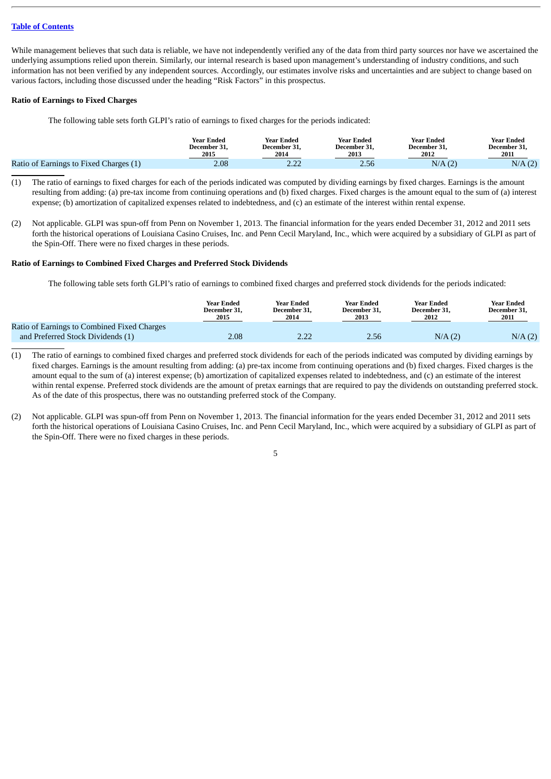While management believes that such data is reliable, we have not independently verified any of the data from third party sources nor have we ascertained the underlying assumptions relied upon therein. Similarly, our internal research is based upon management's understanding of industry conditions, and such information has not been verified by any independent sources. Accordingly, our estimates involve risks and uncertainties and are subject to change based on various factors, including those discussed under the heading "Risk Factors" in this prospectus.

#### **Ratio of Earnings to Fixed Charges**

The following table sets forth GLPI's ratio of earnings to fixed charges for the periods indicated:

|                                        | <b>Year Ended</b> | <b>Year Ended</b> | Year Ended   | <b>Year Ended</b> | Year Ended   |
|----------------------------------------|-------------------|-------------------|--------------|-------------------|--------------|
|                                        | December 31.      | December 31.      | December 31, | December 31.      | December 31. |
|                                        | 2015              | 2014              | 2013         | 2012              | 2011         |
| Ratio of Earnings to Fixed Charges (1) | 2.08              | ר ר<br>$- - -$    | 2.56         | N/A(2)            | N/A(2)       |

- (1) The ratio of earnings to fixed charges for each of the periods indicated was computed by dividing earnings by fixed charges. Earnings is the amount resulting from adding: (a) pre-tax income from continuing operations and (b) fixed charges. Fixed charges is the amount equal to the sum of (a) interest expense; (b) amortization of capitalized expenses related to indebtedness, and (c) an estimate of the interest within rental expense.
- (2) Not applicable. GLPI was spun-off from Penn on November 1, 2013. The financial information for the years ended December 31, 2012 and 2011 sets forth the historical operations of Louisiana Casino Cruises, Inc. and Penn Cecil Maryland, Inc., which were acquired by a subsidiary of GLPI as part of the Spin-Off. There were no fixed charges in these periods.

## **Ratio of Earnings to Combined Fixed Charges and Preferred Stock Dividends**

The following table sets forth GLPI's ratio of earnings to combined fixed charges and preferred stock dividends for the periods indicated:

|                                             | <b>Year Ended</b><br>December 31,<br>2015 | Year Ended<br>December 31.<br>2014 | <b>Year Ended</b><br>December 31.<br>2013 | <b>Year Ended</b><br>December 31.<br>2012 | <b>Year Ended</b><br>December 31,<br>2011 |
|---------------------------------------------|-------------------------------------------|------------------------------------|-------------------------------------------|-------------------------------------------|-------------------------------------------|
| Ratio of Earnings to Combined Fixed Charges |                                           |                                    |                                           |                                           |                                           |
| and Preferred Stock Dividends (1)           | 2.08                                      | רר ר<br><u>_.__</u>                | 2.56                                      | N/A(2)                                    | N/A(2)                                    |

- (1) The ratio of earnings to combined fixed charges and preferred stock dividends for each of the periods indicated was computed by dividing earnings by fixed charges. Earnings is the amount resulting from adding: (a) pre-tax income from continuing operations and (b) fixed charges. Fixed charges is the amount equal to the sum of (a) interest expense; (b) amortization of capitalized expenses related to indebtedness, and (c) an estimate of the interest within rental expense. Preferred stock dividends are the amount of pretax earnings that are required to pay the dividends on outstanding preferred stock. As of the date of this prospectus, there was no outstanding preferred stock of the Company.
- (2) Not applicable. GLPI was spun-off from Penn on November 1, 2013. The financial information for the years ended December 31, 2012 and 2011 sets forth the historical operations of Louisiana Casino Cruises, Inc. and Penn Cecil Maryland, Inc., which were acquired by a subsidiary of GLPI as part of the Spin-Off. There were no fixed charges in these periods.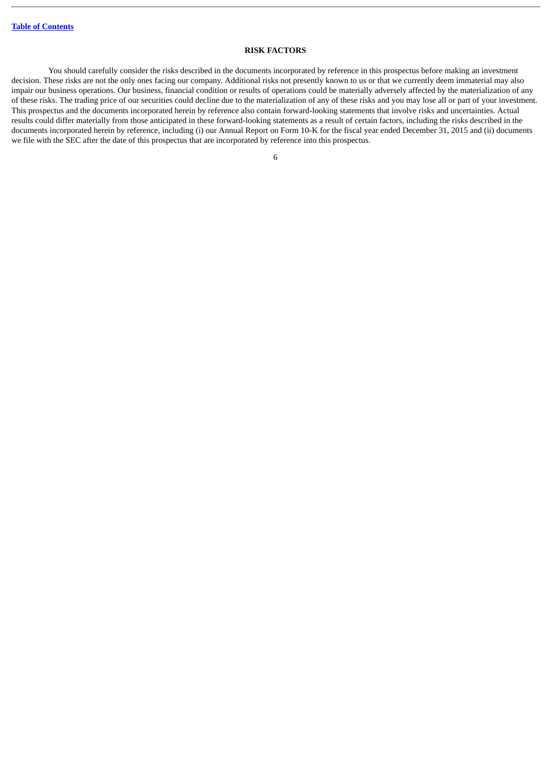## **RISK FACTORS**

<span id="page-32-0"></span>You should carefully consider the risks described in the documents incorporated by reference in this prospectus before making an investment decision. These risks are not the only ones facing our company. Additional risks not presently known to us or that we currently deem immaterial may also impair our business operations. Our business, financial condition or results of operations could be materially adversely affected by the materialization of any of these risks. The trading price of our securities could decline due to the materialization of any of these risks and you may lose all or part of your investment. This prospectus and the documents incorporated herein by reference also contain forward-looking statements that involve risks and uncertainties. Actual results could differ materially from those anticipated in these forward-looking statements as a result of certain factors, including the risks described in the documents incorporated herein by reference, including (i) our Annual Report on Form 10-K for the fiscal year ended December 31, 2015 and (ii) documents we file with the SEC after the date of this prospectus that are incorporated by reference into this prospectus.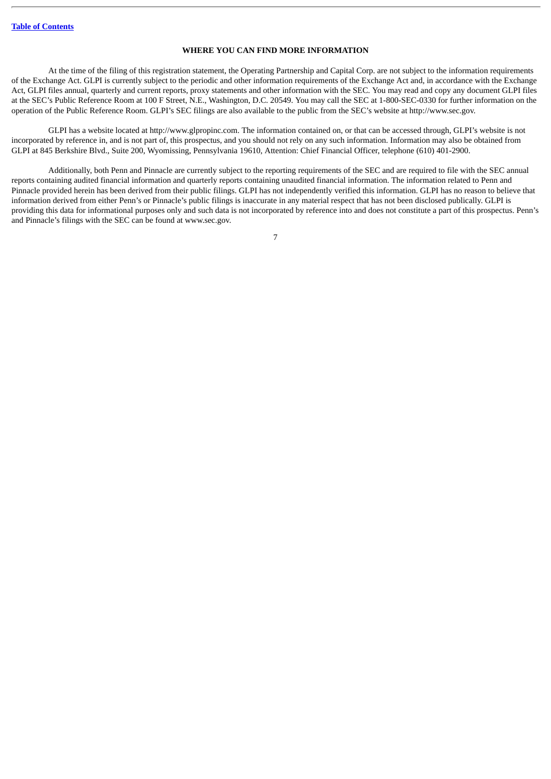## **WHERE YOU CAN FIND MORE INFORMATION**

<span id="page-33-0"></span>At the time of the filing of this registration statement, the Operating Partnership and Capital Corp. are not subject to the information requirements of the Exchange Act. GLPI is currently subject to the periodic and other information requirements of the Exchange Act and, in accordance with the Exchange Act, GLPI files annual, quarterly and current reports, proxy statements and other information with the SEC. You may read and copy any document GLPI files at the SEC's Public Reference Room at 100 F Street, N.E., Washington, D.C. 20549. You may call the SEC at 1-800-SEC-0330 for further information on the operation of the Public Reference Room. GLPI's SEC filings are also available to the public from the SEC's website at http://www.sec.gov.

GLPI has a website located at http://www.glpropinc.com. The information contained on, or that can be accessed through, GLPI's website is not incorporated by reference in, and is not part of, this prospectus, and you should not rely on any such information. Information may also be obtained from GLPI at 845 Berkshire Blvd., Suite 200, Wyomissing, Pennsylvania 19610, Attention: Chief Financial Officer, telephone (610) 401-2900.

Additionally, both Penn and Pinnacle are currently subject to the reporting requirements of the SEC and are required to file with the SEC annual reports containing audited financial information and quarterly reports containing unaudited financial information. The information related to Penn and Pinnacle provided herein has been derived from their public filings. GLPI has not independently verified this information. GLPI has no reason to believe that information derived from either Penn's or Pinnacle's public filings is inaccurate in any material respect that has not been disclosed publically. GLPI is providing this data for informational purposes only and such data is not incorporated by reference into and does not constitute a part of this prospectus. Penn's and Pinnacle's filings with the SEC can be found at www.sec.gov.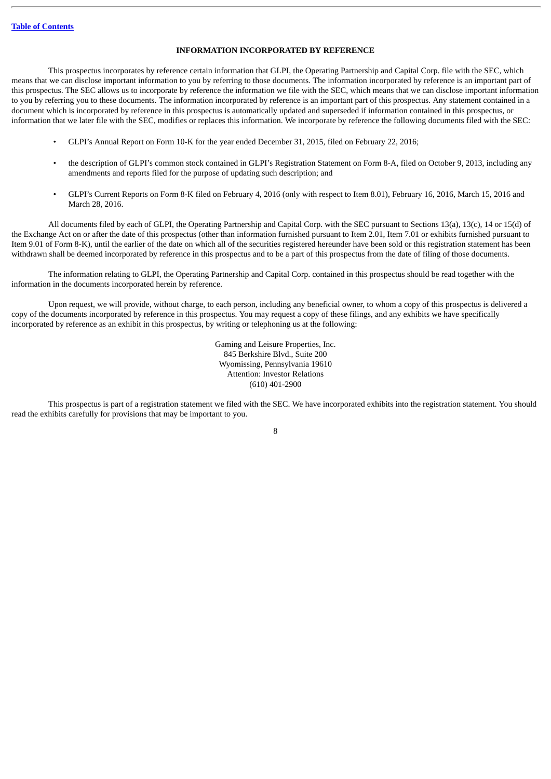## **INFORMATION INCORPORATED BY REFERENCE**

<span id="page-34-0"></span>This prospectus incorporates by reference certain information that GLPI, the Operating Partnership and Capital Corp. file with the SEC, which means that we can disclose important information to you by referring to those documents. The information incorporated by reference is an important part of this prospectus. The SEC allows us to incorporate by reference the information we file with the SEC, which means that we can disclose important information to you by referring you to these documents. The information incorporated by reference is an important part of this prospectus. Any statement contained in a document which is incorporated by reference in this prospectus is automatically updated and superseded if information contained in this prospectus, or information that we later file with the SEC, modifies or replaces this information. We incorporate by reference the following documents filed with the SEC:

- GLPI's Annual Report on Form 10-K for the year ended December 31, 2015, filed on February 22, 2016;
- the description of GLPI's common stock contained in GLPI's Registration Statement on Form 8-A, filed on October 9, 2013, including any amendments and reports filed for the purpose of updating such description; and
- GLPI's Current Reports on Form 8-K filed on February 4, 2016 (only with respect to Item 8.01), February 16, 2016, March 15, 2016 and March 28, 2016.

All documents filed by each of GLPI, the Operating Partnership and Capital Corp. with the SEC pursuant to Sections 13(a), 13(c), 14 or 15(d) of the Exchange Act on or after the date of this prospectus (other than information furnished pursuant to Item 2.01, Item 7.01 or exhibits furnished pursuant to Item 9.01 of Form 8-K), until the earlier of the date on which all of the securities registered hereunder have been sold or this registration statement has been withdrawn shall be deemed incorporated by reference in this prospectus and to be a part of this prospectus from the date of filing of those documents.

The information relating to GLPI, the Operating Partnership and Capital Corp. contained in this prospectus should be read together with the information in the documents incorporated herein by reference.

Upon request, we will provide, without charge, to each person, including any beneficial owner, to whom a copy of this prospectus is delivered a copy of the documents incorporated by reference in this prospectus. You may request a copy of these filings, and any exhibits we have specifically incorporated by reference as an exhibit in this prospectus, by writing or telephoning us at the following:

> Gaming and Leisure Properties, Inc. 845 Berkshire Blvd., Suite 200 Wyomissing, Pennsylvania 19610 Attention: Investor Relations (610) 401-2900

This prospectus is part of a registration statement we filed with the SEC. We have incorporated exhibits into the registration statement. You should read the exhibits carefully for provisions that may be important to you.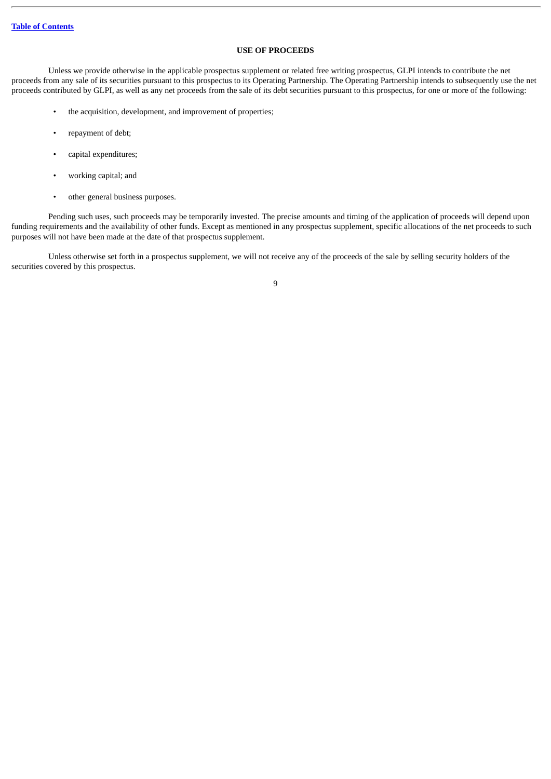## **USE OF PROCEEDS**

<span id="page-35-0"></span>Unless we provide otherwise in the applicable prospectus supplement or related free writing prospectus, GLPI intends to contribute the net proceeds from any sale of its securities pursuant to this prospectus to its Operating Partnership. The Operating Partnership intends to subsequently use the net proceeds contributed by GLPI, as well as any net proceeds from the sale of its debt securities pursuant to this prospectus, for one or more of the following:

- the acquisition, development, and improvement of properties;
- repayment of debt;
- capital expenditures;
- working capital; and
- other general business purposes.

Pending such uses, such proceeds may be temporarily invested. The precise amounts and timing of the application of proceeds will depend upon funding requirements and the availability of other funds. Except as mentioned in any prospectus supplement, specific allocations of the net proceeds to such purposes will not have been made at the date of that prospectus supplement.

Unless otherwise set forth in a prospectus supplement, we will not receive any of the proceeds of the sale by selling security holders of the securities covered by this prospectus.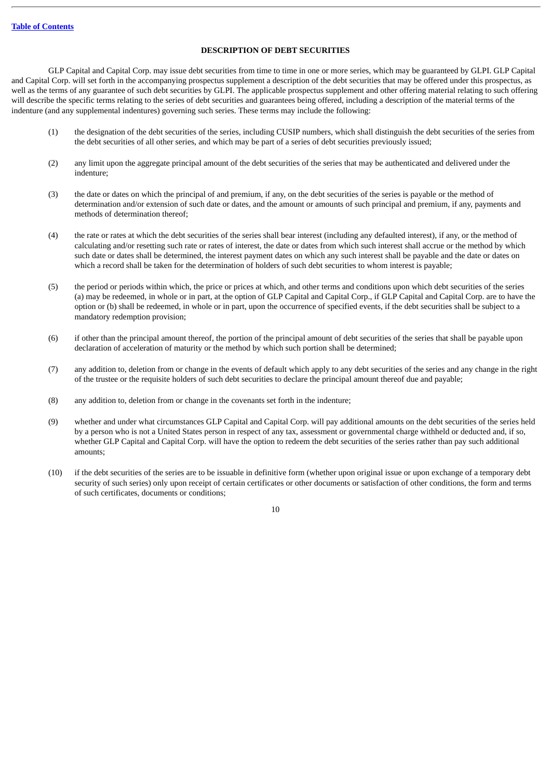# **DESCRIPTION OF DEBT SECURITIES**

GLP Capital and Capital Corp. may issue debt securities from time to time in one or more series, which may be guaranteed by GLPI. GLP Capital and Capital Corp. will set forth in the accompanying prospectus supplement a description of the debt securities that may be offered under this prospectus, as well as the terms of any guarantee of such debt securities by GLPI. The applicable prospectus supplement and other offering material relating to such offering will describe the specific terms relating to the series of debt securities and guarantees being offered, including a description of the material terms of the indenture (and any supplemental indentures) governing such series. These terms may include the following:

- (1) the designation of the debt securities of the series, including CUSIP numbers, which shall distinguish the debt securities of the series from the debt securities of all other series, and which may be part of a series of debt securities previously issued;
- (2) any limit upon the aggregate principal amount of the debt securities of the series that may be authenticated and delivered under the indenture;
- (3) the date or dates on which the principal of and premium, if any, on the debt securities of the series is payable or the method of determination and/or extension of such date or dates, and the amount or amounts of such principal and premium, if any, payments and methods of determination thereof;
- (4) the rate or rates at which the debt securities of the series shall bear interest (including any defaulted interest), if any, or the method of calculating and/or resetting such rate or rates of interest, the date or dates from which such interest shall accrue or the method by which such date or dates shall be determined, the interest payment dates on which any such interest shall be payable and the date or dates on which a record shall be taken for the determination of holders of such debt securities to whom interest is payable;
- (5) the period or periods within which, the price or prices at which, and other terms and conditions upon which debt securities of the series (a) may be redeemed, in whole or in part, at the option of GLP Capital and Capital Corp., if GLP Capital and Capital Corp. are to have the option or (b) shall be redeemed, in whole or in part, upon the occurrence of specified events, if the debt securities shall be subject to a mandatory redemption provision;
- (6) if other than the principal amount thereof, the portion of the principal amount of debt securities of the series that shall be payable upon declaration of acceleration of maturity or the method by which such portion shall be determined;
- (7) any addition to, deletion from or change in the events of default which apply to any debt securities of the series and any change in the right of the trustee or the requisite holders of such debt securities to declare the principal amount thereof due and payable;
- (8) any addition to, deletion from or change in the covenants set forth in the indenture;
- (9) whether and under what circumstances GLP Capital and Capital Corp. will pay additional amounts on the debt securities of the series held by a person who is not a United States person in respect of any tax, assessment or governmental charge withheld or deducted and, if so, whether GLP Capital and Capital Corp. will have the option to redeem the debt securities of the series rather than pay such additional amounts;
- (10) if the debt securities of the series are to be issuable in definitive form (whether upon original issue or upon exchange of a temporary debt security of such series) only upon receipt of certain certificates or other documents or satisfaction of other conditions, the form and terms of such certificates, documents or conditions;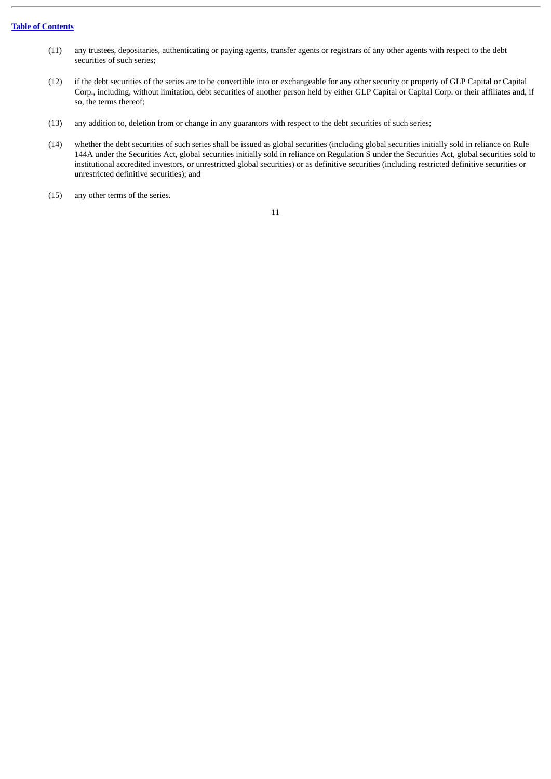- (11) any trustees, depositaries, authenticating or paying agents, transfer agents or registrars of any other agents with respect to the debt securities of such series;
- (12) if the debt securities of the series are to be convertible into or exchangeable for any other security or property of GLP Capital or Capital Corp., including, without limitation, debt securities of another person held by either GLP Capital or Capital Corp. or their affiliates and, if so, the terms thereof;
- (13) any addition to, deletion from or change in any guarantors with respect to the debt securities of such series;
- (14) whether the debt securities of such series shall be issued as global securities (including global securities initially sold in reliance on Rule 144A under the Securities Act, global securities initially sold in reliance on Regulation S under the Securities Act, global securities sold to institutional accredited investors, or unrestricted global securities) or as definitive securities (including restricted definitive securities or unrestricted definitive securities); and
- (15) any other terms of the series.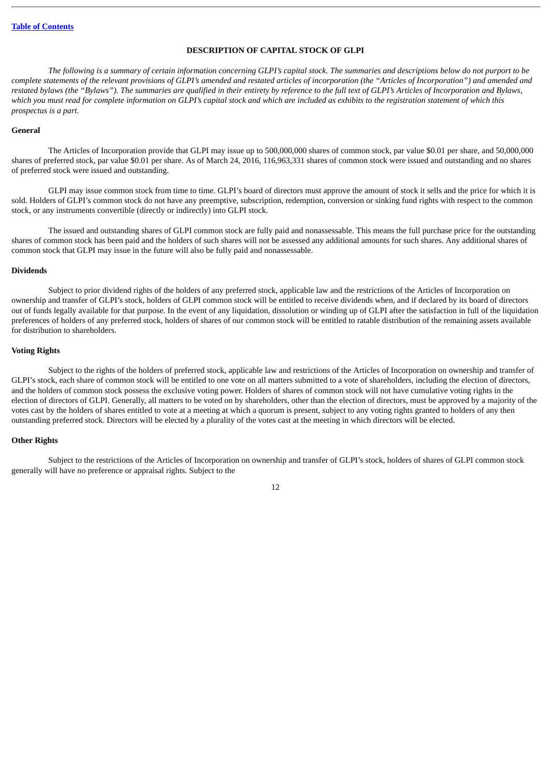# **DESCRIPTION OF CAPITAL STOCK OF GLPI**

The following is a summary of certain information concerning GLPI's capital stock. The summaries and descriptions below do not purport to be complete statements of the relevant provisions of GLPI's amended and restated articles of incorporation (the "Articles of Incorporation") and amended and restated bylaws (the "Bylaws"). The summaries are qualified in their entirety by reference to the full text of GLPI's Articles of Incorporation and Bylaws, which you must read for complete information on GLPI's capital stock and which are included as exhibits to the registration statement of which this *prospectus is a part.*

### **General**

The Articles of Incorporation provide that GLPI may issue up to 500,000,000 shares of common stock, par value \$0.01 per share, and 50,000,000 shares of preferred stock, par value \$0.01 per share. As of March 24, 2016, 116,963,331 shares of common stock were issued and outstanding and no shares of preferred stock were issued and outstanding.

GLPI may issue common stock from time to time. GLPI's board of directors must approve the amount of stock it sells and the price for which it is sold. Holders of GLPI's common stock do not have any preemptive, subscription, redemption, conversion or sinking fund rights with respect to the common stock, or any instruments convertible (directly or indirectly) into GLPI stock.

The issued and outstanding shares of GLPI common stock are fully paid and nonassessable. This means the full purchase price for the outstanding shares of common stock has been paid and the holders of such shares will not be assessed any additional amounts for such shares. Any additional shares of common stock that GLPI may issue in the future will also be fully paid and nonassessable.

#### **Dividends**

Subject to prior dividend rights of the holders of any preferred stock, applicable law and the restrictions of the Articles of Incorporation on ownership and transfer of GLPI's stock, holders of GLPI common stock will be entitled to receive dividends when, and if declared by its board of directors out of funds legally available for that purpose. In the event of any liquidation, dissolution or winding up of GLPI after the satisfaction in full of the liquidation preferences of holders of any preferred stock, holders of shares of our common stock will be entitled to ratable distribution of the remaining assets available for distribution to shareholders.

## **Voting Rights**

Subject to the rights of the holders of preferred stock, applicable law and restrictions of the Articles of Incorporation on ownership and transfer of GLPI's stock, each share of common stock will be entitled to one vote on all matters submitted to a vote of shareholders, including the election of directors, and the holders of common stock possess the exclusive voting power. Holders of shares of common stock will not have cumulative voting rights in the election of directors of GLPI. Generally, all matters to be voted on by shareholders, other than the election of directors, must be approved by a majority of the votes cast by the holders of shares entitled to vote at a meeting at which a quorum is present, subject to any voting rights granted to holders of any then outstanding preferred stock. Directors will be elected by a plurality of the votes cast at the meeting in which directors will be elected.

#### **Other Rights**

Subject to the restrictions of the Articles of Incorporation on ownership and transfer of GLPI's stock, holders of shares of GLPI common stock generally will have no preference or appraisal rights. Subject to the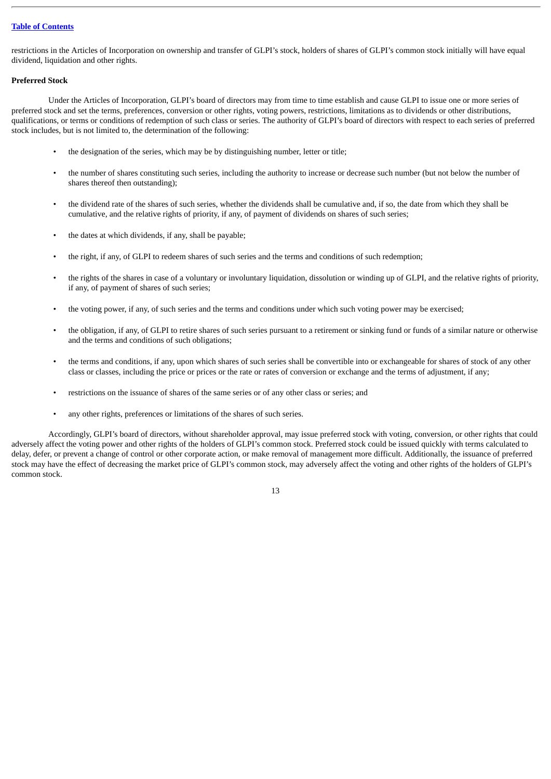restrictions in the Articles of Incorporation on ownership and transfer of GLPI's stock, holders of shares of GLPI's common stock initially will have equal dividend, liquidation and other rights.

# **Preferred Stock**

Under the Articles of Incorporation, GLPI's board of directors may from time to time establish and cause GLPI to issue one or more series of preferred stock and set the terms, preferences, conversion or other rights, voting powers, restrictions, limitations as to dividends or other distributions, qualifications, or terms or conditions of redemption of such class or series. The authority of GLPI's board of directors with respect to each series of preferred stock includes, but is not limited to, the determination of the following:

- the designation of the series, which may be by distinguishing number, letter or title;
- the number of shares constituting such series, including the authority to increase or decrease such number (but not below the number of shares thereof then outstanding);
- the dividend rate of the shares of such series, whether the dividends shall be cumulative and, if so, the date from which they shall be cumulative, and the relative rights of priority, if any, of payment of dividends on shares of such series;
- the dates at which dividends, if any, shall be payable;
- the right, if any, of GLPI to redeem shares of such series and the terms and conditions of such redemption;
- the rights of the shares in case of a voluntary or involuntary liquidation, dissolution or winding up of GLPI, and the relative rights of priority, if any, of payment of shares of such series;
- the voting power, if any, of such series and the terms and conditions under which such voting power may be exercised;
- the obligation, if any, of GLPI to retire shares of such series pursuant to a retirement or sinking fund or funds of a similar nature or otherwise and the terms and conditions of such obligations;
- the terms and conditions, if any, upon which shares of such series shall be convertible into or exchangeable for shares of stock of any other class or classes, including the price or prices or the rate or rates of conversion or exchange and the terms of adjustment, if any;
- restrictions on the issuance of shares of the same series or of any other class or series; and
- any other rights, preferences or limitations of the shares of such series.

Accordingly, GLPI's board of directors, without shareholder approval, may issue preferred stock with voting, conversion, or other rights that could adversely affect the voting power and other rights of the holders of GLPI's common stock. Preferred stock could be issued quickly with terms calculated to delay, defer, or prevent a change of control or other corporate action, or make removal of management more difficult. Additionally, the issuance of preferred stock may have the effect of decreasing the market price of GLPI's common stock, may adversely affect the voting and other rights of the holders of GLPI's common stock.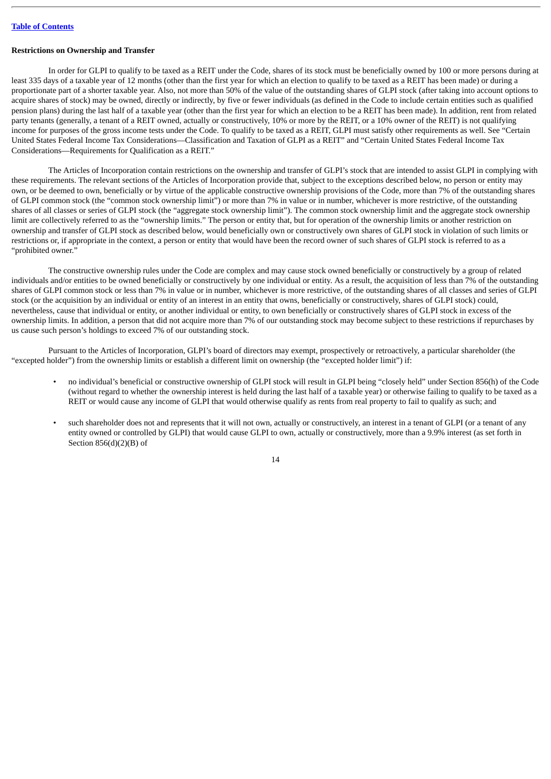# **Restrictions on Ownership and Transfer**

In order for GLPI to qualify to be taxed as a REIT under the Code, shares of its stock must be beneficially owned by 100 or more persons during at least 335 days of a taxable year of 12 months (other than the first year for which an election to qualify to be taxed as a REIT has been made) or during a proportionate part of a shorter taxable year. Also, not more than 50% of the value of the outstanding shares of GLPI stock (after taking into account options to acquire shares of stock) may be owned, directly or indirectly, by five or fewer individuals (as defined in the Code to include certain entities such as qualified pension plans) during the last half of a taxable year (other than the first year for which an election to be a REIT has been made). In addition, rent from related party tenants (generally, a tenant of a REIT owned, actually or constructively, 10% or more by the REIT, or a 10% owner of the REIT) is not qualifying income for purposes of the gross income tests under the Code. To qualify to be taxed as a REIT, GLPI must satisfy other requirements as well. See "Certain United States Federal Income Tax Considerations—Classification and Taxation of GLPI as a REIT" and "Certain United States Federal Income Tax Considerations—Requirements for Qualification as a REIT."

The Articles of Incorporation contain restrictions on the ownership and transfer of GLPI's stock that are intended to assist GLPI in complying with these requirements. The relevant sections of the Articles of Incorporation provide that, subject to the exceptions described below, no person or entity may own, or be deemed to own, beneficially or by virtue of the applicable constructive ownership provisions of the Code, more than 7% of the outstanding shares of GLPI common stock (the "common stock ownership limit") or more than 7% in value or in number, whichever is more restrictive, of the outstanding shares of all classes or series of GLPI stock (the "aggregate stock ownership limit"). The common stock ownership limit and the aggregate stock ownership limit are collectively referred to as the "ownership limits." The person or entity that, but for operation of the ownership limits or another restriction on ownership and transfer of GLPI stock as described below, would beneficially own or constructively own shares of GLPI stock in violation of such limits or restrictions or, if appropriate in the context, a person or entity that would have been the record owner of such shares of GLPI stock is referred to as a "prohibited owner."

The constructive ownership rules under the Code are complex and may cause stock owned beneficially or constructively by a group of related individuals and/or entities to be owned beneficially or constructively by one individual or entity. As a result, the acquisition of less than 7% of the outstanding shares of GLPI common stock or less than 7% in value or in number, whichever is more restrictive, of the outstanding shares of all classes and series of GLPI stock (or the acquisition by an individual or entity of an interest in an entity that owns, beneficially or constructively, shares of GLPI stock) could, nevertheless, cause that individual or entity, or another individual or entity, to own beneficially or constructively shares of GLPI stock in excess of the ownership limits. In addition, a person that did not acquire more than 7% of our outstanding stock may become subject to these restrictions if repurchases by us cause such person's holdings to exceed 7% of our outstanding stock.

Pursuant to the Articles of Incorporation, GLPI's board of directors may exempt, prospectively or retroactively, a particular shareholder (the "excepted holder") from the ownership limits or establish a different limit on ownership (the "excepted holder limit") if:

- no individual's beneficial or constructive ownership of GLPI stock will result in GLPI being "closely held" under Section 856(h) of the Code (without regard to whether the ownership interest is held during the last half of a taxable year) or otherwise failing to qualify to be taxed as a REIT or would cause any income of GLPI that would otherwise qualify as rents from real property to fail to qualify as such; and
- such shareholder does not and represents that it will not own, actually or constructively, an interest in a tenant of GLPI (or a tenant of any entity owned or controlled by GLPI) that would cause GLPI to own, actually or constructively, more than a 9.9% interest (as set forth in Section 856(d)(2)(B) of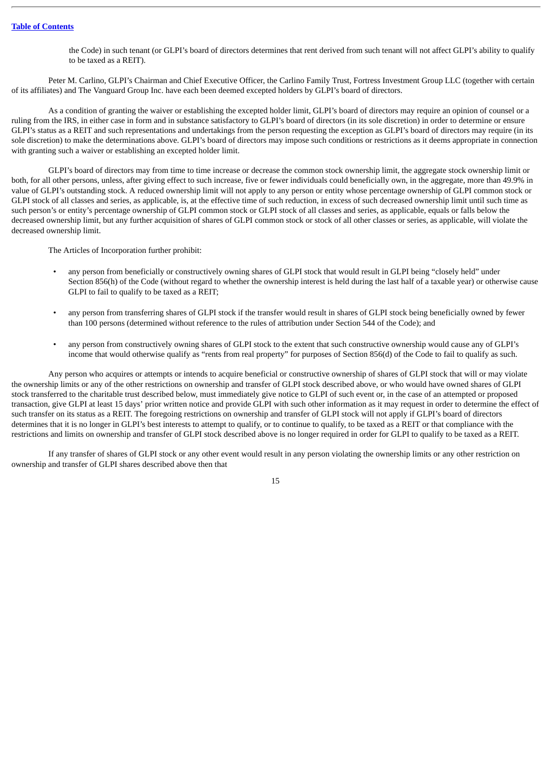the Code) in such tenant (or GLPI's board of directors determines that rent derived from such tenant will not affect GLPI's ability to qualify to be taxed as a REIT).

Peter M. Carlino, GLPI's Chairman and Chief Executive Officer, the Carlino Family Trust, Fortress Investment Group LLC (together with certain of its affiliates) and The Vanguard Group Inc. have each been deemed excepted holders by GLPI's board of directors.

As a condition of granting the waiver or establishing the excepted holder limit, GLPI's board of directors may require an opinion of counsel or a ruling from the IRS, in either case in form and in substance satisfactory to GLPI's board of directors (in its sole discretion) in order to determine or ensure GLPI's status as a REIT and such representations and undertakings from the person requesting the exception as GLPI's board of directors may require (in its sole discretion) to make the determinations above. GLPI's board of directors may impose such conditions or restrictions as it deems appropriate in connection with granting such a waiver or establishing an excepted holder limit.

GLPI's board of directors may from time to time increase or decrease the common stock ownership limit, the aggregate stock ownership limit or both, for all other persons, unless, after giving effect to such increase, five or fewer individuals could beneficially own, in the aggregate, more than 49.9% in value of GLPI's outstanding stock. A reduced ownership limit will not apply to any person or entity whose percentage ownership of GLPI common stock or GLPI stock of all classes and series, as applicable, is, at the effective time of such reduction, in excess of such decreased ownership limit until such time as such person's or entity's percentage ownership of GLPI common stock or GLPI stock of all classes and series, as applicable, equals or falls below the decreased ownership limit, but any further acquisition of shares of GLPI common stock or stock of all other classes or series, as applicable, will violate the decreased ownership limit.

The Articles of Incorporation further prohibit:

- any person from beneficially or constructively owning shares of GLPI stock that would result in GLPI being "closely held" under Section 856(h) of the Code (without regard to whether the ownership interest is held during the last half of a taxable year) or otherwise cause GLPI to fail to qualify to be taxed as a REIT;
- any person from transferring shares of GLPI stock if the transfer would result in shares of GLPI stock being beneficially owned by fewer than 100 persons (determined without reference to the rules of attribution under Section 544 of the Code); and
- any person from constructively owning shares of GLPI stock to the extent that such constructive ownership would cause any of GLPI's income that would otherwise qualify as "rents from real property" for purposes of Section 856(d) of the Code to fail to qualify as such.

Any person who acquires or attempts or intends to acquire beneficial or constructive ownership of shares of GLPI stock that will or may violate the ownership limits or any of the other restrictions on ownership and transfer of GLPI stock described above, or who would have owned shares of GLPI stock transferred to the charitable trust described below, must immediately give notice to GLPI of such event or, in the case of an attempted or proposed transaction, give GLPI at least 15 days' prior written notice and provide GLPI with such other information as it may request in order to determine the effect of such transfer on its status as a REIT. The foregoing restrictions on ownership and transfer of GLPI stock will not apply if GLPI's board of directors determines that it is no longer in GLPI's best interests to attempt to qualify, or to continue to qualify, to be taxed as a REIT or that compliance with the restrictions and limits on ownership and transfer of GLPI stock described above is no longer required in order for GLPI to qualify to be taxed as a REIT.

If any transfer of shares of GLPI stock or any other event would result in any person violating the ownership limits or any other restriction on ownership and transfer of GLPI shares described above then that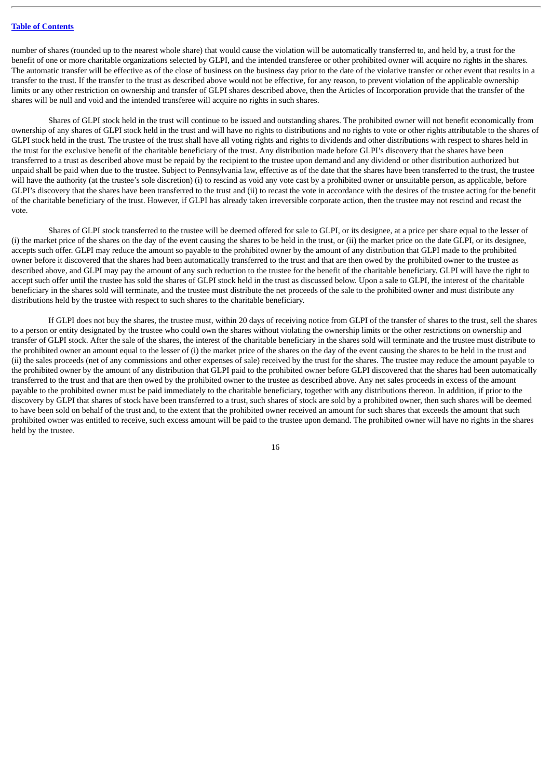number of shares (rounded up to the nearest whole share) that would cause the violation will be automatically transferred to, and held by, a trust for the benefit of one or more charitable organizations selected by GLPI, and the intended transferee or other prohibited owner will acquire no rights in the shares. The automatic transfer will be effective as of the close of business on the business day prior to the date of the violative transfer or other event that results in a transfer to the trust. If the transfer to the trust as described above would not be effective, for any reason, to prevent violation of the applicable ownership limits or any other restriction on ownership and transfer of GLPI shares described above, then the Articles of Incorporation provide that the transfer of the shares will be null and void and the intended transferee will acquire no rights in such shares.

Shares of GLPI stock held in the trust will continue to be issued and outstanding shares. The prohibited owner will not benefit economically from ownership of any shares of GLPI stock held in the trust and will have no rights to distributions and no rights to vote or other rights attributable to the shares of GLPI stock held in the trust. The trustee of the trust shall have all voting rights and rights to dividends and other distributions with respect to shares held in the trust for the exclusive benefit of the charitable beneficiary of the trust. Any distribution made before GLPI's discovery that the shares have been transferred to a trust as described above must be repaid by the recipient to the trustee upon demand and any dividend or other distribution authorized but unpaid shall be paid when due to the trustee. Subject to Pennsylvania law, effective as of the date that the shares have been transferred to the trust, the trustee will have the authority (at the trustee's sole discretion) (i) to rescind as void any vote cast by a prohibited owner or unsuitable person, as applicable, before GLPI's discovery that the shares have been transferred to the trust and (ii) to recast the vote in accordance with the desires of the trustee acting for the benefit of the charitable beneficiary of the trust. However, if GLPI has already taken irreversible corporate action, then the trustee may not rescind and recast the vote.

Shares of GLPI stock transferred to the trustee will be deemed offered for sale to GLPI, or its designee, at a price per share equal to the lesser of (i) the market price of the shares on the day of the event causing the shares to be held in the trust, or (ii) the market price on the date GLPI, or its designee, accepts such offer. GLPI may reduce the amount so payable to the prohibited owner by the amount of any distribution that GLPI made to the prohibited owner before it discovered that the shares had been automatically transferred to the trust and that are then owed by the prohibited owner to the trustee as described above, and GLPI may pay the amount of any such reduction to the trustee for the benefit of the charitable beneficiary. GLPI will have the right to accept such offer until the trustee has sold the shares of GLPI stock held in the trust as discussed below. Upon a sale to GLPI, the interest of the charitable beneficiary in the shares sold will terminate, and the trustee must distribute the net proceeds of the sale to the prohibited owner and must distribute any distributions held by the trustee with respect to such shares to the charitable beneficiary.

If GLPI does not buy the shares, the trustee must, within 20 days of receiving notice from GLPI of the transfer of shares to the trust, sell the shares to a person or entity designated by the trustee who could own the shares without violating the ownership limits or the other restrictions on ownership and transfer of GLPI stock. After the sale of the shares, the interest of the charitable beneficiary in the shares sold will terminate and the trustee must distribute to the prohibited owner an amount equal to the lesser of (i) the market price of the shares on the day of the event causing the shares to be held in the trust and (ii) the sales proceeds (net of any commissions and other expenses of sale) received by the trust for the shares. The trustee may reduce the amount payable to the prohibited owner by the amount of any distribution that GLPI paid to the prohibited owner before GLPI discovered that the shares had been automatically transferred to the trust and that are then owed by the prohibited owner to the trustee as described above. Any net sales proceeds in excess of the amount payable to the prohibited owner must be paid immediately to the charitable beneficiary, together with any distributions thereon. In addition, if prior to the discovery by GLPI that shares of stock have been transferred to a trust, such shares of stock are sold by a prohibited owner, then such shares will be deemed to have been sold on behalf of the trust and, to the extent that the prohibited owner received an amount for such shares that exceeds the amount that such prohibited owner was entitled to receive, such excess amount will be paid to the trustee upon demand. The prohibited owner will have no rights in the shares held by the trustee.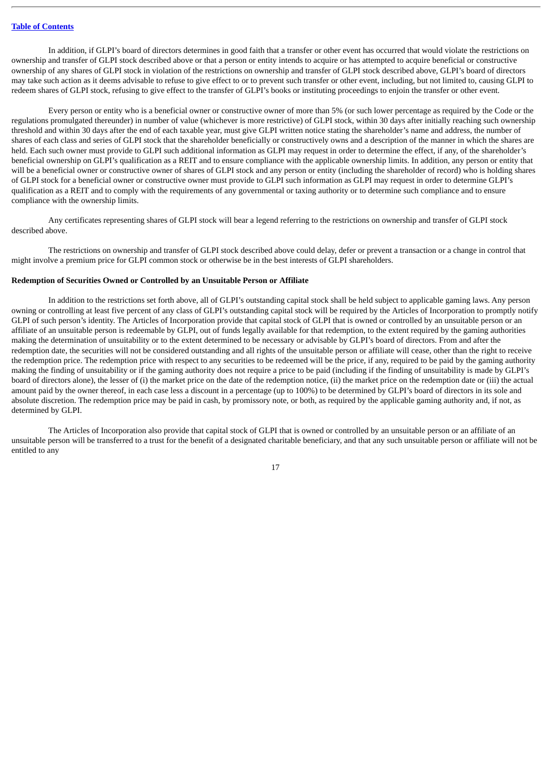In addition, if GLPI's board of directors determines in good faith that a transfer or other event has occurred that would violate the restrictions on ownership and transfer of GLPI stock described above or that a person or entity intends to acquire or has attempted to acquire beneficial or constructive ownership of any shares of GLPI stock in violation of the restrictions on ownership and transfer of GLPI stock described above, GLPI's board of directors may take such action as it deems advisable to refuse to give effect to or to prevent such transfer or other event, including, but not limited to, causing GLPI to redeem shares of GLPI stock, refusing to give effect to the transfer of GLPI's books or instituting proceedings to enjoin the transfer or other event.

Every person or entity who is a beneficial owner or constructive owner of more than 5% (or such lower percentage as required by the Code or the regulations promulgated thereunder) in number of value (whichever is more restrictive) of GLPI stock, within 30 days after initially reaching such ownership threshold and within 30 days after the end of each taxable year, must give GLPI written notice stating the shareholder's name and address, the number of shares of each class and series of GLPI stock that the shareholder beneficially or constructively owns and a description of the manner in which the shares are held. Each such owner must provide to GLPI such additional information as GLPI may request in order to determine the effect, if any, of the shareholder's beneficial ownership on GLPI's qualification as a REIT and to ensure compliance with the applicable ownership limits. In addition, any person or entity that will be a beneficial owner or constructive owner of shares of GLPI stock and any person or entity (including the shareholder of record) who is holding shares of GLPI stock for a beneficial owner or constructive owner must provide to GLPI such information as GLPI may request in order to determine GLPI's qualification as a REIT and to comply with the requirements of any governmental or taxing authority or to determine such compliance and to ensure compliance with the ownership limits.

Any certificates representing shares of GLPI stock will bear a legend referring to the restrictions on ownership and transfer of GLPI stock described above.

The restrictions on ownership and transfer of GLPI stock described above could delay, defer or prevent a transaction or a change in control that might involve a premium price for GLPI common stock or otherwise be in the best interests of GLPI shareholders.

# **Redemption of Securities Owned or Controlled by an Unsuitable Person or Affiliate**

In addition to the restrictions set forth above, all of GLPI's outstanding capital stock shall be held subject to applicable gaming laws. Any person owning or controlling at least five percent of any class of GLPI's outstanding capital stock will be required by the Articles of Incorporation to promptly notify GLPI of such person's identity. The Articles of Incorporation provide that capital stock of GLPI that is owned or controlled by an unsuitable person or an affiliate of an unsuitable person is redeemable by GLPI, out of funds legally available for that redemption, to the extent required by the gaming authorities making the determination of unsuitability or to the extent determined to be necessary or advisable by GLPI's board of directors. From and after the redemption date, the securities will not be considered outstanding and all rights of the unsuitable person or affiliate will cease, other than the right to receive the redemption price. The redemption price with respect to any securities to be redeemed will be the price, if any, required to be paid by the gaming authority making the finding of unsuitability or if the gaming authority does not require a price to be paid (including if the finding of unsuitability is made by GLPI's board of directors alone), the lesser of (i) the market price on the date of the redemption notice, (ii) the market price on the redemption date or (iii) the actual amount paid by the owner thereof, in each case less a discount in a percentage (up to 100%) to be determined by GLPI's board of directors in its sole and absolute discretion. The redemption price may be paid in cash, by promissory note, or both, as required by the applicable gaming authority and, if not, as determined by GLPI.

The Articles of Incorporation also provide that capital stock of GLPI that is owned or controlled by an unsuitable person or an affiliate of an unsuitable person will be transferred to a trust for the benefit of a designated charitable beneficiary, and that any such unsuitable person or affiliate will not be entitled to any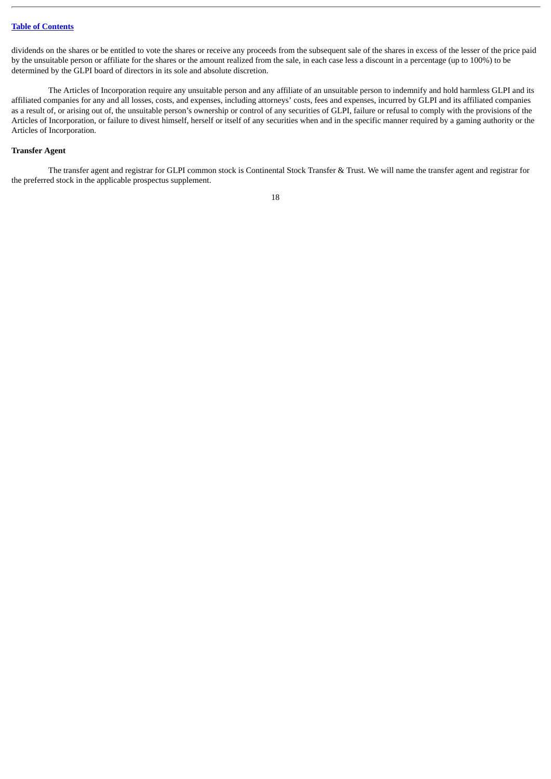dividends on the shares or be entitled to vote the shares or receive any proceeds from the subsequent sale of the shares in excess of the lesser of the price paid by the unsuitable person or affiliate for the shares or the amount realized from the sale, in each case less a discount in a percentage (up to 100%) to be determined by the GLPI board of directors in its sole and absolute discretion.

The Articles of Incorporation require any unsuitable person and any affiliate of an unsuitable person to indemnify and hold harmless GLPI and its affiliated companies for any and all losses, costs, and expenses, including attorneys' costs, fees and expenses, incurred by GLPI and its affiliated companies as a result of, or arising out of, the unsuitable person's ownership or control of any securities of GLPI, failure or refusal to comply with the provisions of the Articles of Incorporation, or failure to divest himself, herself or itself of any securities when and in the specific manner required by a gaming authority or the Articles of Incorporation.

# **Transfer Agent**

The transfer agent and registrar for GLPI common stock is Continental Stock Transfer & Trust. We will name the transfer agent and registrar for the preferred stock in the applicable prospectus supplement.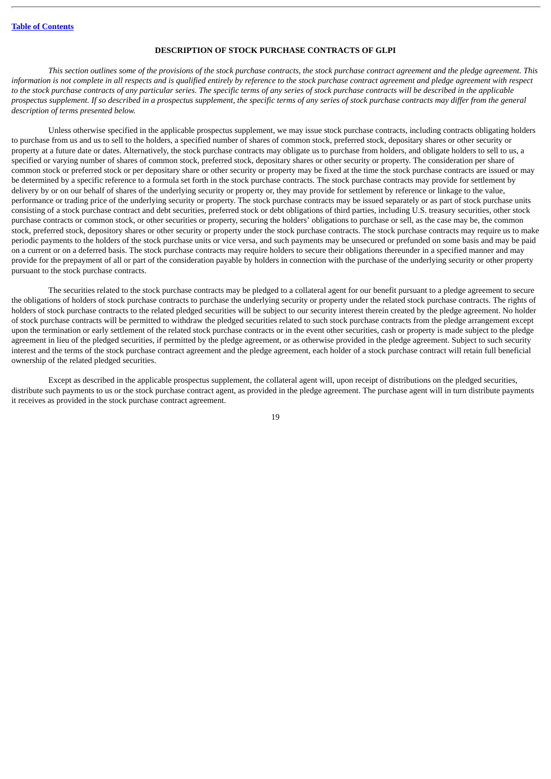# **DESCRIPTION OF STOCK PURCHASE CONTRACTS OF GLPI**

This section outlines some of the provisions of the stock purchase contracts, the stock purchase contract agreement and the pledge agreement. This information is not complete in all respects and is qualified entirely by reference to the stock purchase contract agreement and pledge agreement with respect to the stock purchase contracts of any particular series. The specific terms of any series of stock purchase contracts will be described in the applicable prospectus supplement. If so described in a prospectus supplement, the specific terms of any series of stock purchase contracts may differ from the general *description of terms presented below.*

Unless otherwise specified in the applicable prospectus supplement, we may issue stock purchase contracts, including contracts obligating holders to purchase from us and us to sell to the holders, a specified number of shares of common stock, preferred stock, depositary shares or other security or property at a future date or dates. Alternatively, the stock purchase contracts may obligate us to purchase from holders, and obligate holders to sell to us, a specified or varying number of shares of common stock, preferred stock, depositary shares or other security or property. The consideration per share of common stock or preferred stock or per depositary share or other security or property may be fixed at the time the stock purchase contracts are issued or may be determined by a specific reference to a formula set forth in the stock purchase contracts. The stock purchase contracts may provide for settlement by delivery by or on our behalf of shares of the underlying security or property or, they may provide for settlement by reference or linkage to the value, performance or trading price of the underlying security or property. The stock purchase contracts may be issued separately or as part of stock purchase units consisting of a stock purchase contract and debt securities, preferred stock or debt obligations of third parties, including U.S. treasury securities, other stock purchase contracts or common stock, or other securities or property, securing the holders' obligations to purchase or sell, as the case may be, the common stock, preferred stock, depository shares or other security or property under the stock purchase contracts. The stock purchase contracts may require us to make periodic payments to the holders of the stock purchase units or vice versa, and such payments may be unsecured or prefunded on some basis and may be paid on a current or on a deferred basis. The stock purchase contracts may require holders to secure their obligations thereunder in a specified manner and may provide for the prepayment of all or part of the consideration payable by holders in connection with the purchase of the underlying security or other property pursuant to the stock purchase contracts.

The securities related to the stock purchase contracts may be pledged to a collateral agent for our benefit pursuant to a pledge agreement to secure the obligations of holders of stock purchase contracts to purchase the underlying security or property under the related stock purchase contracts. The rights of holders of stock purchase contracts to the related pledged securities will be subject to our security interest therein created by the pledge agreement. No holder of stock purchase contracts will be permitted to withdraw the pledged securities related to such stock purchase contracts from the pledge arrangement except upon the termination or early settlement of the related stock purchase contracts or in the event other securities, cash or property is made subject to the pledge agreement in lieu of the pledged securities, if permitted by the pledge agreement, or as otherwise provided in the pledge agreement. Subject to such security interest and the terms of the stock purchase contract agreement and the pledge agreement, each holder of a stock purchase contract will retain full beneficial ownership of the related pledged securities.

Except as described in the applicable prospectus supplement, the collateral agent will, upon receipt of distributions on the pledged securities, distribute such payments to us or the stock purchase contract agent, as provided in the pledge agreement. The purchase agent will in turn distribute payments it receives as provided in the stock purchase contract agreement.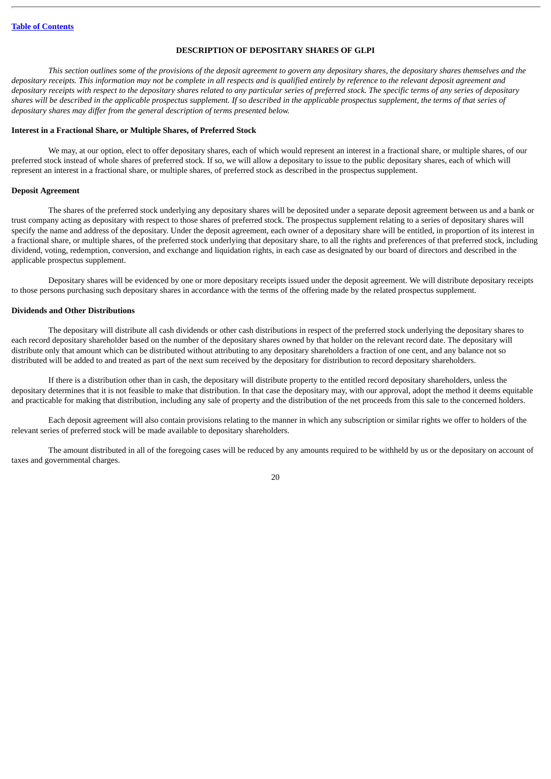# **DESCRIPTION OF DEPOSITARY SHARES OF GLPI**

This section outlines some of the provisions of the deposit agreement to govern any depositary shares, the depositary shares themselves and the depositary receipts. This information may not be complete in all respects and is qualified entirely by reference to the relevant deposit agreement and depositary receipts with respect to the depositary shares related to any particular series of preferred stock. The specific terms of any series of depositary shares will be described in the applicable prospectus supplement. If so described in the applicable prospectus supplement, the terms of that series of *depositary shares may differ from the general description of terms presented below.*

#### **Interest in a Fractional Share, or Multiple Shares, of Preferred Stock**

We may, at our option, elect to offer depositary shares, each of which would represent an interest in a fractional share, or multiple shares, of our preferred stock instead of whole shares of preferred stock. If so, we will allow a depositary to issue to the public depositary shares, each of which will represent an interest in a fractional share, or multiple shares, of preferred stock as described in the prospectus supplement.

### **Deposit Agreement**

The shares of the preferred stock underlying any depositary shares will be deposited under a separate deposit agreement between us and a bank or trust company acting as depositary with respect to those shares of preferred stock. The prospectus supplement relating to a series of depositary shares will specify the name and address of the depositary. Under the deposit agreement, each owner of a depositary share will be entitled, in proportion of its interest in a fractional share, or multiple shares, of the preferred stock underlying that depositary share, to all the rights and preferences of that preferred stock, including dividend, voting, redemption, conversion, and exchange and liquidation rights, in each case as designated by our board of directors and described in the applicable prospectus supplement.

Depositary shares will be evidenced by one or more depositary receipts issued under the deposit agreement. We will distribute depositary receipts to those persons purchasing such depositary shares in accordance with the terms of the offering made by the related prospectus supplement.

### **Dividends and Other Distributions**

The depositary will distribute all cash dividends or other cash distributions in respect of the preferred stock underlying the depositary shares to each record depositary shareholder based on the number of the depositary shares owned by that holder on the relevant record date. The depositary will distribute only that amount which can be distributed without attributing to any depositary shareholders a fraction of one cent, and any balance not so distributed will be added to and treated as part of the next sum received by the depositary for distribution to record depositary shareholders.

If there is a distribution other than in cash, the depositary will distribute property to the entitled record depositary shareholders, unless the depositary determines that it is not feasible to make that distribution. In that case the depositary may, with our approval, adopt the method it deems equitable and practicable for making that distribution, including any sale of property and the distribution of the net proceeds from this sale to the concerned holders.

Each deposit agreement will also contain provisions relating to the manner in which any subscription or similar rights we offer to holders of the relevant series of preferred stock will be made available to depositary shareholders.

The amount distributed in all of the foregoing cases will be reduced by any amounts required to be withheld by us or the depositary on account of taxes and governmental charges.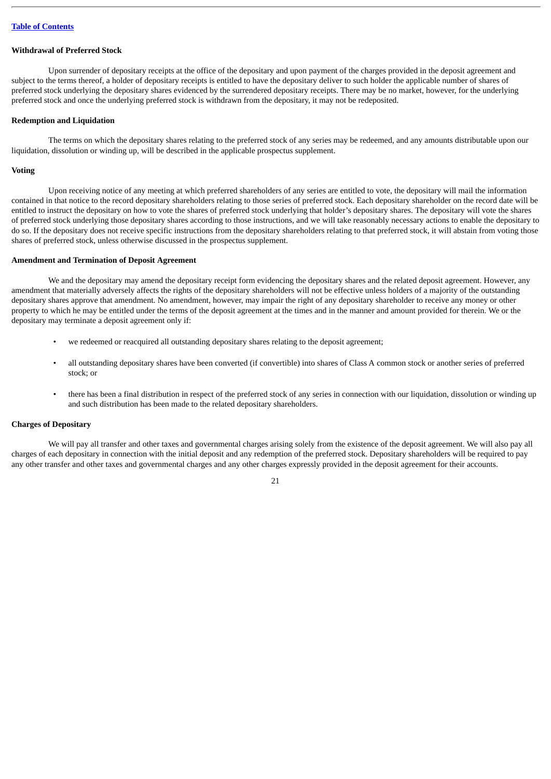# **Withdrawal of Preferred Stock**

Upon surrender of depositary receipts at the office of the depositary and upon payment of the charges provided in the deposit agreement and subject to the terms thereof, a holder of depositary receipts is entitled to have the depositary deliver to such holder the applicable number of shares of preferred stock underlying the depositary shares evidenced by the surrendered depositary receipts. There may be no market, however, for the underlying preferred stock and once the underlying preferred stock is withdrawn from the depositary, it may not be redeposited.

# **Redemption and Liquidation**

The terms on which the depositary shares relating to the preferred stock of any series may be redeemed, and any amounts distributable upon our liquidation, dissolution or winding up, will be described in the applicable prospectus supplement.

#### **Voting**

Upon receiving notice of any meeting at which preferred shareholders of any series are entitled to vote, the depositary will mail the information contained in that notice to the record depositary shareholders relating to those series of preferred stock. Each depositary shareholder on the record date will be entitled to instruct the depositary on how to vote the shares of preferred stock underlying that holder's depositary shares. The depositary will vote the shares of preferred stock underlying those depositary shares according to those instructions, and we will take reasonably necessary actions to enable the depositary to do so. If the depositary does not receive specific instructions from the depositary shareholders relating to that preferred stock, it will abstain from voting those shares of preferred stock, unless otherwise discussed in the prospectus supplement.

# **Amendment and Termination of Deposit Agreement**

We and the depositary may amend the depositary receipt form evidencing the depositary shares and the related deposit agreement. However, any amendment that materially adversely affects the rights of the depositary shareholders will not be effective unless holders of a majority of the outstanding depositary shares approve that amendment. No amendment, however, may impair the right of any depositary shareholder to receive any money or other property to which he may be entitled under the terms of the deposit agreement at the times and in the manner and amount provided for therein. We or the depositary may terminate a deposit agreement only if:

- we redeemed or reacquired all outstanding depositary shares relating to the deposit agreement;
- all outstanding depositary shares have been converted (if convertible) into shares of Class A common stock or another series of preferred stock; or
- there has been a final distribution in respect of the preferred stock of any series in connection with our liquidation, dissolution or winding up and such distribution has been made to the related depositary shareholders.

#### **Charges of Depositary**

We will pay all transfer and other taxes and governmental charges arising solely from the existence of the deposit agreement. We will also pay all charges of each depositary in connection with the initial deposit and any redemption of the preferred stock. Depositary shareholders will be required to pay any other transfer and other taxes and governmental charges and any other charges expressly provided in the deposit agreement for their accounts.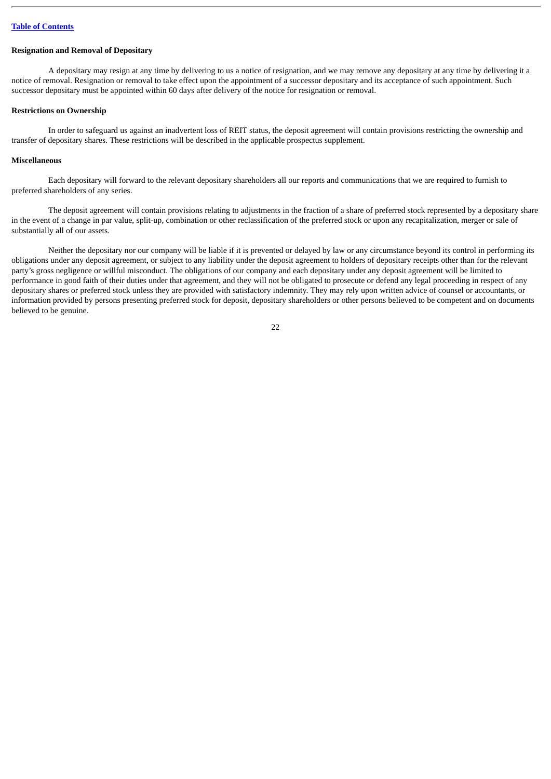# **Resignation and Removal of Depositary**

A depositary may resign at any time by delivering to us a notice of resignation, and we may remove any depositary at any time by delivering it a notice of removal. Resignation or removal to take effect upon the appointment of a successor depositary and its acceptance of such appointment. Such successor depositary must be appointed within 60 days after delivery of the notice for resignation or removal.

#### **Restrictions on Ownership**

In order to safeguard us against an inadvertent loss of REIT status, the deposit agreement will contain provisions restricting the ownership and transfer of depositary shares. These restrictions will be described in the applicable prospectus supplement.

# **Miscellaneous**

Each depositary will forward to the relevant depositary shareholders all our reports and communications that we are required to furnish to preferred shareholders of any series.

The deposit agreement will contain provisions relating to adjustments in the fraction of a share of preferred stock represented by a depositary share in the event of a change in par value, split-up, combination or other reclassification of the preferred stock or upon any recapitalization, merger or sale of substantially all of our assets.

Neither the depositary nor our company will be liable if it is prevented or delayed by law or any circumstance beyond its control in performing its obligations under any deposit agreement, or subject to any liability under the deposit agreement to holders of depositary receipts other than for the relevant party's gross negligence or willful misconduct. The obligations of our company and each depositary under any deposit agreement will be limited to performance in good faith of their duties under that agreement, and they will not be obligated to prosecute or defend any legal proceeding in respect of any depositary shares or preferred stock unless they are provided with satisfactory indemnity. They may rely upon written advice of counsel or accountants, or information provided by persons presenting preferred stock for deposit, depositary shareholders or other persons believed to be competent and on documents believed to be genuine.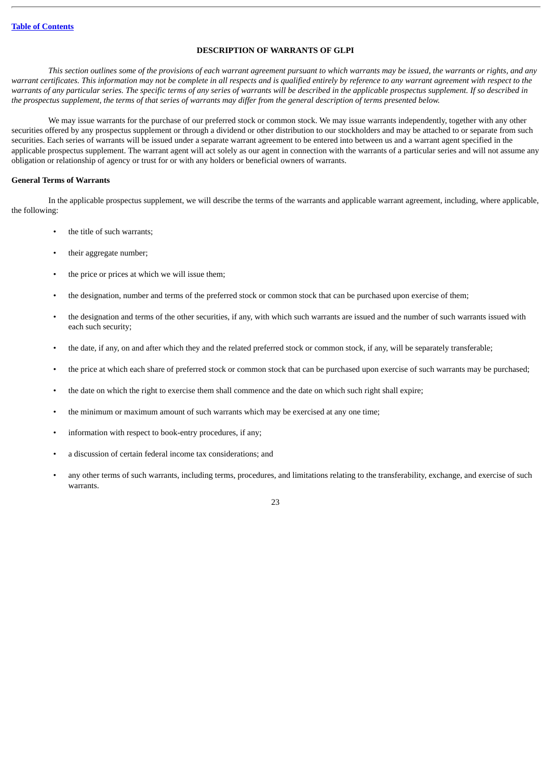# **DESCRIPTION OF WARRANTS OF GLPI**

This section outlines some of the provisions of each warrant agreement pursuant to which warrants may be issued, the warrants or rights, and any warrant certificates. This information may not be complete in all respects and is qualified entirely by reference to any warrant agreement with respect to the warrants of any particular series. The specific terms of any series of warrants will be described in the applicable prospectus supplement. If so described in the prospectus supplement, the terms of that series of warrants may differ from the general description of terms presented below.

We may issue warrants for the purchase of our preferred stock or common stock. We may issue warrants independently, together with any other securities offered by any prospectus supplement or through a dividend or other distribution to our stockholders and may be attached to or separate from such securities. Each series of warrants will be issued under a separate warrant agreement to be entered into between us and a warrant agent specified in the applicable prospectus supplement. The warrant agent will act solely as our agent in connection with the warrants of a particular series and will not assume any obligation or relationship of agency or trust for or with any holders or beneficial owners of warrants.

# **General Terms of Warrants**

In the applicable prospectus supplement, we will describe the terms of the warrants and applicable warrant agreement, including, where applicable, the following:

- the title of such warrants;
- their aggregate number;
- the price or prices at which we will issue them;
- the designation, number and terms of the preferred stock or common stock that can be purchased upon exercise of them;
- the designation and terms of the other securities, if any, with which such warrants are issued and the number of such warrants issued with each such security;
- the date, if any, on and after which they and the related preferred stock or common stock, if any, will be separately transferable;
- the price at which each share of preferred stock or common stock that can be purchased upon exercise of such warrants may be purchased;
- the date on which the right to exercise them shall commence and the date on which such right shall expire;
- the minimum or maximum amount of such warrants which may be exercised at any one time;
- information with respect to book-entry procedures, if any;
- a discussion of certain federal income tax considerations; and
- any other terms of such warrants, including terms, procedures, and limitations relating to the transferability, exchange, and exercise of such warrants.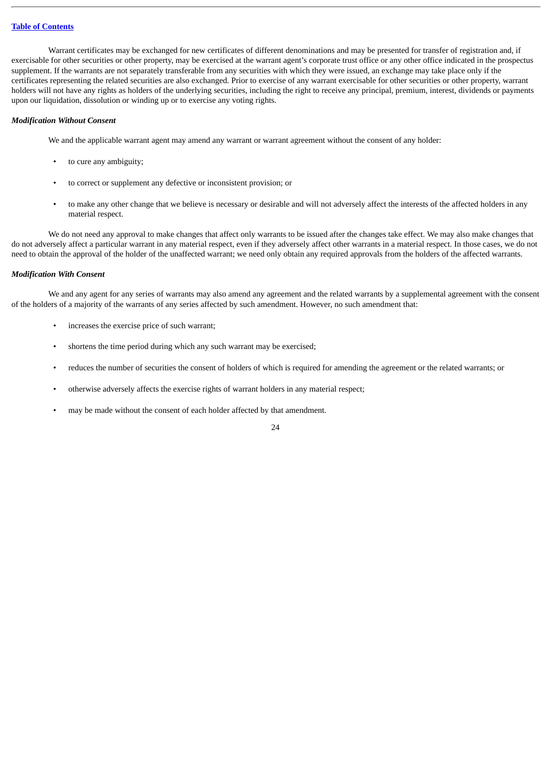Warrant certificates may be exchanged for new certificates of different denominations and may be presented for transfer of registration and, if exercisable for other securities or other property, may be exercised at the warrant agent's corporate trust office or any other office indicated in the prospectus supplement. If the warrants are not separately transferable from any securities with which they were issued, an exchange may take place only if the certificates representing the related securities are also exchanged. Prior to exercise of any warrant exercisable for other securities or other property, warrant holders will not have any rights as holders of the underlying securities, including the right to receive any principal, premium, interest, dividends or payments upon our liquidation, dissolution or winding up or to exercise any voting rights.

# *Modification Without Consent*

We and the applicable warrant agent may amend any warrant or warrant agreement without the consent of any holder:

- to cure any ambiguity;
- to correct or supplement any defective or inconsistent provision; or
- to make any other change that we believe is necessary or desirable and will not adversely affect the interests of the affected holders in any material respect.

We do not need any approval to make changes that affect only warrants to be issued after the changes take effect. We may also make changes that do not adversely affect a particular warrant in any material respect, even if they adversely affect other warrants in a material respect. In those cases, we do not need to obtain the approval of the holder of the unaffected warrant; we need only obtain any required approvals from the holders of the affected warrants.

# *Modification With Consent*

We and any agent for any series of warrants may also amend any agreement and the related warrants by a supplemental agreement with the consent of the holders of a majority of the warrants of any series affected by such amendment. However, no such amendment that:

- increases the exercise price of such warrant;
- shortens the time period during which any such warrant may be exercised;
- reduces the number of securities the consent of holders of which is required for amending the agreement or the related warrants; or
- otherwise adversely affects the exercise rights of warrant holders in any material respect;
- may be made without the consent of each holder affected by that amendment.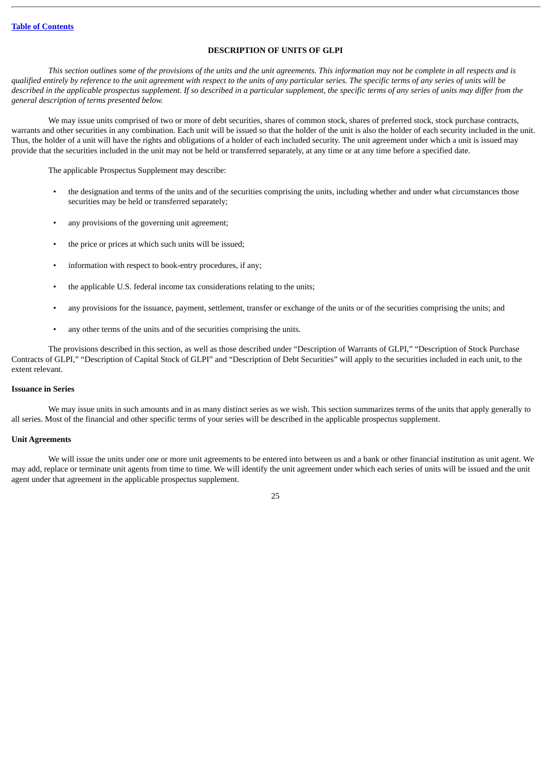# **DESCRIPTION OF UNITS OF GLPI**

This section outlines some of the provisions of the units and the unit agreements. This information may not be complete in all respects and is qualified entirely by reference to the unit agreement with respect to the units of any particular series. The specific terms of any series of units will be described in the applicable prospectus supplement. If so described in a particular supplement, the specific terms of any series of units may differ from the *general description of terms presented below.*

We may issue units comprised of two or more of debt securities, shares of common stock, shares of preferred stock, stock purchase contracts, warrants and other securities in any combination. Each unit will be issued so that the holder of the unit is also the holder of each security included in the unit. Thus, the holder of a unit will have the rights and obligations of a holder of each included security. The unit agreement under which a unit is issued may provide that the securities included in the unit may not be held or transferred separately, at any time or at any time before a specified date.

The applicable Prospectus Supplement may describe:

- the designation and terms of the units and of the securities comprising the units, including whether and under what circumstances those securities may be held or transferred separately;
- any provisions of the governing unit agreement;
- the price or prices at which such units will be issued;
- information with respect to book-entry procedures, if any;
- the applicable U.S. federal income tax considerations relating to the units;
- any provisions for the issuance, payment, settlement, transfer or exchange of the units or of the securities comprising the units; and
- any other terms of the units and of the securities comprising the units.

The provisions described in this section, as well as those described under "Description of Warrants of GLPI," "Description of Stock Purchase Contracts of GLPI," "Description of Capital Stock of GLPI" and "Description of Debt Securities" will apply to the securities included in each unit, to the extent relevant.

## **Issuance in Series**

We may issue units in such amounts and in as many distinct series as we wish. This section summarizes terms of the units that apply generally to all series. Most of the financial and other specific terms of your series will be described in the applicable prospectus supplement.

### **Unit Agreements**

We will issue the units under one or more unit agreements to be entered into between us and a bank or other financial institution as unit agent. We may add, replace or terminate unit agents from time to time. We will identify the unit agreement under which each series of units will be issued and the unit agent under that agreement in the applicable prospectus supplement.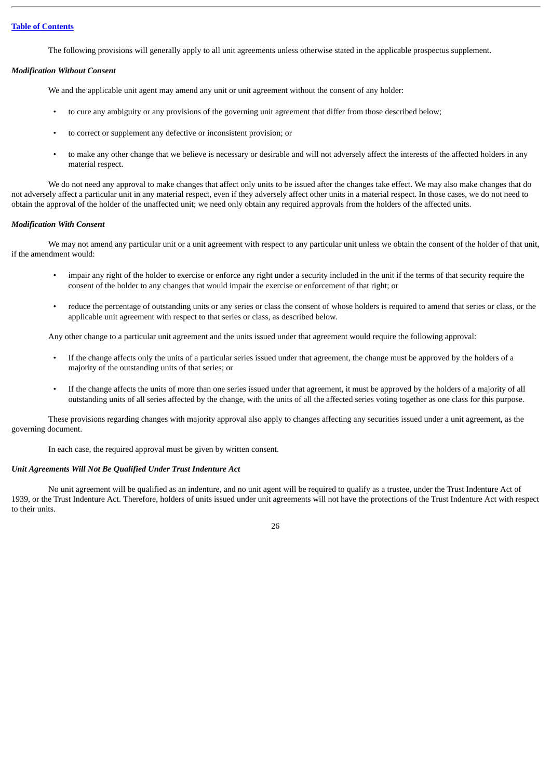The following provisions will generally apply to all unit agreements unless otherwise stated in the applicable prospectus supplement.

# *Modification Without Consent*

We and the applicable unit agent may amend any unit or unit agreement without the consent of any holder:

- to cure any ambiguity or any provisions of the governing unit agreement that differ from those described below;
- to correct or supplement any defective or inconsistent provision; or
- to make any other change that we believe is necessary or desirable and will not adversely affect the interests of the affected holders in any material respect.

We do not need any approval to make changes that affect only units to be issued after the changes take effect. We may also make changes that do not adversely affect a particular unit in any material respect, even if they adversely affect other units in a material respect. In those cases, we do not need to obtain the approval of the holder of the unaffected unit; we need only obtain any required approvals from the holders of the affected units.

# *Modification With Consent*

We may not amend any particular unit or a unit agreement with respect to any particular unit unless we obtain the consent of the holder of that unit, if the amendment would:

- impair any right of the holder to exercise or enforce any right under a security included in the unit if the terms of that security require the consent of the holder to any changes that would impair the exercise or enforcement of that right; or
- reduce the percentage of outstanding units or any series or class the consent of whose holders is required to amend that series or class, or the applicable unit agreement with respect to that series or class, as described below.

Any other change to a particular unit agreement and the units issued under that agreement would require the following approval:

- If the change affects only the units of a particular series issued under that agreement, the change must be approved by the holders of a majority of the outstanding units of that series; or
- If the change affects the units of more than one series issued under that agreement, it must be approved by the holders of a majority of all outstanding units of all series affected by the change, with the units of all the affected series voting together as one class for this purpose.

These provisions regarding changes with majority approval also apply to changes affecting any securities issued under a unit agreement, as the governing document.

In each case, the required approval must be given by written consent.

# *Unit Agreements Will Not Be Qualified Under Trust Indenture Act*

No unit agreement will be qualified as an indenture, and no unit agent will be required to qualify as a trustee, under the Trust Indenture Act of 1939, or the Trust Indenture Act. Therefore, holders of units issued under unit agreements will not have the protections of the Trust Indenture Act with respect to their units.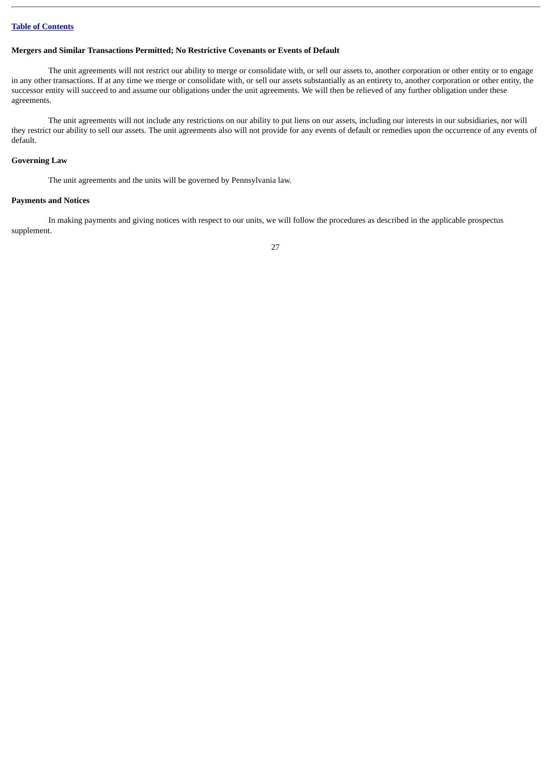# **Mergers and Similar Transactions Permitted; No Restrictive Covenants or Events of Default**

The unit agreements will not restrict our ability to merge or consolidate with, or sell our assets to, another corporation or other entity or to engage in any other transactions. If at any time we merge or consolidate with, or sell our assets substantially as an entirety to, another corporation or other entity, the successor entity will succeed to and assume our obligations under the unit agreements. We will then be relieved of any further obligation under these agreements.

The unit agreements will not include any restrictions on our ability to put liens on our assets, including our interests in our subsidiaries, nor will they restrict our ability to sell our assets. The unit agreements also will not provide for any events of default or remedies upon the occurrence of any events of default.

# **Governing Law**

The unit agreements and the units will be governed by Pennsylvania law.

# **Payments and Notices**

In making payments and giving notices with respect to our units, we will follow the procedures as described in the applicable prospectus supplement.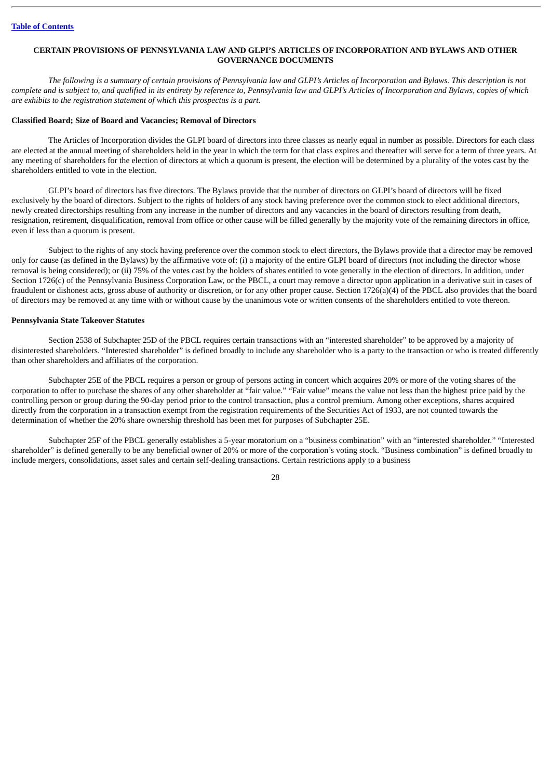# **CERTAIN PROVISIONS OF PENNSYLVANIA LAW AND GLPI'S ARTICLES OF INCORPORATION AND BYLAWS AND OTHER GOVERNANCE DOCUMENTS**

The following is a summary of certain provisions of Pennsylvania law and GLPI's Articles of Incorporation and Bylaws. This description is not complete and is subject to, and qualified in its entirety by reference to, Pennsylvania law and GLPI's Articles of Incorporation and Bylaws, copies of which *are exhibits to the registration statement of which this prospectus is a part.*

# **Classified Board; Size of Board and Vacancies; Removal of Directors**

The Articles of Incorporation divides the GLPI board of directors into three classes as nearly equal in number as possible. Directors for each class are elected at the annual meeting of shareholders held in the year in which the term for that class expires and thereafter will serve for a term of three years. At any meeting of shareholders for the election of directors at which a quorum is present, the election will be determined by a plurality of the votes cast by the shareholders entitled to vote in the election.

GLPI's board of directors has five directors. The Bylaws provide that the number of directors on GLPI's board of directors will be fixed exclusively by the board of directors. Subject to the rights of holders of any stock having preference over the common stock to elect additional directors, newly created directorships resulting from any increase in the number of directors and any vacancies in the board of directors resulting from death, resignation, retirement, disqualification, removal from office or other cause will be filled generally by the majority vote of the remaining directors in office, even if less than a quorum is present.

Subject to the rights of any stock having preference over the common stock to elect directors, the Bylaws provide that a director may be removed only for cause (as defined in the Bylaws) by the affirmative vote of: (i) a majority of the entire GLPI board of directors (not including the director whose removal is being considered); or (ii) 75% of the votes cast by the holders of shares entitled to vote generally in the election of directors. In addition, under Section 1726(c) of the Pennsylvania Business Corporation Law, or the PBCL, a court may remove a director upon application in a derivative suit in cases of fraudulent or dishonest acts, gross abuse of authority or discretion, or for any other proper cause. Section 1726(a)(4) of the PBCL also provides that the board of directors may be removed at any time with or without cause by the unanimous vote or written consents of the shareholders entitled to vote thereon.

## **Pennsylvania State Takeover Statutes**

Section 2538 of Subchapter 25D of the PBCL requires certain transactions with an "interested shareholder" to be approved by a majority of disinterested shareholders. "Interested shareholder" is defined broadly to include any shareholder who is a party to the transaction or who is treated differently than other shareholders and affiliates of the corporation.

Subchapter 25E of the PBCL requires a person or group of persons acting in concert which acquires 20% or more of the voting shares of the corporation to offer to purchase the shares of any other shareholder at "fair value." "Fair value" means the value not less than the highest price paid by the controlling person or group during the 90-day period prior to the control transaction, plus a control premium. Among other exceptions, shares acquired directly from the corporation in a transaction exempt from the registration requirements of the Securities Act of 1933, are not counted towards the determination of whether the 20% share ownership threshold has been met for purposes of Subchapter 25E.

Subchapter 25F of the PBCL generally establishes a 5-year moratorium on a "business combination" with an "interested shareholder." "Interested shareholder" is defined generally to be any beneficial owner of 20% or more of the corporation's voting stock. "Business combination" is defined broadly to include mergers, consolidations, asset sales and certain self-dealing transactions. Certain restrictions apply to a business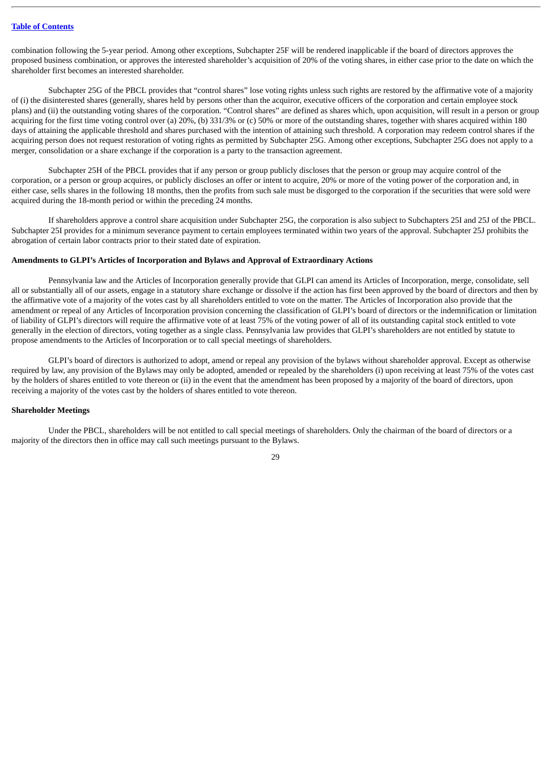combination following the 5-year period. Among other exceptions, Subchapter 25F will be rendered inapplicable if the board of directors approves the proposed business combination, or approves the interested shareholder's acquisition of 20% of the voting shares, in either case prior to the date on which the shareholder first becomes an interested shareholder.

Subchapter 25G of the PBCL provides that "control shares" lose voting rights unless such rights are restored by the affirmative vote of a majority of (i) the disinterested shares (generally, shares held by persons other than the acquiror, executive officers of the corporation and certain employee stock plans) and (ii) the outstanding voting shares of the corporation. "Control shares" are defined as shares which, upon acquisition, will result in a person or group acquiring for the first time voting control over (a) 20%, (b) 331/3% or (c) 50% or more of the outstanding shares, together with shares acquired within 180 days of attaining the applicable threshold and shares purchased with the intention of attaining such threshold. A corporation may redeem control shares if the acquiring person does not request restoration of voting rights as permitted by Subchapter 25G. Among other exceptions, Subchapter 25G does not apply to a merger, consolidation or a share exchange if the corporation is a party to the transaction agreement.

Subchapter 25H of the PBCL provides that if any person or group publicly discloses that the person or group may acquire control of the corporation, or a person or group acquires, or publicly discloses an offer or intent to acquire, 20% or more of the voting power of the corporation and, in either case, sells shares in the following 18 months, then the profits from such sale must be disgorged to the corporation if the securities that were sold were acquired during the 18-month period or within the preceding 24 months.

If shareholders approve a control share acquisition under Subchapter 25G, the corporation is also subject to Subchapters 25I and 25J of the PBCL. Subchapter 25I provides for a minimum severance payment to certain employees terminated within two years of the approval. Subchapter 25J prohibits the abrogation of certain labor contracts prior to their stated date of expiration.

### **Amendments to GLPI's Articles of Incorporation and Bylaws and Approval of Extraordinary Actions**

Pennsylvania law and the Articles of Incorporation generally provide that GLPI can amend its Articles of Incorporation, merge, consolidate, sell all or substantially all of our assets, engage in a statutory share exchange or dissolve if the action has first been approved by the board of directors and then by the affirmative vote of a majority of the votes cast by all shareholders entitled to vote on the matter. The Articles of Incorporation also provide that the amendment or repeal of any Articles of Incorporation provision concerning the classification of GLPI's board of directors or the indemnification or limitation of liability of GLPI's directors will require the affirmative vote of at least 75% of the voting power of all of its outstanding capital stock entitled to vote generally in the election of directors, voting together as a single class. Pennsylvania law provides that GLPI's shareholders are not entitled by statute to propose amendments to the Articles of Incorporation or to call special meetings of shareholders.

GLPI's board of directors is authorized to adopt, amend or repeal any provision of the bylaws without shareholder approval. Except as otherwise required by law, any provision of the Bylaws may only be adopted, amended or repealed by the shareholders (i) upon receiving at least 75% of the votes cast by the holders of shares entitled to vote thereon or (ii) in the event that the amendment has been proposed by a majority of the board of directors, upon receiving a majority of the votes cast by the holders of shares entitled to vote thereon.

# **Shareholder Meetings**

Under the PBCL, shareholders will be not entitled to call special meetings of shareholders. Only the chairman of the board of directors or a majority of the directors then in office may call such meetings pursuant to the Bylaws.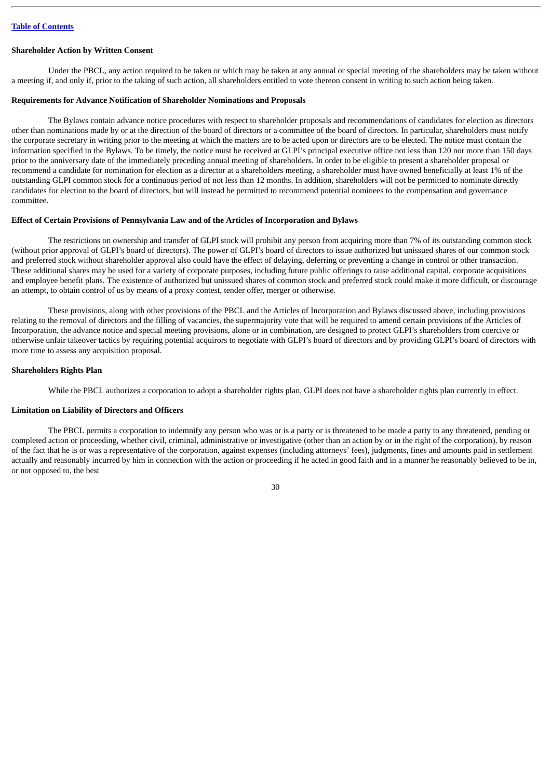#### **Shareholder Action by Written Consent**

Under the PBCL, any action required to be taken or which may be taken at any annual or special meeting of the shareholders may be taken without a meeting if, and only if, prior to the taking of such action, all shareholders entitled to vote thereon consent in writing to such action being taken.

# **Requirements for Advance Notification of Shareholder Nominations and Proposals**

The Bylaws contain advance notice procedures with respect to shareholder proposals and recommendations of candidates for election as directors other than nominations made by or at the direction of the board of directors or a committee of the board of directors. In particular, shareholders must notify the corporate secretary in writing prior to the meeting at which the matters are to be acted upon or directors are to be elected. The notice must contain the information specified in the Bylaws. To be timely, the notice must be received at GLPI's principal executive office not less than 120 nor more than 150 days prior to the anniversary date of the immediately preceding annual meeting of shareholders. In order to be eligible to present a shareholder proposal or recommend a candidate for nomination for election as a director at a shareholders meeting, a shareholder must have owned beneficially at least 1% of the outstanding GLPI common stock for a continuous period of not less than 12 months. In addition, shareholders will not be permitted to nominate directly candidates for election to the board of directors, but will instead be permitted to recommend potential nominees to the compensation and governance committee.

# **Effect of Certain Provisions of Pennsylvania Law and of the Articles of Incorporation and Bylaws**

The restrictions on ownership and transfer of GLPI stock will prohibit any person from acquiring more than 7% of its outstanding common stock (without prior approval of GLPI's board of directors). The power of GLPI's board of directors to issue authorized but unissued shares of our common stock and preferred stock without shareholder approval also could have the effect of delaying, deferring or preventing a change in control or other transaction. These additional shares may be used for a variety of corporate purposes, including future public offerings to raise additional capital, corporate acquisitions and employee benefit plans. The existence of authorized but unissued shares of common stock and preferred stock could make it more difficult, or discourage an attempt, to obtain control of us by means of a proxy contest, tender offer, merger or otherwise.

These provisions, along with other provisions of the PBCL and the Articles of Incorporation and Bylaws discussed above, including provisions relating to the removal of directors and the filling of vacancies, the supermajority vote that will be required to amend certain provisions of the Articles of Incorporation, the advance notice and special meeting provisions, alone or in combination, are designed to protect GLPI's shareholders from coercive or otherwise unfair takeover tactics by requiring potential acquirors to negotiate with GLPI's board of directors and by providing GLPI's board of directors with more time to assess any acquisition proposal.

### **Shareholders Rights Plan**

While the PBCL authorizes a corporation to adopt a shareholder rights plan, GLPI does not have a shareholder rights plan currently in effect.

# **Limitation on Liability of Directors and Officers**

The PBCL permits a corporation to indemnify any person who was or is a party or is threatened to be made a party to any threatened, pending or completed action or proceeding, whether civil, criminal, administrative or investigative (other than an action by or in the right of the corporation), by reason of the fact that he is or was a representative of the corporation, against expenses (including attorneys' fees), judgments, fines and amounts paid in settlement actually and reasonably incurred by him in connection with the action or proceeding if he acted in good faith and in a manner he reasonably believed to be in, or not opposed to, the best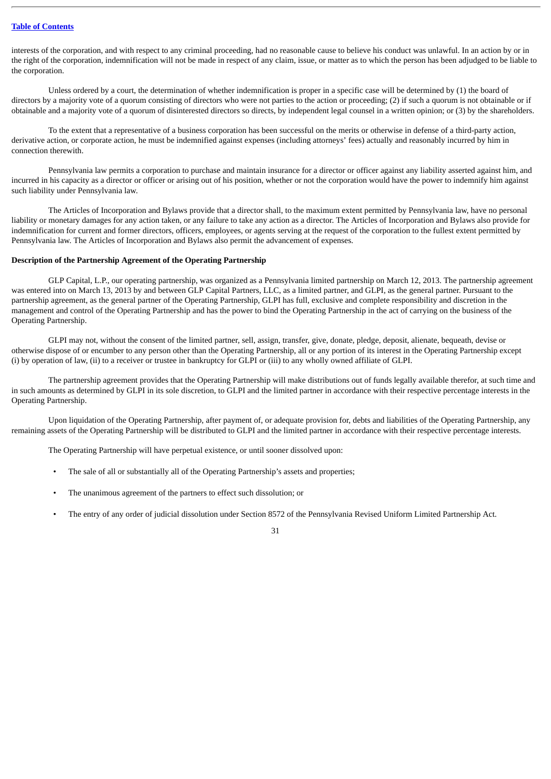interests of the corporation, and with respect to any criminal proceeding, had no reasonable cause to believe his conduct was unlawful. In an action by or in the right of the corporation, indemnification will not be made in respect of any claim, issue, or matter as to which the person has been adjudged to be liable to the corporation.

Unless ordered by a court, the determination of whether indemnification is proper in a specific case will be determined by (1) the board of directors by a majority vote of a quorum consisting of directors who were not parties to the action or proceeding; (2) if such a quorum is not obtainable or if obtainable and a majority vote of a quorum of disinterested directors so directs, by independent legal counsel in a written opinion; or (3) by the shareholders.

To the extent that a representative of a business corporation has been successful on the merits or otherwise in defense of a third-party action, derivative action, or corporate action, he must be indemnified against expenses (including attorneys' fees) actually and reasonably incurred by him in connection therewith.

Pennsylvania law permits a corporation to purchase and maintain insurance for a director or officer against any liability asserted against him, and incurred in his capacity as a director or officer or arising out of his position, whether or not the corporation would have the power to indemnify him against such liability under Pennsylvania law.

The Articles of Incorporation and Bylaws provide that a director shall, to the maximum extent permitted by Pennsylvania law, have no personal liability or monetary damages for any action taken, or any failure to take any action as a director. The Articles of Incorporation and Bylaws also provide for indemnification for current and former directors, officers, employees, or agents serving at the request of the corporation to the fullest extent permitted by Pennsylvania law. The Articles of Incorporation and Bylaws also permit the advancement of expenses.

# **Description of the Partnership Agreement of the Operating Partnership**

GLP Capital, L.P., our operating partnership, was organized as a Pennsylvania limited partnership on March 12, 2013. The partnership agreement was entered into on March 13, 2013 by and between GLP Capital Partners, LLC, as a limited partner, and GLPI, as the general partner. Pursuant to the partnership agreement, as the general partner of the Operating Partnership, GLPI has full, exclusive and complete responsibility and discretion in the management and control of the Operating Partnership and has the power to bind the Operating Partnership in the act of carrying on the business of the Operating Partnership.

GLPI may not, without the consent of the limited partner, sell, assign, transfer, give, donate, pledge, deposit, alienate, bequeath, devise or otherwise dispose of or encumber to any person other than the Operating Partnership, all or any portion of its interest in the Operating Partnership except (i) by operation of law, (ii) to a receiver or trustee in bankruptcy for GLPI or (iii) to any wholly owned affiliate of GLPI.

The partnership agreement provides that the Operating Partnership will make distributions out of funds legally available therefor, at such time and in such amounts as determined by GLPI in its sole discretion, to GLPI and the limited partner in accordance with their respective percentage interests in the Operating Partnership.

Upon liquidation of the Operating Partnership, after payment of, or adequate provision for, debts and liabilities of the Operating Partnership, any remaining assets of the Operating Partnership will be distributed to GLPI and the limited partner in accordance with their respective percentage interests.

The Operating Partnership will have perpetual existence, or until sooner dissolved upon:

- The sale of all or substantially all of the Operating Partnership's assets and properties;
- The unanimous agreement of the partners to effect such dissolution; or
- The entry of any order of judicial dissolution under Section 8572 of the Pennsylvania Revised Uniform Limited Partnership Act.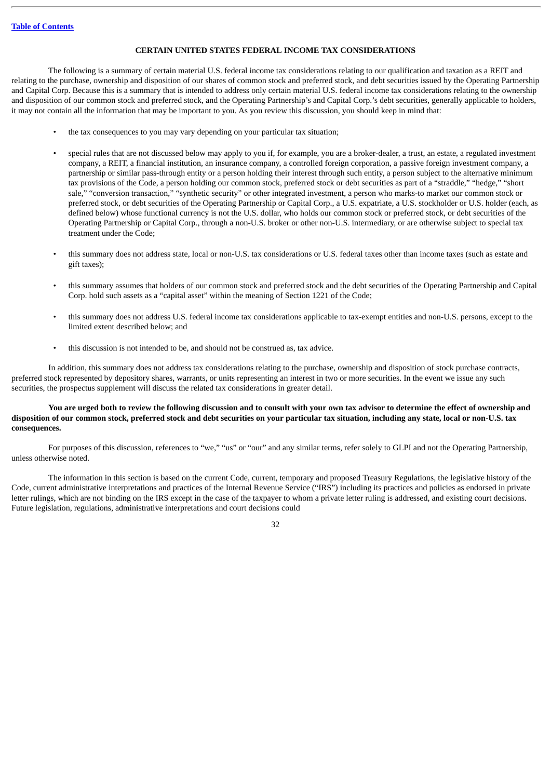# **CERTAIN UNITED STATES FEDERAL INCOME TAX CONSIDERATIONS**

The following is a summary of certain material U.S. federal income tax considerations relating to our qualification and taxation as a REIT and relating to the purchase, ownership and disposition of our shares of common stock and preferred stock, and debt securities issued by the Operating Partnership and Capital Corp. Because this is a summary that is intended to address only certain material U.S. federal income tax considerations relating to the ownership and disposition of our common stock and preferred stock, and the Operating Partnership's and Capital Corp.'s debt securities, generally applicable to holders, it may not contain all the information that may be important to you. As you review this discussion, you should keep in mind that:

- the tax consequences to you may vary depending on your particular tax situation;
- special rules that are not discussed below may apply to you if, for example, you are a broker-dealer, a trust, an estate, a regulated investment company, a REIT, a financial institution, an insurance company, a controlled foreign corporation, a passive foreign investment company, a partnership or similar pass-through entity or a person holding their interest through such entity, a person subject to the alternative minimum tax provisions of the Code, a person holding our common stock, preferred stock or debt securities as part of a "straddle," "hedge," "short sale," "conversion transaction," "synthetic security" or other integrated investment, a person who marks-to market our common stock or preferred stock, or debt securities of the Operating Partnership or Capital Corp., a U.S. expatriate, a U.S. stockholder or U.S. holder (each, as defined below) whose functional currency is not the U.S. dollar, who holds our common stock or preferred stock, or debt securities of the Operating Partnership or Capital Corp., through a non-U.S. broker or other non-U.S. intermediary, or are otherwise subject to special tax treatment under the Code;
- this summary does not address state, local or non-U.S. tax considerations or U.S. federal taxes other than income taxes (such as estate and gift taxes);
- this summary assumes that holders of our common stock and preferred stock and the debt securities of the Operating Partnership and Capital Corp. hold such assets as a "capital asset" within the meaning of Section 1221 of the Code;
- this summary does not address U.S. federal income tax considerations applicable to tax-exempt entities and non-U.S. persons, except to the limited extent described below; and
- this discussion is not intended to be, and should not be construed as, tax advice.

In addition, this summary does not address tax considerations relating to the purchase, ownership and disposition of stock purchase contracts, preferred stock represented by depository shares, warrants, or units representing an interest in two or more securities. In the event we issue any such securities, the prospectus supplement will discuss the related tax considerations in greater detail.

# You are urged both to review the following discussion and to consult with your own tax advisor to determine the effect of ownership and disposition of our common stock, preferred stock and debt securities on your particular tax situation, including any state, local or non-U.S. tax **consequences.**

For purposes of this discussion, references to "we," "us" or "our" and any similar terms, refer solely to GLPI and not the Operating Partnership, unless otherwise noted.

The information in this section is based on the current Code, current, temporary and proposed Treasury Regulations, the legislative history of the Code, current administrative interpretations and practices of the Internal Revenue Service ("IRS") including its practices and policies as endorsed in private letter rulings, which are not binding on the IRS except in the case of the taxpayer to whom a private letter ruling is addressed, and existing court decisions. Future legislation, regulations, administrative interpretations and court decisions could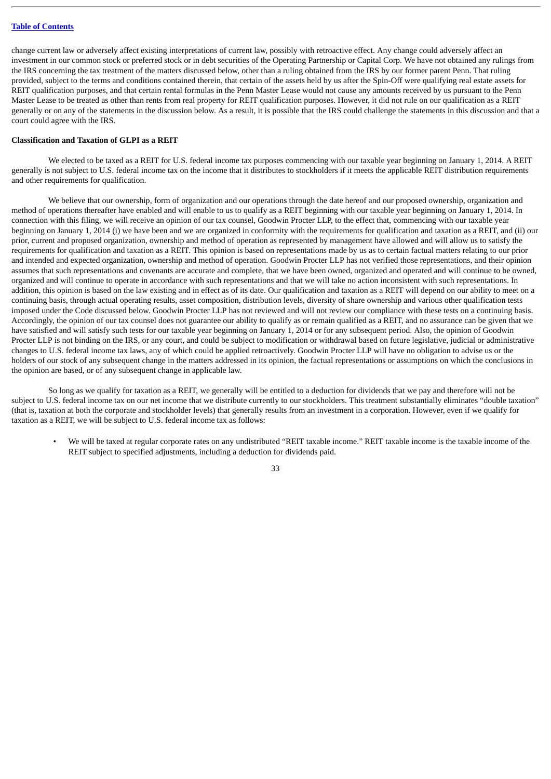change current law or adversely affect existing interpretations of current law, possibly with retroactive effect. Any change could adversely affect an investment in our common stock or preferred stock or in debt securities of the Operating Partnership or Capital Corp. We have not obtained any rulings from the IRS concerning the tax treatment of the matters discussed below, other than a ruling obtained from the IRS by our former parent Penn. That ruling provided, subject to the terms and conditions contained therein, that certain of the assets held by us after the Spin-Off were qualifying real estate assets for REIT qualification purposes, and that certain rental formulas in the Penn Master Lease would not cause any amounts received by us pursuant to the Penn Master Lease to be treated as other than rents from real property for REIT qualification purposes. However, it did not rule on our qualification as a REIT generally or on any of the statements in the discussion below. As a result, it is possible that the IRS could challenge the statements in this discussion and that a court could agree with the IRS.

### **Classification and Taxation of GLPI as a REIT**

We elected to be taxed as a REIT for U.S. federal income tax purposes commencing with our taxable year beginning on January 1, 2014. A REIT generally is not subject to U.S. federal income tax on the income that it distributes to stockholders if it meets the applicable REIT distribution requirements and other requirements for qualification.

We believe that our ownership, form of organization and our operations through the date hereof and our proposed ownership, organization and method of operations thereafter have enabled and will enable to us to qualify as a REIT beginning with our taxable year beginning on January 1, 2014. In connection with this filing, we will receive an opinion of our tax counsel, Goodwin Procter LLP, to the effect that, commencing with our taxable year beginning on January 1, 2014 (i) we have been and we are organized in conformity with the requirements for qualification and taxation as a REIT, and (ii) our prior, current and proposed organization, ownership and method of operation as represented by management have allowed and will allow us to satisfy the requirements for qualification and taxation as a REIT. This opinion is based on representations made by us as to certain factual matters relating to our prior and intended and expected organization, ownership and method of operation. Goodwin Procter LLP has not verified those representations, and their opinion assumes that such representations and covenants are accurate and complete, that we have been owned, organized and operated and will continue to be owned, organized and will continue to operate in accordance with such representations and that we will take no action inconsistent with such representations. In addition, this opinion is based on the law existing and in effect as of its date. Our qualification and taxation as a REIT will depend on our ability to meet on a continuing basis, through actual operating results, asset composition, distribution levels, diversity of share ownership and various other qualification tests imposed under the Code discussed below. Goodwin Procter LLP has not reviewed and will not review our compliance with these tests on a continuing basis. Accordingly, the opinion of our tax counsel does not guarantee our ability to qualify as or remain qualified as a REIT, and no assurance can be given that we have satisfied and will satisfy such tests for our taxable year beginning on January 1, 2014 or for any subsequent period. Also, the opinion of Goodwin Procter LLP is not binding on the IRS, or any court, and could be subject to modification or withdrawal based on future legislative, judicial or administrative changes to U.S. federal income tax laws, any of which could be applied retroactively. Goodwin Procter LLP will have no obligation to advise us or the holders of our stock of any subsequent change in the matters addressed in its opinion, the factual representations or assumptions on which the conclusions in the opinion are based, or of any subsequent change in applicable law.

So long as we qualify for taxation as a REIT, we generally will be entitled to a deduction for dividends that we pay and therefore will not be subject to U.S. federal income tax on our net income that we distribute currently to our stockholders. This treatment substantially eliminates "double taxation" (that is, taxation at both the corporate and stockholder levels) that generally results from an investment in a corporation. However, even if we qualify for taxation as a REIT, we will be subject to U.S. federal income tax as follows:

• We will be taxed at regular corporate rates on any undistributed "REIT taxable income." REIT taxable income is the taxable income of the REIT subject to specified adjustments, including a deduction for dividends paid.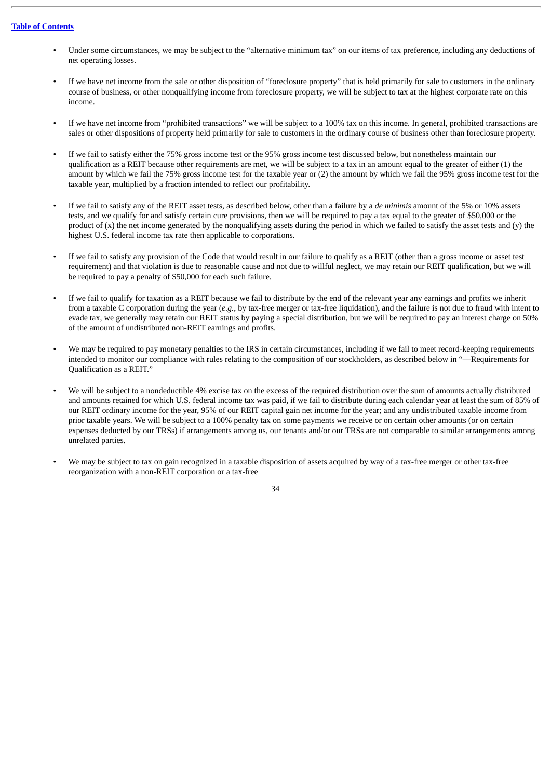- Under some circumstances, we may be subject to the "alternative minimum tax" on our items of tax preference, including any deductions of net operating losses.
- If we have net income from the sale or other disposition of "foreclosure property" that is held primarily for sale to customers in the ordinary course of business, or other nonqualifying income from foreclosure property, we will be subject to tax at the highest corporate rate on this income.
- If we have net income from "prohibited transactions" we will be subject to a 100% tax on this income. In general, prohibited transactions are sales or other dispositions of property held primarily for sale to customers in the ordinary course of business other than foreclosure property.
- If we fail to satisfy either the 75% gross income test or the 95% gross income test discussed below, but nonetheless maintain our qualification as a REIT because other requirements are met, we will be subject to a tax in an amount equal to the greater of either (1) the amount by which we fail the 75% gross income test for the taxable year or (2) the amount by which we fail the 95% gross income test for the taxable year, multiplied by a fraction intended to reflect our profitability.
- If we fail to satisfy any of the REIT asset tests, as described below, other than a failure by a *de minimis* amount of the 5% or 10% assets tests, and we qualify for and satisfy certain cure provisions, then we will be required to pay a tax equal to the greater of \$50,000 or the product of  $(x)$  the net income generated by the nonqualifying assets during the period in which we failed to satisfy the asset tests and  $(y)$  the highest U.S. federal income tax rate then applicable to corporations.
- If we fail to satisfy any provision of the Code that would result in our failure to qualify as a REIT (other than a gross income or asset test requirement) and that violation is due to reasonable cause and not due to willful neglect, we may retain our REIT qualification, but we will be required to pay a penalty of \$50,000 for each such failure.
- If we fail to qualify for taxation as a REIT because we fail to distribute by the end of the relevant year any earnings and profits we inherit from a taxable C corporation during the year (*e.g.*, by tax-free merger or tax-free liquidation), and the failure is not due to fraud with intent to evade tax, we generally may retain our REIT status by paying a special distribution, but we will be required to pay an interest charge on 50% of the amount of undistributed non-REIT earnings and profits.
- We may be required to pay monetary penalties to the IRS in certain circumstances, including if we fail to meet record-keeping requirements intended to monitor our compliance with rules relating to the composition of our stockholders, as described below in "—Requirements for Qualification as a REIT."
- We will be subject to a nondeductible 4% excise tax on the excess of the required distribution over the sum of amounts actually distributed and amounts retained for which U.S. federal income tax was paid, if we fail to distribute during each calendar year at least the sum of 85% of our REIT ordinary income for the year, 95% of our REIT capital gain net income for the year; and any undistributed taxable income from prior taxable years. We will be subject to a 100% penalty tax on some payments we receive or on certain other amounts (or on certain expenses deducted by our TRSs) if arrangements among us, our tenants and/or our TRSs are not comparable to similar arrangements among unrelated parties.
- We may be subject to tax on gain recognized in a taxable disposition of assets acquired by way of a tax-free merger or other tax-free reorganization with a non-REIT corporation or a tax-free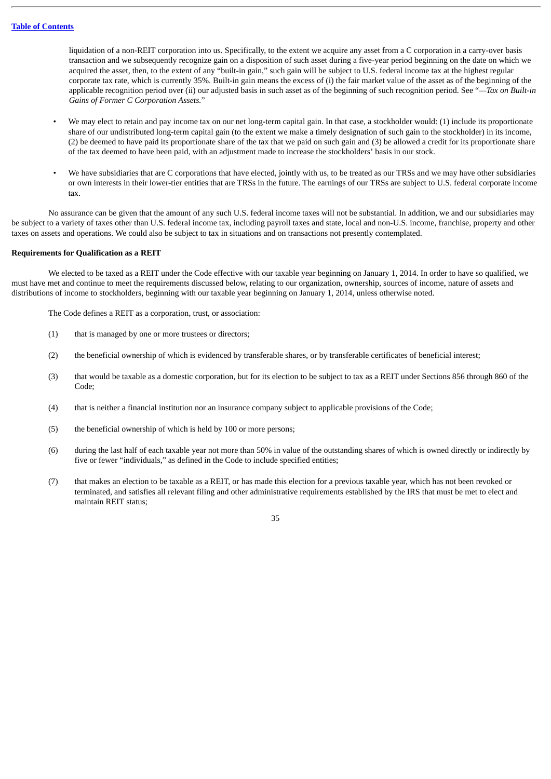liquidation of a non-REIT corporation into us. Specifically, to the extent we acquire any asset from a C corporation in a carry-over basis transaction and we subsequently recognize gain on a disposition of such asset during a five-year period beginning on the date on which we acquired the asset, then, to the extent of any "built-in gain," such gain will be subject to U.S. federal income tax at the highest regular corporate tax rate, which is currently 35%. Built-in gain means the excess of (i) the fair market value of the asset as of the beginning of the applicable recognition period over (ii) our adjusted basis in such asset as of the beginning of such recognition period. See "*—Tax on Built-in Gains of Former C Corporation Assets.*"

- We may elect to retain and pay income tax on our net long-term capital gain. In that case, a stockholder would: (1) include its proportionate share of our undistributed long-term capital gain (to the extent we make a timely designation of such gain to the stockholder) in its income, (2) be deemed to have paid its proportionate share of the tax that we paid on such gain and (3) be allowed a credit for its proportionate share of the tax deemed to have been paid, with an adjustment made to increase the stockholders' basis in our stock.
- We have subsidiaries that are C corporations that have elected, jointly with us, to be treated as our TRSs and we may have other subsidiaries or own interests in their lower-tier entities that are TRSs in the future. The earnings of our TRSs are subject to U.S. federal corporate income tax.

No assurance can be given that the amount of any such U.S. federal income taxes will not be substantial. In addition, we and our subsidiaries may be subject to a variety of taxes other than U.S. federal income tax, including payroll taxes and state, local and non-U.S. income, franchise, property and other taxes on assets and operations. We could also be subject to tax in situations and on transactions not presently contemplated.

### **Requirements for Qualification as a REIT**

We elected to be taxed as a REIT under the Code effective with our taxable year beginning on January 1, 2014. In order to have so qualified, we must have met and continue to meet the requirements discussed below, relating to our organization, ownership, sources of income, nature of assets and distributions of income to stockholders, beginning with our taxable year beginning on January 1, 2014, unless otherwise noted.

The Code defines a REIT as a corporation, trust, or association:

- (1) that is managed by one or more trustees or directors;
- (2) the beneficial ownership of which is evidenced by transferable shares, or by transferable certificates of beneficial interest;
- (3) that would be taxable as a domestic corporation, but for its election to be subject to tax as a REIT under Sections 856 through 860 of the Code;
- (4) that is neither a financial institution nor an insurance company subject to applicable provisions of the Code;
- (5) the beneficial ownership of which is held by 100 or more persons;
- (6) during the last half of each taxable year not more than 50% in value of the outstanding shares of which is owned directly or indirectly by five or fewer "individuals," as defined in the Code to include specified entities;
- (7) that makes an election to be taxable as a REIT, or has made this election for a previous taxable year, which has not been revoked or terminated, and satisfies all relevant filing and other administrative requirements established by the IRS that must be met to elect and maintain REIT status;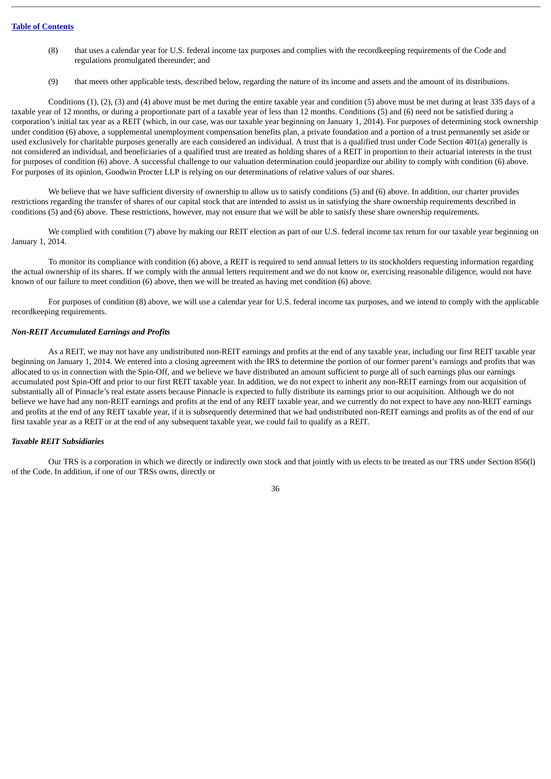- (8) that uses a calendar year for U.S. federal income tax purposes and complies with the recordkeeping requirements of the Code and regulations promulgated thereunder; and
- (9) that meets other applicable tests, described below, regarding the nature of its income and assets and the amount of its distributions.

Conditions (1), (2), (3) and (4) above must be met during the entire taxable year and condition (5) above must be met during at least 335 days of a taxable year of 12 months, or during a proportionate part of a taxable year of less than 12 months. Conditions (5) and (6) need not be satisfied during a corporation's initial tax year as a REIT (which, in our case, was our taxable year beginning on January 1, 2014). For purposes of determining stock ownership under condition (6) above, a supplemental unemployment compensation benefits plan, a private foundation and a portion of a trust permanently set aside or used exclusively for charitable purposes generally are each considered an individual. A trust that is a qualified trust under Code Section 401(a) generally is not considered an individual, and beneficiaries of a qualified trust are treated as holding shares of a REIT in proportion to their actuarial interests in the trust for purposes of condition (6) above. A successful challenge to our valuation determination could jeopardize our ability to comply with condition (6) above. For purposes of its opinion, Goodwin Procter LLP is relying on our determinations of relative values of our shares.

We believe that we have sufficient diversity of ownership to allow us to satisfy conditions (5) and (6) above. In addition, our charter provides restrictions regarding the transfer of shares of our capital stock that are intended to assist us in satisfying the share ownership requirements described in conditions (5) and (6) above. These restrictions, however, may not ensure that we will be able to satisfy these share ownership requirements.

We complied with condition (7) above by making our REIT election as part of our U.S. federal income tax return for our taxable year beginning on January 1, 2014.

To monitor its compliance with condition (6) above, a REIT is required to send annual letters to its stockholders requesting information regarding the actual ownership of its shares. If we comply with the annual letters requirement and we do not know or, exercising reasonable diligence, would not have known of our failure to meet condition (6) above, then we will be treated as having met condition (6) above.

For purposes of condition (8) above, we will use a calendar year for U.S. federal income tax purposes, and we intend to comply with the applicable recordkeeping requirements.

# *Non-REIT Accumulated Earnings and Profits*

As a REIT, we may not have any undistributed non-REIT earnings and profits at the end of any taxable year, including our first REIT taxable year beginning on January 1, 2014. We entered into a closing agreement with the IRS to determine the portion of our former parent's earnings and profits that was allocated to us in connection with the Spin-Off, and we believe we have distributed an amount sufficient to purge all of such earnings plus our earnings accumulated post Spin-Off and prior to our first REIT taxable year. In addition, we do not expect to inherit any non-REIT earnings from our acquisition of substantially all of Pinnacle's real estate assets because Pinnacle is expected to fully distribute its earnings prior to our acquisition. Although we do not believe we have had any non-REIT earnings and profits at the end of any REIT taxable year, and we currently do not expect to have any non-REIT earnings and profits at the end of any REIT taxable year, if it is subsequently determined that we had undistributed non-REIT earnings and profits as of the end of our first taxable year as a REIT or at the end of any subsequent taxable year, we could fail to qualify as a REIT.

# *Taxable REIT Subsidiaries*

Our TRS is a corporation in which we directly or indirectly own stock and that jointly with us elects to be treated as our TRS under Section 856(l) of the Code. In addition, if one of our TRSs owns, directly or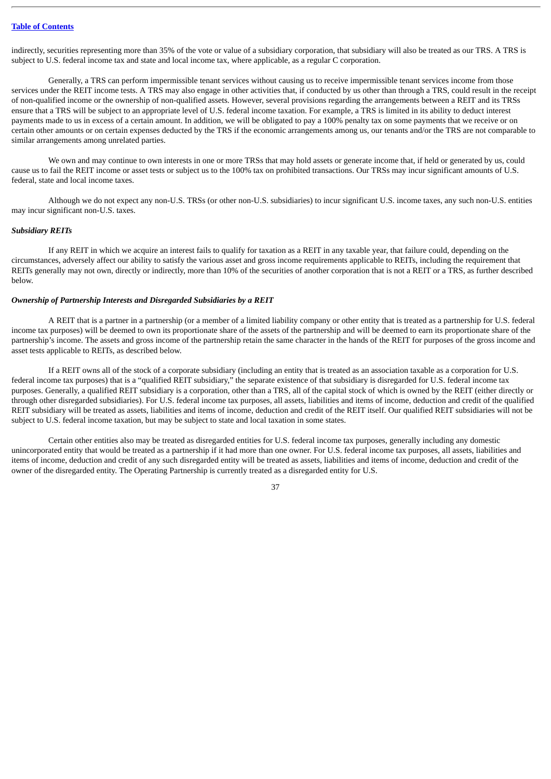indirectly, securities representing more than 35% of the vote or value of a subsidiary corporation, that subsidiary will also be treated as our TRS. A TRS is subject to U.S. federal income tax and state and local income tax, where applicable, as a regular C corporation.

Generally, a TRS can perform impermissible tenant services without causing us to receive impermissible tenant services income from those services under the REIT income tests. A TRS may also engage in other activities that, if conducted by us other than through a TRS, could result in the receipt of non-qualified income or the ownership of non-qualified assets. However, several provisions regarding the arrangements between a REIT and its TRSs ensure that a TRS will be subject to an appropriate level of U.S. federal income taxation. For example, a TRS is limited in its ability to deduct interest payments made to us in excess of a certain amount. In addition, we will be obligated to pay a 100% penalty tax on some payments that we receive or on certain other amounts or on certain expenses deducted by the TRS if the economic arrangements among us, our tenants and/or the TRS are not comparable to similar arrangements among unrelated parties.

We own and may continue to own interests in one or more TRSs that may hold assets or generate income that, if held or generated by us, could cause us to fail the REIT income or asset tests or subject us to the 100% tax on prohibited transactions. Our TRSs may incur significant amounts of U.S. federal, state and local income taxes.

Although we do not expect any non-U.S. TRSs (or other non-U.S. subsidiaries) to incur significant U.S. income taxes, any such non-U.S. entities may incur significant non-U.S. taxes.

#### *Subsidiary REITs*

If any REIT in which we acquire an interest fails to qualify for taxation as a REIT in any taxable year, that failure could, depending on the circumstances, adversely affect our ability to satisfy the various asset and gross income requirements applicable to REITs, including the requirement that REITs generally may not own, directly or indirectly, more than 10% of the securities of another corporation that is not a REIT or a TRS, as further described below.

#### *Ownership of Partnership Interests and Disregarded Subsidiaries by a REIT*

A REIT that is a partner in a partnership (or a member of a limited liability company or other entity that is treated as a partnership for U.S. federal income tax purposes) will be deemed to own its proportionate share of the assets of the partnership and will be deemed to earn its proportionate share of the partnership's income. The assets and gross income of the partnership retain the same character in the hands of the REIT for purposes of the gross income and asset tests applicable to REITs, as described below.

If a REIT owns all of the stock of a corporate subsidiary (including an entity that is treated as an association taxable as a corporation for U.S. federal income tax purposes) that is a "qualified REIT subsidiary," the separate existence of that subsidiary is disregarded for U.S. federal income tax purposes. Generally, a qualified REIT subsidiary is a corporation, other than a TRS, all of the capital stock of which is owned by the REIT (either directly or through other disregarded subsidiaries). For U.S. federal income tax purposes, all assets, liabilities and items of income, deduction and credit of the qualified REIT subsidiary will be treated as assets, liabilities and items of income, deduction and credit of the REIT itself. Our qualified REIT subsidiaries will not be subject to U.S. federal income taxation, but may be subject to state and local taxation in some states.

Certain other entities also may be treated as disregarded entities for U.S. federal income tax purposes, generally including any domestic unincorporated entity that would be treated as a partnership if it had more than one owner. For U.S. federal income tax purposes, all assets, liabilities and items of income, deduction and credit of any such disregarded entity will be treated as assets, liabilities and items of income, deduction and credit of the owner of the disregarded entity. The Operating Partnership is currently treated as a disregarded entity for U.S.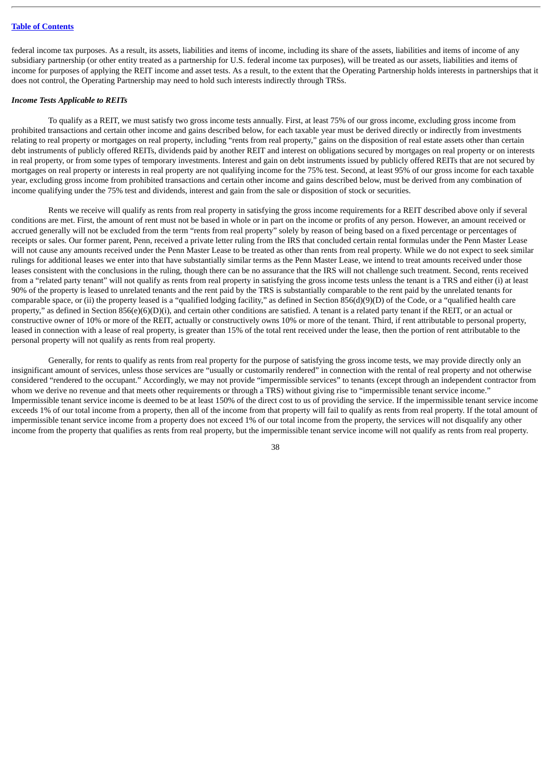federal income tax purposes. As a result, its assets, liabilities and items of income, including its share of the assets, liabilities and items of income of any subsidiary partnership (or other entity treated as a partnership for U.S. federal income tax purposes), will be treated as our assets, liabilities and items of income for purposes of applying the REIT income and asset tests. As a result, to the extent that the Operating Partnership holds interests in partnerships that it does not control, the Operating Partnership may need to hold such interests indirectly through TRSs.

#### *Income Tests Applicable to REITs*

To qualify as a REIT, we must satisfy two gross income tests annually. First, at least 75% of our gross income, excluding gross income from prohibited transactions and certain other income and gains described below, for each taxable year must be derived directly or indirectly from investments relating to real property or mortgages on real property, including "rents from real property," gains on the disposition of real estate assets other than certain debt instruments of publicly offered REITs, dividends paid by another REIT and interest on obligations secured by mortgages on real property or on interests in real property, or from some types of temporary investments. Interest and gain on debt instruments issued by publicly offered REITs that are not secured by mortgages on real property or interests in real property are not qualifying income for the 75% test. Second, at least 95% of our gross income for each taxable year, excluding gross income from prohibited transactions and certain other income and gains described below, must be derived from any combination of income qualifying under the 75% test and dividends, interest and gain from the sale or disposition of stock or securities.

Rents we receive will qualify as rents from real property in satisfying the gross income requirements for a REIT described above only if several conditions are met. First, the amount of rent must not be based in whole or in part on the income or profits of any person. However, an amount received or accrued generally will not be excluded from the term "rents from real property" solely by reason of being based on a fixed percentage or percentages of receipts or sales. Our former parent, Penn, received a private letter ruling from the IRS that concluded certain rental formulas under the Penn Master Lease will not cause any amounts received under the Penn Master Lease to be treated as other than rents from real property. While we do not expect to seek similar rulings for additional leases we enter into that have substantially similar terms as the Penn Master Lease, we intend to treat amounts received under those leases consistent with the conclusions in the ruling, though there can be no assurance that the IRS will not challenge such treatment. Second, rents received from a "related party tenant" will not qualify as rents from real property in satisfying the gross income tests unless the tenant is a TRS and either (i) at least 90% of the property is leased to unrelated tenants and the rent paid by the TRS is substantially comparable to the rent paid by the unrelated tenants for comparable space, or (ii) the property leased is a "qualified lodging facility," as defined in Section 856(d)(9)(D) of the Code, or a "qualified health care property," as defined in Section 856(e)(6)(D)(i), and certain other conditions are satisfied. A tenant is a related party tenant if the REIT, or an actual or constructive owner of 10% or more of the REIT, actually or constructively owns 10% or more of the tenant. Third, if rent attributable to personal property, leased in connection with a lease of real property, is greater than 15% of the total rent received under the lease, then the portion of rent attributable to the personal property will not qualify as rents from real property.

Generally, for rents to qualify as rents from real property for the purpose of satisfying the gross income tests, we may provide directly only an insignificant amount of services, unless those services are "usually or customarily rendered" in connection with the rental of real property and not otherwise considered "rendered to the occupant." Accordingly, we may not provide "impermissible services" to tenants (except through an independent contractor from whom we derive no revenue and that meets other requirements or through a TRS) without giving rise to "impermissible tenant service income." Impermissible tenant service income is deemed to be at least 150% of the direct cost to us of providing the service. If the impermissible tenant service income exceeds 1% of our total income from a property, then all of the income from that property will fail to qualify as rents from real property. If the total amount of impermissible tenant service income from a property does not exceed 1% of our total income from the property, the services will not disqualify any other income from the property that qualifies as rents from real property, but the impermissible tenant service income will not qualify as rents from real property.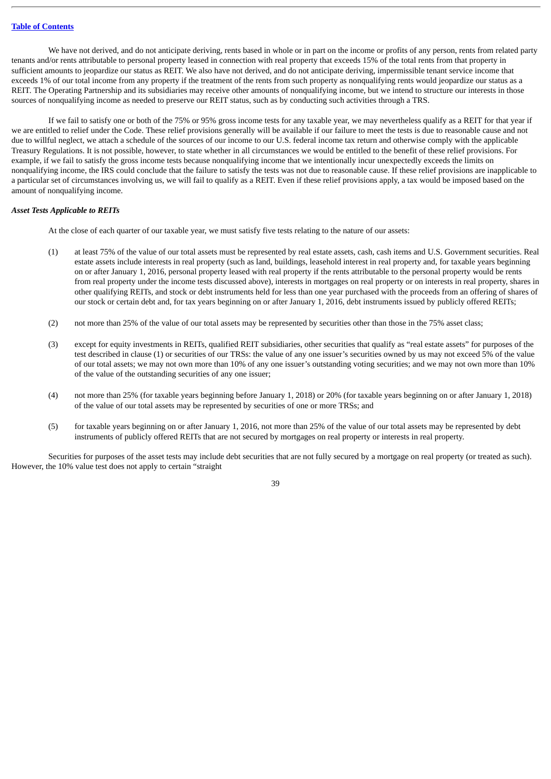We have not derived, and do not anticipate deriving, rents based in whole or in part on the income or profits of any person, rents from related party tenants and/or rents attributable to personal property leased in connection with real property that exceeds 15% of the total rents from that property in sufficient amounts to jeopardize our status as REIT. We also have not derived, and do not anticipate deriving, impermissible tenant service income that exceeds 1% of our total income from any property if the treatment of the rents from such property as nonqualifying rents would jeopardize our status as a REIT. The Operating Partnership and its subsidiaries may receive other amounts of nonqualifying income, but we intend to structure our interests in those sources of nonqualifying income as needed to preserve our REIT status, such as by conducting such activities through a TRS.

If we fail to satisfy one or both of the 75% or 95% gross income tests for any taxable year, we may nevertheless qualify as a REIT for that year if we are entitled to relief under the Code. These relief provisions generally will be available if our failure to meet the tests is due to reasonable cause and not due to willful neglect, we attach a schedule of the sources of our income to our U.S. federal income tax return and otherwise comply with the applicable Treasury Regulations. It is not possible, however, to state whether in all circumstances we would be entitled to the benefit of these relief provisions. For example, if we fail to satisfy the gross income tests because nonqualifying income that we intentionally incur unexpectedly exceeds the limits on nonqualifying income, the IRS could conclude that the failure to satisfy the tests was not due to reasonable cause. If these relief provisions are inapplicable to a particular set of circumstances involving us, we will fail to qualify as a REIT. Even if these relief provisions apply, a tax would be imposed based on the amount of nonqualifying income.

# *Asset Tests Applicable to REITs*

At the close of each quarter of our taxable year, we must satisfy five tests relating to the nature of our assets:

- (1) at least 75% of the value of our total assets must be represented by real estate assets, cash, cash items and U.S. Government securities. Real estate assets include interests in real property (such as land, buildings, leasehold interest in real property and, for taxable years beginning on or after January 1, 2016, personal property leased with real property if the rents attributable to the personal property would be rents from real property under the income tests discussed above), interests in mortgages on real property or on interests in real property, shares in other qualifying REITs, and stock or debt instruments held for less than one year purchased with the proceeds from an offering of shares of our stock or certain debt and, for tax years beginning on or after January 1, 2016, debt instruments issued by publicly offered REITs;
- (2) not more than 25% of the value of our total assets may be represented by securities other than those in the 75% asset class;
- (3) except for equity investments in REITs, qualified REIT subsidiaries, other securities that qualify as "real estate assets" for purposes of the test described in clause (1) or securities of our TRSs: the value of any one issuer's securities owned by us may not exceed 5% of the value of our total assets; we may not own more than 10% of any one issuer's outstanding voting securities; and we may not own more than 10% of the value of the outstanding securities of any one issuer;
- (4) not more than 25% (for taxable years beginning before January 1, 2018) or 20% (for taxable years beginning on or after January 1, 2018) of the value of our total assets may be represented by securities of one or more TRSs; and
- (5) for taxable years beginning on or after January 1, 2016, not more than 25% of the value of our total assets may be represented by debt instruments of publicly offered REITs that are not secured by mortgages on real property or interests in real property.

Securities for purposes of the asset tests may include debt securities that are not fully secured by a mortgage on real property (or treated as such). However, the 10% value test does not apply to certain "straight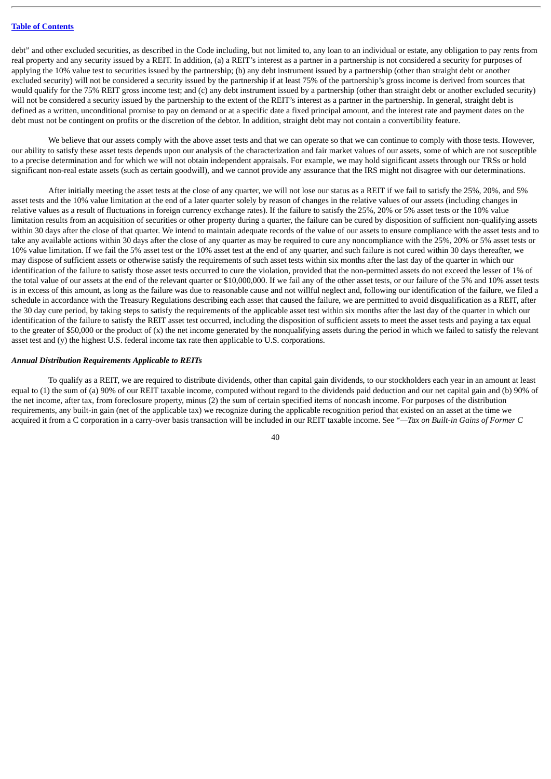debt" and other excluded securities, as described in the Code including, but not limited to, any loan to an individual or estate, any obligation to pay rents from real property and any security issued by a REIT. In addition, (a) a REIT's interest as a partner in a partnership is not considered a security for purposes of applying the 10% value test to securities issued by the partnership; (b) any debt instrument issued by a partnership (other than straight debt or another excluded security) will not be considered a security issued by the partnership if at least 75% of the partnership's gross income is derived from sources that would qualify for the 75% REIT gross income test; and (c) any debt instrument issued by a partnership (other than straight debt or another excluded security) will not be considered a security issued by the partnership to the extent of the REIT's interest as a partner in the partnership. In general, straight debt is defined as a written, unconditional promise to pay on demand or at a specific date a fixed principal amount, and the interest rate and payment dates on the debt must not be contingent on profits or the discretion of the debtor. In addition, straight debt may not contain a convertibility feature.

We believe that our assets comply with the above asset tests and that we can operate so that we can continue to comply with those tests. However, our ability to satisfy these asset tests depends upon our analysis of the characterization and fair market values of our assets, some of which are not susceptible to a precise determination and for which we will not obtain independent appraisals. For example, we may hold significant assets through our TRSs or hold significant non-real estate assets (such as certain goodwill), and we cannot provide any assurance that the IRS might not disagree with our determinations.

After initially meeting the asset tests at the close of any quarter, we will not lose our status as a REIT if we fail to satisfy the 25%, 20%, and 5% asset tests and the 10% value limitation at the end of a later quarter solely by reason of changes in the relative values of our assets (including changes in relative values as a result of fluctuations in foreign currency exchange rates). If the failure to satisfy the 25%, 20% or 5% asset tests or the 10% value limitation results from an acquisition of securities or other property during a quarter, the failure can be cured by disposition of sufficient non-qualifying assets within 30 days after the close of that quarter. We intend to maintain adequate records of the value of our assets to ensure compliance with the asset tests and to take any available actions within 30 days after the close of any quarter as may be required to cure any noncompliance with the 25%, 20% or 5% asset tests or 10% value limitation. If we fail the 5% asset test or the 10% asset test at the end of any quarter, and such failure is not cured within 30 days thereafter, we may dispose of sufficient assets or otherwise satisfy the requirements of such asset tests within six months after the last day of the quarter in which our identification of the failure to satisfy those asset tests occurred to cure the violation, provided that the non-permitted assets do not exceed the lesser of 1% of the total value of our assets at the end of the relevant quarter or \$10,000,000. If we fail any of the other asset tests, or our failure of the 5% and 10% asset tests is in excess of this amount, as long as the failure was due to reasonable cause and not willful neglect and, following our identification of the failure, we filed a schedule in accordance with the Treasury Regulations describing each asset that caused the failure, we are permitted to avoid disqualification as a REIT, after the 30 day cure period, by taking steps to satisfy the requirements of the applicable asset test within six months after the last day of the quarter in which our identification of the failure to satisfy the REIT asset test occurred, including the disposition of sufficient assets to meet the asset tests and paying a tax equal to the greater of \$50,000 or the product of  $(x)$  the net income generated by the nonqualifying assets during the period in which we failed to satisfy the relevant asset test and (y) the highest U.S. federal income tax rate then applicable to U.S. corporations.

### *Annual Distribution Requirements Applicable to REITs*

To qualify as a REIT, we are required to distribute dividends, other than capital gain dividends, to our stockholders each year in an amount at least equal to (1) the sum of (a) 90% of our REIT taxable income, computed without regard to the dividends paid deduction and our net capital gain and (b) 90% of the net income, after tax, from foreclosure property, minus (2) the sum of certain specified items of noncash income. For purposes of the distribution requirements, any built-in gain (net of the applicable tax) we recognize during the applicable recognition period that existed on an asset at the time we acquired it from a C corporation in a carry-over basis transaction will be included in our REIT taxable income. See "*—Tax on Built-in Gains of Former C*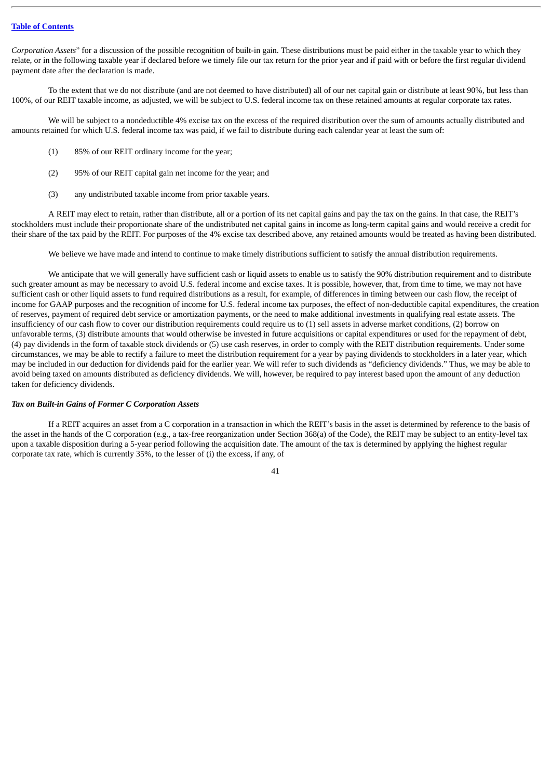*Corporation Assets*" for a discussion of the possible recognition of built-in gain. These distributions must be paid either in the taxable year to which they relate, or in the following taxable year if declared before we timely file our tax return for the prior year and if paid with or before the first regular dividend payment date after the declaration is made.

To the extent that we do not distribute (and are not deemed to have distributed) all of our net capital gain or distribute at least 90%, but less than 100%, of our REIT taxable income, as adjusted, we will be subject to U.S. federal income tax on these retained amounts at regular corporate tax rates.

We will be subject to a nondeductible 4% excise tax on the excess of the required distribution over the sum of amounts actually distributed and amounts retained for which U.S. federal income tax was paid, if we fail to distribute during each calendar year at least the sum of:

- (1) 85% of our REIT ordinary income for the year;
- (2) 95% of our REIT capital gain net income for the year; and
- (3) any undistributed taxable income from prior taxable years.

A REIT may elect to retain, rather than distribute, all or a portion of its net capital gains and pay the tax on the gains. In that case, the REIT's stockholders must include their proportionate share of the undistributed net capital gains in income as long-term capital gains and would receive a credit for their share of the tax paid by the REIT. For purposes of the 4% excise tax described above, any retained amounts would be treated as having been distributed.

We believe we have made and intend to continue to make timely distributions sufficient to satisfy the annual distribution requirements.

We anticipate that we will generally have sufficient cash or liquid assets to enable us to satisfy the 90% distribution requirement and to distribute such greater amount as may be necessary to avoid U.S. federal income and excise taxes. It is possible, however, that, from time to time, we may not have sufficient cash or other liquid assets to fund required distributions as a result, for example, of differences in timing between our cash flow, the receipt of income for GAAP purposes and the recognition of income for U.S. federal income tax purposes, the effect of non-deductible capital expenditures, the creation of reserves, payment of required debt service or amortization payments, or the need to make additional investments in qualifying real estate assets. The insufficiency of our cash flow to cover our distribution requirements could require us to (1) sell assets in adverse market conditions, (2) borrow on unfavorable terms, (3) distribute amounts that would otherwise be invested in future acquisitions or capital expenditures or used for the repayment of debt, (4) pay dividends in the form of taxable stock dividends or (5) use cash reserves, in order to comply with the REIT distribution requirements. Under some circumstances, we may be able to rectify a failure to meet the distribution requirement for a year by paying dividends to stockholders in a later year, which may be included in our deduction for dividends paid for the earlier year. We will refer to such dividends as "deficiency dividends." Thus, we may be able to avoid being taxed on amounts distributed as deficiency dividends. We will, however, be required to pay interest based upon the amount of any deduction taken for deficiency dividends.

#### *Tax on Built-in Gains of Former C Corporation Assets*

If a REIT acquires an asset from a C corporation in a transaction in which the REIT's basis in the asset is determined by reference to the basis of the asset in the hands of the C corporation (e.g., a tax-free reorganization under Section 368(a) of the Code), the REIT may be subject to an entity-level tax upon a taxable disposition during a 5-year period following the acquisition date. The amount of the tax is determined by applying the highest regular corporate tax rate, which is currently 35%, to the lesser of (i) the excess, if any, of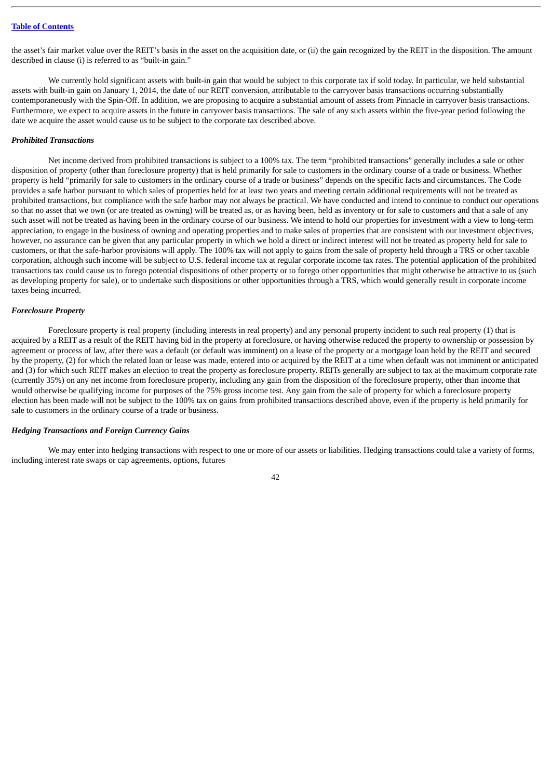the asset's fair market value over the REIT's basis in the asset on the acquisition date, or (ii) the gain recognized by the REIT in the disposition. The amount described in clause (i) is referred to as "built-in gain."

We currently hold significant assets with built-in gain that would be subject to this corporate tax if sold today. In particular, we held substantial assets with built-in gain on January 1, 2014, the date of our REIT conversion, attributable to the carryover basis transactions occurring substantially contemporaneously with the Spin-Off. In addition, we are proposing to acquire a substantial amount of assets from Pinnacle in carryover basis transactions. Furthermore, we expect to acquire assets in the future in carryover basis transactions. The sale of any such assets within the five-year period following the date we acquire the asset would cause us to be subject to the corporate tax described above.

### *Prohibited Transactions*

Net income derived from prohibited transactions is subject to a 100% tax. The term "prohibited transactions" generally includes a sale or other disposition of property (other than foreclosure property) that is held primarily for sale to customers in the ordinary course of a trade or business. Whether property is held "primarily for sale to customers in the ordinary course of a trade or business" depends on the specific facts and circumstances. The Code provides a safe harbor pursuant to which sales of properties held for at least two years and meeting certain additional requirements will not be treated as prohibited transactions, but compliance with the safe harbor may not always be practical. We have conducted and intend to continue to conduct our operations so that no asset that we own (or are treated as owning) will be treated as, or as having been, held as inventory or for sale to customers and that a sale of any such asset will not be treated as having been in the ordinary course of our business. We intend to hold our properties for investment with a view to long-term appreciation, to engage in the business of owning and operating properties and to make sales of properties that are consistent with our investment objectives, however, no assurance can be given that any particular property in which we hold a direct or indirect interest will not be treated as property held for sale to customers, or that the safe-harbor provisions will apply. The 100% tax will not apply to gains from the sale of property held through a TRS or other taxable corporation, although such income will be subject to U.S. federal income tax at regular corporate income tax rates. The potential application of the prohibited transactions tax could cause us to forego potential dispositions of other property or to forego other opportunities that might otherwise be attractive to us (such as developing property for sale), or to undertake such dispositions or other opportunities through a TRS, which would generally result in corporate income taxes being incurred.

#### *Foreclosure Property*

Foreclosure property is real property (including interests in real property) and any personal property incident to such real property (1) that is acquired by a REIT as a result of the REIT having bid in the property at foreclosure, or having otherwise reduced the property to ownership or possession by agreement or process of law, after there was a default (or default was imminent) on a lease of the property or a mortgage loan held by the REIT and secured by the property, (2) for which the related loan or lease was made, entered into or acquired by the REIT at a time when default was not imminent or anticipated and (3) for which such REIT makes an election to treat the property as foreclosure property. REITs generally are subject to tax at the maximum corporate rate (currently 35%) on any net income from foreclosure property, including any gain from the disposition of the foreclosure property, other than income that would otherwise be qualifying income for purposes of the 75% gross income test. Any gain from the sale of property for which a foreclosure property election has been made will not be subject to the 100% tax on gains from prohibited transactions described above, even if the property is held primarily for sale to customers in the ordinary course of a trade or business.

# *Hedging Transactions and Foreign Currency Gains*

We may enter into hedging transactions with respect to one or more of our assets or liabilities. Hedging transactions could take a variety of forms, including interest rate swaps or cap agreements, options, futures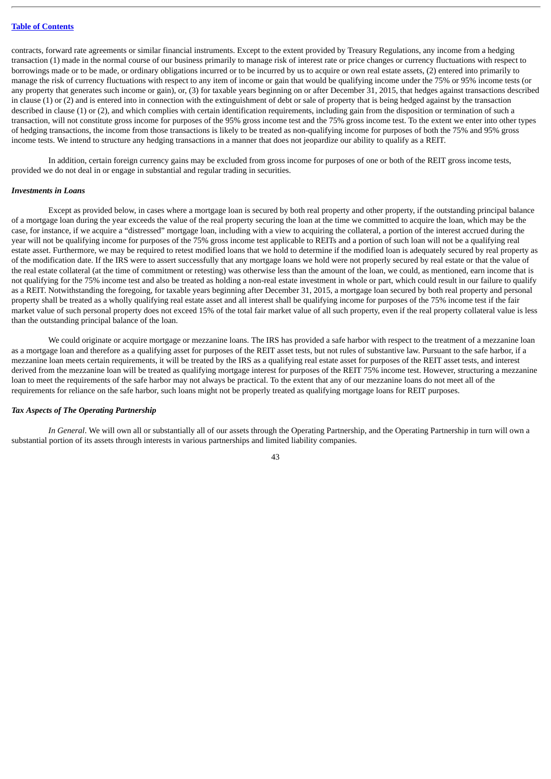contracts, forward rate agreements or similar financial instruments. Except to the extent provided by Treasury Regulations, any income from a hedging transaction (1) made in the normal course of our business primarily to manage risk of interest rate or price changes or currency fluctuations with respect to borrowings made or to be made, or ordinary obligations incurred or to be incurred by us to acquire or own real estate assets, (2) entered into primarily to manage the risk of currency fluctuations with respect to any item of income or gain that would be qualifying income under the 75% or 95% income tests (or any property that generates such income or gain), or, (3) for taxable years beginning on or after December 31, 2015, that hedges against transactions described in clause (1) or (2) and is entered into in connection with the extinguishment of debt or sale of property that is being hedged against by the transaction described in clause (1) or (2), and which complies with certain identification requirements, including gain from the disposition or termination of such a transaction, will not constitute gross income for purposes of the 95% gross income test and the 75% gross income test. To the extent we enter into other types of hedging transactions, the income from those transactions is likely to be treated as non-qualifying income for purposes of both the 75% and 95% gross income tests. We intend to structure any hedging transactions in a manner that does not jeopardize our ability to qualify as a REIT.

In addition, certain foreign currency gains may be excluded from gross income for purposes of one or both of the REIT gross income tests, provided we do not deal in or engage in substantial and regular trading in securities.

#### *Investments in Loans*

Except as provided below, in cases where a mortgage loan is secured by both real property and other property, if the outstanding principal balance of a mortgage loan during the year exceeds the value of the real property securing the loan at the time we committed to acquire the loan, which may be the case, for instance, if we acquire a "distressed" mortgage loan, including with a view to acquiring the collateral, a portion of the interest accrued during the year will not be qualifying income for purposes of the 75% gross income test applicable to REITs and a portion of such loan will not be a qualifying real estate asset. Furthermore, we may be required to retest modified loans that we hold to determine if the modified loan is adequately secured by real property as of the modification date. If the IRS were to assert successfully that any mortgage loans we hold were not properly secured by real estate or that the value of the real estate collateral (at the time of commitment or retesting) was otherwise less than the amount of the loan, we could, as mentioned, earn income that is not qualifying for the 75% income test and also be treated as holding a non-real estate investment in whole or part, which could result in our failure to qualify as a REIT. Notwithstanding the foregoing, for taxable years beginning after December 31, 2015, a mortgage loan secured by both real property and personal property shall be treated as a wholly qualifying real estate asset and all interest shall be qualifying income for purposes of the 75% income test if the fair market value of such personal property does not exceed 15% of the total fair market value of all such property, even if the real property collateral value is less than the outstanding principal balance of the loan.

We could originate or acquire mortgage or mezzanine loans. The IRS has provided a safe harbor with respect to the treatment of a mezzanine loan as a mortgage loan and therefore as a qualifying asset for purposes of the REIT asset tests, but not rules of substantive law. Pursuant to the safe harbor, if a mezzanine loan meets certain requirements, it will be treated by the IRS as a qualifying real estate asset for purposes of the REIT asset tests, and interest derived from the mezzanine loan will be treated as qualifying mortgage interest for purposes of the REIT 75% income test. However, structuring a mezzanine loan to meet the requirements of the safe harbor may not always be practical. To the extent that any of our mezzanine loans do not meet all of the requirements for reliance on the safe harbor, such loans might not be properly treated as qualifying mortgage loans for REIT purposes.

### *Tax Aspects of The Operating Partnership*

*In General*. We will own all or substantially all of our assets through the Operating Partnership, and the Operating Partnership in turn will own a substantial portion of its assets through interests in various partnerships and limited liability companies.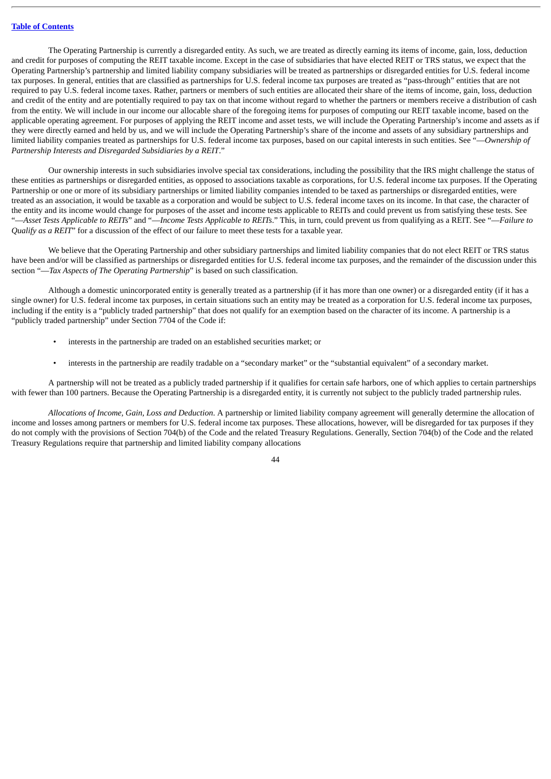The Operating Partnership is currently a disregarded entity. As such, we are treated as directly earning its items of income, gain, loss, deduction and credit for purposes of computing the REIT taxable income. Except in the case of subsidiaries that have elected REIT or TRS status, we expect that the Operating Partnership's partnership and limited liability company subsidiaries will be treated as partnerships or disregarded entities for U.S. federal income tax purposes. In general, entities that are classified as partnerships for U.S. federal income tax purposes are treated as "pass-through" entities that are not required to pay U.S. federal income taxes. Rather, partners or members of such entities are allocated their share of the items of income, gain, loss, deduction and credit of the entity and are potentially required to pay tax on that income without regard to whether the partners or members receive a distribution of cash from the entity. We will include in our income our allocable share of the foregoing items for purposes of computing our REIT taxable income, based on the applicable operating agreement. For purposes of applying the REIT income and asset tests, we will include the Operating Partnership's income and assets as if they were directly earned and held by us, and we will include the Operating Partnership's share of the income and assets of any subsidiary partnerships and limited liability companies treated as partnerships for U.S. federal income tax purposes, based on our capital interests in such entities. See "—*Ownership of Partnership Interests and Disregarded Subsidiaries by a REIT*."

Our ownership interests in such subsidiaries involve special tax considerations, including the possibility that the IRS might challenge the status of these entities as partnerships or disregarded entities, as opposed to associations taxable as corporations, for U.S. federal income tax purposes. If the Operating Partnership or one or more of its subsidiary partnerships or limited liability companies intended to be taxed as partnerships or disregarded entities, were treated as an association, it would be taxable as a corporation and would be subject to U.S. federal income taxes on its income. In that case, the character of the entity and its income would change for purposes of the asset and income tests applicable to REITs and could prevent us from satisfying these tests. See "—Asset Tests Applicable to REITs" and "—Income Tests Applicable to REITs." This, in turn, could prevent us from qualifying as a REIT. See "—Failure to *Qualify as a REIT*" for a discussion of the effect of our failure to meet these tests for a taxable year.

We believe that the Operating Partnership and other subsidiary partnerships and limited liability companies that do not elect REIT or TRS status have been and/or will be classified as partnerships or disregarded entities for U.S. federal income tax purposes, and the remainder of the discussion under this section "—*Tax Aspects of The Operating Partnership*" is based on such classification.

Although a domestic unincorporated entity is generally treated as a partnership (if it has more than one owner) or a disregarded entity (if it has a single owner) for U.S. federal income tax purposes, in certain situations such an entity may be treated as a corporation for U.S. federal income tax purposes, including if the entity is a "publicly traded partnership" that does not qualify for an exemption based on the character of its income. A partnership is a "publicly traded partnership" under Section 7704 of the Code if:

- interests in the partnership are traded on an established securities market; or
- interests in the partnership are readily tradable on a "secondary market" or the "substantial equivalent" of a secondary market.

A partnership will not be treated as a publicly traded partnership if it qualifies for certain safe harbors, one of which applies to certain partnerships with fewer than 100 partners. Because the Operating Partnership is a disregarded entity, it is currently not subject to the publicly traded partnership rules.

*Allocations of Income, Gain, Loss and Deduction*. A partnership or limited liability company agreement will generally determine the allocation of income and losses among partners or members for U.S. federal income tax purposes. These allocations, however, will be disregarded for tax purposes if they do not comply with the provisions of Section 704(b) of the Code and the related Treasury Regulations. Generally, Section 704(b) of the Code and the related Treasury Regulations require that partnership and limited liability company allocations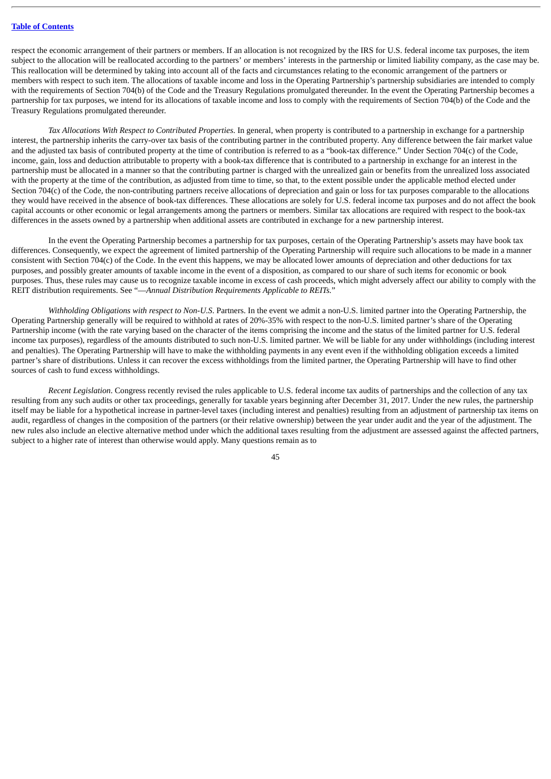respect the economic arrangement of their partners or members. If an allocation is not recognized by the IRS for U.S. federal income tax purposes, the item subject to the allocation will be reallocated according to the partners' or members' interests in the partnership or limited liability company, as the case may be. This reallocation will be determined by taking into account all of the facts and circumstances relating to the economic arrangement of the partners or members with respect to such item. The allocations of taxable income and loss in the Operating Partnership's partnership subsidiaries are intended to comply with the requirements of Section 704(b) of the Code and the Treasury Regulations promulgated thereunder. In the event the Operating Partnership becomes a partnership for tax purposes, we intend for its allocations of taxable income and loss to comply with the requirements of Section 704(b) of the Code and the Treasury Regulations promulgated thereunder.

*Tax Allocations With Respect to Contributed Properties*. In general, when property is contributed to a partnership in exchange for a partnership interest, the partnership inherits the carry-over tax basis of the contributing partner in the contributed property. Any difference between the fair market value and the adjusted tax basis of contributed property at the time of contribution is referred to as a "book-tax difference." Under Section 704(c) of the Code, income, gain, loss and deduction attributable to property with a book-tax difference that is contributed to a partnership in exchange for an interest in the partnership must be allocated in a manner so that the contributing partner is charged with the unrealized gain or benefits from the unrealized loss associated with the property at the time of the contribution, as adjusted from time to time, so that, to the extent possible under the applicable method elected under Section 704(c) of the Code, the non-contributing partners receive allocations of depreciation and gain or loss for tax purposes comparable to the allocations they would have received in the absence of book-tax differences. These allocations are solely for U.S. federal income tax purposes and do not affect the book capital accounts or other economic or legal arrangements among the partners or members. Similar tax allocations are required with respect to the book-tax differences in the assets owned by a partnership when additional assets are contributed in exchange for a new partnership interest.

In the event the Operating Partnership becomes a partnership for tax purposes, certain of the Operating Partnership's assets may have book tax differences. Consequently, we expect the agreement of limited partnership of the Operating Partnership will require such allocations to be made in a manner consistent with Section 704(c) of the Code. In the event this happens, we may be allocated lower amounts of depreciation and other deductions for tax purposes, and possibly greater amounts of taxable income in the event of a disposition, as compared to our share of such items for economic or book purposes. Thus, these rules may cause us to recognize taxable income in excess of cash proceeds, which might adversely affect our ability to comply with the REIT distribution requirements. See "—*Annual Distribution Requirements Applicable to REITs.*"

*Withholding Obligations with respect to Non-U.S*. Partners. In the event we admit a non-U.S. limited partner into the Operating Partnership, the Operating Partnership generally will be required to withhold at rates of 20%-35% with respect to the non-U.S. limited partner's share of the Operating Partnership income (with the rate varying based on the character of the items comprising the income and the status of the limited partner for U.S. federal income tax purposes), regardless of the amounts distributed to such non-U.S. limited partner. We will be liable for any under withholdings (including interest and penalties). The Operating Partnership will have to make the withholding payments in any event even if the withholding obligation exceeds a limited partner's share of distributions. Unless it can recover the excess withholdings from the limited partner, the Operating Partnership will have to find other sources of cash to fund excess withholdings.

*Recent Legislation*. Congress recently revised the rules applicable to U.S. federal income tax audits of partnerships and the collection of any tax resulting from any such audits or other tax proceedings, generally for taxable years beginning after December 31, 2017. Under the new rules, the partnership itself may be liable for a hypothetical increase in partner-level taxes (including interest and penalties) resulting from an adjustment of partnership tax items on audit, regardless of changes in the composition of the partners (or their relative ownership) between the year under audit and the year of the adjustment. The new rules also include an elective alternative method under which the additional taxes resulting from the adjustment are assessed against the affected partners, subject to a higher rate of interest than otherwise would apply. Many questions remain as to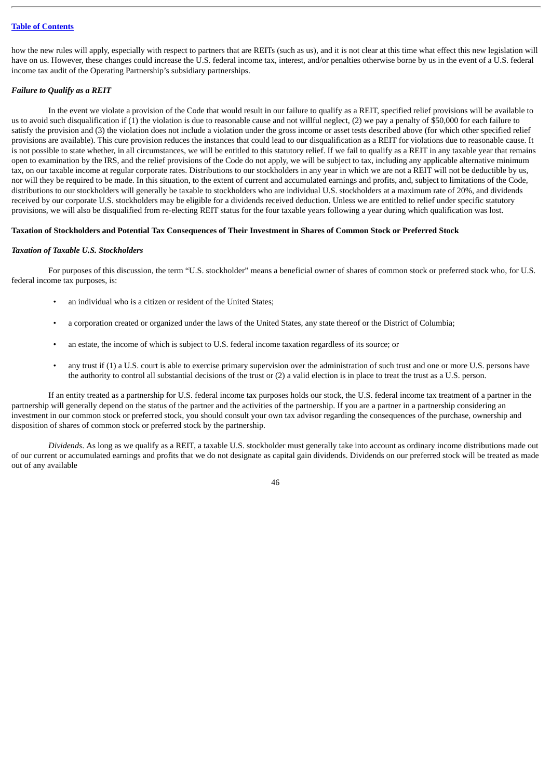how the new rules will apply, especially with respect to partners that are REITs (such as us), and it is not clear at this time what effect this new legislation will have on us. However, these changes could increase the U.S. federal income tax, interest, and/or penalties otherwise borne by us in the event of a U.S. federal income tax audit of the Operating Partnership's subsidiary partnerships.

#### *Failure to Qualify as a REIT*

In the event we violate a provision of the Code that would result in our failure to qualify as a REIT, specified relief provisions will be available to us to avoid such disqualification if  $(1)$  the violation is due to reasonable cause and not willful neglect,  $(2)$  we pay a penalty of \$50,000 for each failure to satisfy the provision and (3) the violation does not include a violation under the gross income or asset tests described above (for which other specified relief provisions are available). This cure provision reduces the instances that could lead to our disqualification as a REIT for violations due to reasonable cause. It is not possible to state whether, in all circumstances, we will be entitled to this statutory relief. If we fail to qualify as a REIT in any taxable year that remains open to examination by the IRS, and the relief provisions of the Code do not apply, we will be subject to tax, including any applicable alternative minimum tax, on our taxable income at regular corporate rates. Distributions to our stockholders in any year in which we are not a REIT will not be deductible by us, nor will they be required to be made. In this situation, to the extent of current and accumulated earnings and profits, and, subject to limitations of the Code, distributions to our stockholders will generally be taxable to stockholders who are individual U.S. stockholders at a maximum rate of 20%, and dividends received by our corporate U.S. stockholders may be eligible for a dividends received deduction. Unless we are entitled to relief under specific statutory provisions, we will also be disqualified from re-electing REIT status for the four taxable years following a year during which qualification was lost.

# Taxation of Stockholders and Potential Tax Consequences of Their Investment in Shares of Common Stock or Preferred Stock

#### *Taxation of Taxable U.S. Stockholders*

For purposes of this discussion, the term "U.S. stockholder" means a beneficial owner of shares of common stock or preferred stock who, for U.S. federal income tax purposes, is:

- an individual who is a citizen or resident of the United States:
- a corporation created or organized under the laws of the United States, any state thereof or the District of Columbia;
- an estate, the income of which is subject to U.S. federal income taxation regardless of its source; or
- any trust if (1) a U.S. court is able to exercise primary supervision over the administration of such trust and one or more U.S. persons have the authority to control all substantial decisions of the trust or (2) a valid election is in place to treat the trust as a U.S. person.

If an entity treated as a partnership for U.S. federal income tax purposes holds our stock, the U.S. federal income tax treatment of a partner in the partnership will generally depend on the status of the partner and the activities of the partnership. If you are a partner in a partnership considering an investment in our common stock or preferred stock, you should consult your own tax advisor regarding the consequences of the purchase, ownership and disposition of shares of common stock or preferred stock by the partnership.

*Dividends*. As long as we qualify as a REIT, a taxable U.S. stockholder must generally take into account as ordinary income distributions made out of our current or accumulated earnings and profits that we do not designate as capital gain dividends. Dividends on our preferred stock will be treated as made out of any available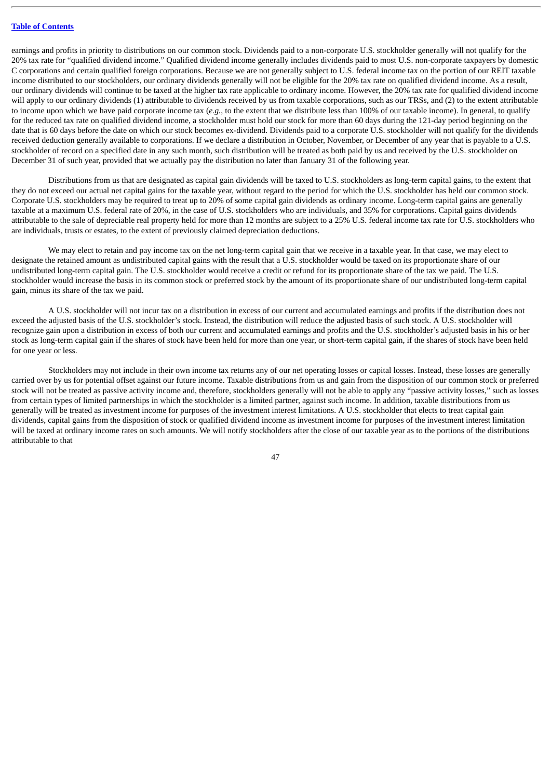earnings and profits in priority to distributions on our common stock. Dividends paid to a non-corporate U.S. stockholder generally will not qualify for the 20% tax rate for "qualified dividend income." Qualified dividend income generally includes dividends paid to most U.S. non-corporate taxpayers by domestic C corporations and certain qualified foreign corporations. Because we are not generally subject to U.S. federal income tax on the portion of our REIT taxable income distributed to our stockholders, our ordinary dividends generally will not be eligible for the 20% tax rate on qualified dividend income. As a result, our ordinary dividends will continue to be taxed at the higher tax rate applicable to ordinary income. However, the 20% tax rate for qualified dividend income will apply to our ordinary dividends (1) attributable to dividends received by us from taxable corporations, such as our TRSs, and (2) to the extent attributable to income upon which we have paid corporate income tax (*e.g.*, to the extent that we distribute less than 100% of our taxable income). In general, to qualify for the reduced tax rate on qualified dividend income, a stockholder must hold our stock for more than 60 days during the 121-day period beginning on the date that is 60 days before the date on which our stock becomes ex-dividend. Dividends paid to a corporate U.S. stockholder will not qualify for the dividends received deduction generally available to corporations. If we declare a distribution in October, November, or December of any year that is payable to a U.S. stockholder of record on a specified date in any such month, such distribution will be treated as both paid by us and received by the U.S. stockholder on December 31 of such year, provided that we actually pay the distribution no later than January 31 of the following year.

Distributions from us that are designated as capital gain dividends will be taxed to U.S. stockholders as long-term capital gains, to the extent that they do not exceed our actual net capital gains for the taxable year, without regard to the period for which the U.S. stockholder has held our common stock. Corporate U.S. stockholders may be required to treat up to 20% of some capital gain dividends as ordinary income. Long-term capital gains are generally taxable at a maximum U.S. federal rate of 20%, in the case of U.S. stockholders who are individuals, and 35% for corporations. Capital gains dividends attributable to the sale of depreciable real property held for more than 12 months are subject to a 25% U.S. federal income tax rate for U.S. stockholders who are individuals, trusts or estates, to the extent of previously claimed depreciation deductions.

We may elect to retain and pay income tax on the net long-term capital gain that we receive in a taxable year. In that case, we may elect to designate the retained amount as undistributed capital gains with the result that a U.S. stockholder would be taxed on its proportionate share of our undistributed long-term capital gain. The U.S. stockholder would receive a credit or refund for its proportionate share of the tax we paid. The U.S. stockholder would increase the basis in its common stock or preferred stock by the amount of its proportionate share of our undistributed long-term capital gain, minus its share of the tax we paid.

A U.S. stockholder will not incur tax on a distribution in excess of our current and accumulated earnings and profits if the distribution does not exceed the adjusted basis of the U.S. stockholder's stock. Instead, the distribution will reduce the adjusted basis of such stock. A U.S. stockholder will recognize gain upon a distribution in excess of both our current and accumulated earnings and profits and the U.S. stockholder's adjusted basis in his or her stock as long-term capital gain if the shares of stock have been held for more than one year, or short-term capital gain, if the shares of stock have been held for one year or less.

Stockholders may not include in their own income tax returns any of our net operating losses or capital losses. Instead, these losses are generally carried over by us for potential offset against our future income. Taxable distributions from us and gain from the disposition of our common stock or preferred stock will not be treated as passive activity income and, therefore, stockholders generally will not be able to apply any "passive activity losses," such as losses from certain types of limited partnerships in which the stockholder is a limited partner, against such income. In addition, taxable distributions from us generally will be treated as investment income for purposes of the investment interest limitations. A U.S. stockholder that elects to treat capital gain dividends, capital gains from the disposition of stock or qualified dividend income as investment income for purposes of the investment interest limitation will be taxed at ordinary income rates on such amounts. We will notify stockholders after the close of our taxable year as to the portions of the distributions attributable to that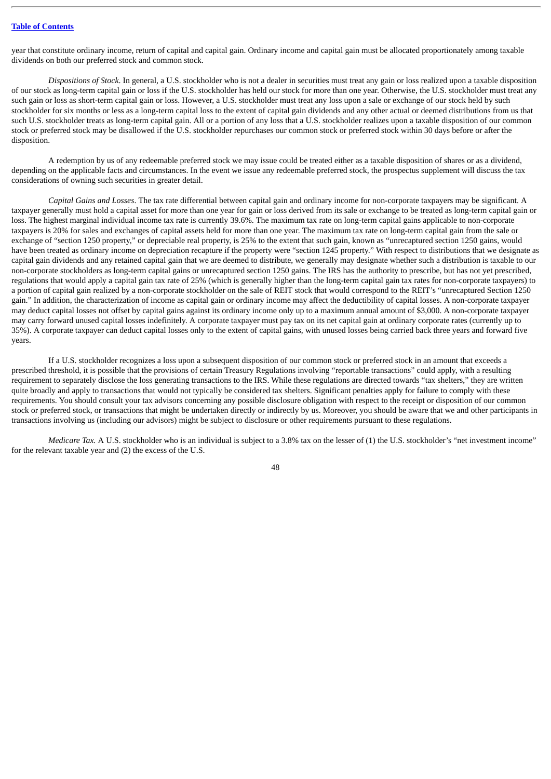year that constitute ordinary income, return of capital and capital gain. Ordinary income and capital gain must be allocated proportionately among taxable dividends on both our preferred stock and common stock.

*Dispositions of Stock*. In general, a U.S. stockholder who is not a dealer in securities must treat any gain or loss realized upon a taxable disposition of our stock as long-term capital gain or loss if the U.S. stockholder has held our stock for more than one year. Otherwise, the U.S. stockholder must treat any such gain or loss as short-term capital gain or loss. However, a U.S. stockholder must treat any loss upon a sale or exchange of our stock held by such stockholder for six months or less as a long-term capital loss to the extent of capital gain dividends and any other actual or deemed distributions from us that such U.S. stockholder treats as long-term capital gain. All or a portion of any loss that a U.S. stockholder realizes upon a taxable disposition of our common stock or preferred stock may be disallowed if the U.S. stockholder repurchases our common stock or preferred stock within 30 days before or after the disposition.

A redemption by us of any redeemable preferred stock we may issue could be treated either as a taxable disposition of shares or as a dividend, depending on the applicable facts and circumstances. In the event we issue any redeemable preferred stock, the prospectus supplement will discuss the tax considerations of owning such securities in greater detail.

*Capital Gains and Losses*. The tax rate differential between capital gain and ordinary income for non-corporate taxpayers may be significant. A taxpayer generally must hold a capital asset for more than one year for gain or loss derived from its sale or exchange to be treated as long-term capital gain or loss. The highest marginal individual income tax rate is currently 39.6%. The maximum tax rate on long-term capital gains applicable to non-corporate taxpayers is 20% for sales and exchanges of capital assets held for more than one year. The maximum tax rate on long-term capital gain from the sale or exchange of "section 1250 property," or depreciable real property, is 25% to the extent that such gain, known as "unrecaptured section 1250 gains, would have been treated as ordinary income on depreciation recapture if the property were "section 1245 property." With respect to distributions that we designate as capital gain dividends and any retained capital gain that we are deemed to distribute, we generally may designate whether such a distribution is taxable to our non-corporate stockholders as long-term capital gains or unrecaptured section 1250 gains. The IRS has the authority to prescribe, but has not yet prescribed, regulations that would apply a capital gain tax rate of 25% (which is generally higher than the long-term capital gain tax rates for non-corporate taxpayers) to a portion of capital gain realized by a non-corporate stockholder on the sale of REIT stock that would correspond to the REIT's "unrecaptured Section 1250 gain." In addition, the characterization of income as capital gain or ordinary income may affect the deductibility of capital losses. A non-corporate taxpayer may deduct capital losses not offset by capital gains against its ordinary income only up to a maximum annual amount of \$3,000. A non-corporate taxpayer may carry forward unused capital losses indefinitely. A corporate taxpayer must pay tax on its net capital gain at ordinary corporate rates (currently up to 35%). A corporate taxpayer can deduct capital losses only to the extent of capital gains, with unused losses being carried back three years and forward five years.

If a U.S. stockholder recognizes a loss upon a subsequent disposition of our common stock or preferred stock in an amount that exceeds a prescribed threshold, it is possible that the provisions of certain Treasury Regulations involving "reportable transactions" could apply, with a resulting requirement to separately disclose the loss generating transactions to the IRS. While these regulations are directed towards "tax shelters," they are written quite broadly and apply to transactions that would not typically be considered tax shelters. Significant penalties apply for failure to comply with these requirements. You should consult your tax advisors concerning any possible disclosure obligation with respect to the receipt or disposition of our common stock or preferred stock, or transactions that might be undertaken directly or indirectly by us. Moreover, you should be aware that we and other participants in transactions involving us (including our advisors) might be subject to disclosure or other requirements pursuant to these regulations.

*Medicare Tax.* A U.S. stockholder who is an individual is subject to a 3.8% tax on the lesser of (1) the U.S. stockholder's "net investment income" for the relevant taxable year and (2) the excess of the U.S.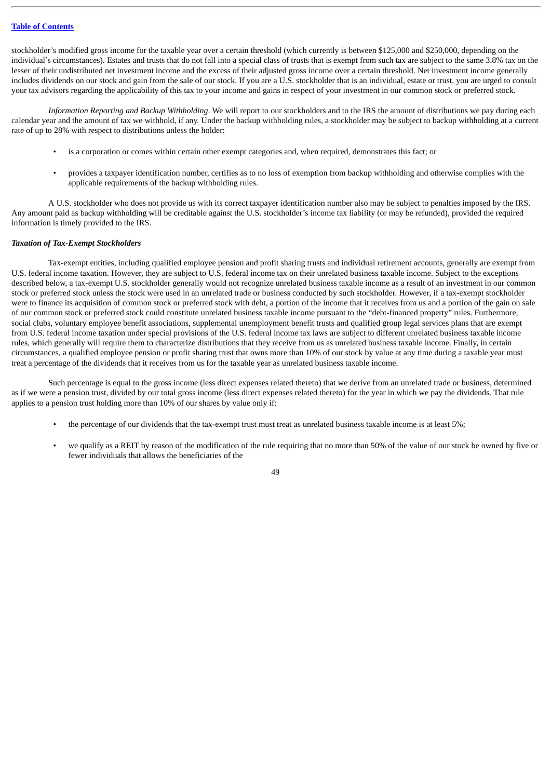stockholder's modified gross income for the taxable year over a certain threshold (which currently is between \$125,000 and \$250,000, depending on the individual's circumstances). Estates and trusts that do not fall into a special class of trusts that is exempt from such tax are subject to the same 3.8% tax on the lesser of their undistributed net investment income and the excess of their adjusted gross income over a certain threshold. Net investment income generally includes dividends on our stock and gain from the sale of our stock. If you are a U.S. stockholder that is an individual, estate or trust, you are urged to consult your tax advisors regarding the applicability of this tax to your income and gains in respect of your investment in our common stock or preferred stock.

*Information Reporting and Backup Withholding*. We will report to our stockholders and to the IRS the amount of distributions we pay during each calendar year and the amount of tax we withhold, if any. Under the backup withholding rules, a stockholder may be subject to backup withholding at a current rate of up to 28% with respect to distributions unless the holder:

- is a corporation or comes within certain other exempt categories and, when required, demonstrates this fact; or
- provides a taxpayer identification number, certifies as to no loss of exemption from backup withholding and otherwise complies with the applicable requirements of the backup withholding rules.

A U.S. stockholder who does not provide us with its correct taxpayer identification number also may be subject to penalties imposed by the IRS. Any amount paid as backup withholding will be creditable against the U.S. stockholder's income tax liability (or may be refunded), provided the required information is timely provided to the IRS.

#### *Taxation of Tax-Exempt Stockholders*

Tax-exempt entities, including qualified employee pension and profit sharing trusts and individual retirement accounts, generally are exempt from U.S. federal income taxation. However, they are subject to U.S. federal income tax on their unrelated business taxable income. Subject to the exceptions described below, a tax-exempt U.S. stockholder generally would not recognize unrelated business taxable income as a result of an investment in our common stock or preferred stock unless the stock were used in an unrelated trade or business conducted by such stockholder. However, if a tax-exempt stockholder were to finance its acquisition of common stock or preferred stock with debt, a portion of the income that it receives from us and a portion of the gain on sale of our common stock or preferred stock could constitute unrelated business taxable income pursuant to the "debt-financed property" rules. Furthermore, social clubs, voluntary employee benefit associations, supplemental unemployment benefit trusts and qualified group legal services plans that are exempt from U.S. federal income taxation under special provisions of the U.S. federal income tax laws are subject to different unrelated business taxable income rules, which generally will require them to characterize distributions that they receive from us as unrelated business taxable income. Finally, in certain circumstances, a qualified employee pension or profit sharing trust that owns more than 10% of our stock by value at any time during a taxable year must treat a percentage of the dividends that it receives from us for the taxable year as unrelated business taxable income.

Such percentage is equal to the gross income (less direct expenses related thereto) that we derive from an unrelated trade or business, determined as if we were a pension trust, divided by our total gross income (less direct expenses related thereto) for the year in which we pay the dividends. That rule applies to a pension trust holding more than 10% of our shares by value only if:

- the percentage of our dividends that the tax-exempt trust must treat as unrelated business taxable income is at least 5%;
- we qualify as a REIT by reason of the modification of the rule requiring that no more than 50% of the value of our stock be owned by five or fewer individuals that allows the beneficiaries of the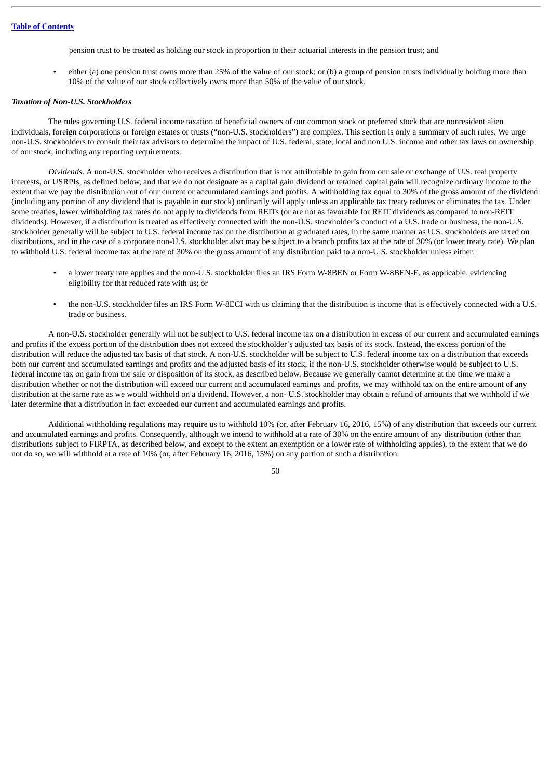pension trust to be treated as holding our stock in proportion to their actuarial interests in the pension trust; and

• either (a) one pension trust owns more than 25% of the value of our stock; or (b) a group of pension trusts individually holding more than 10% of the value of our stock collectively owns more than 50% of the value of our stock.

#### *Taxation of Non-U.S. Stockholders*

The rules governing U.S. federal income taxation of beneficial owners of our common stock or preferred stock that are nonresident alien individuals, foreign corporations or foreign estates or trusts ("non-U.S. stockholders") are complex. This section is only a summary of such rules. We urge non-U.S. stockholders to consult their tax advisors to determine the impact of U.S. federal, state, local and non U.S. income and other tax laws on ownership of our stock, including any reporting requirements.

*Dividends*. A non-U.S. stockholder who receives a distribution that is not attributable to gain from our sale or exchange of U.S. real property interests, or USRPIs, as defined below, and that we do not designate as a capital gain dividend or retained capital gain will recognize ordinary income to the extent that we pay the distribution out of our current or accumulated earnings and profits. A withholding tax equal to 30% of the gross amount of the dividend (including any portion of any dividend that is payable in our stock) ordinarily will apply unless an applicable tax treaty reduces or eliminates the tax. Under some treaties, lower withholding tax rates do not apply to dividends from REITs (or are not as favorable for REIT dividends as compared to non-REIT dividends). However, if a distribution is treated as effectively connected with the non-U.S. stockholder's conduct of a U.S. trade or business, the non-U.S. stockholder generally will be subject to U.S. federal income tax on the distribution at graduated rates, in the same manner as U.S. stockholders are taxed on distributions, and in the case of a corporate non-U.S. stockholder also may be subject to a branch profits tax at the rate of 30% (or lower treaty rate). We plan to withhold U.S. federal income tax at the rate of 30% on the gross amount of any distribution paid to a non-U.S. stockholder unless either:

- a lower treaty rate applies and the non-U.S. stockholder files an IRS Form W-8BEN or Form W-8BEN-E, as applicable, evidencing eligibility for that reduced rate with us; or
- the non-U.S. stockholder files an IRS Form W-8ECI with us claiming that the distribution is income that is effectively connected with a U.S. trade or business.

A non-U.S. stockholder generally will not be subject to U.S. federal income tax on a distribution in excess of our current and accumulated earnings and profits if the excess portion of the distribution does not exceed the stockholder's adjusted tax basis of its stock. Instead, the excess portion of the distribution will reduce the adjusted tax basis of that stock. A non-U.S. stockholder will be subject to U.S. federal income tax on a distribution that exceeds both our current and accumulated earnings and profits and the adjusted basis of its stock, if the non-U.S. stockholder otherwise would be subject to U.S. federal income tax on gain from the sale or disposition of its stock, as described below. Because we generally cannot determine at the time we make a distribution whether or not the distribution will exceed our current and accumulated earnings and profits, we may withhold tax on the entire amount of any distribution at the same rate as we would withhold on a dividend. However, a non- U.S. stockholder may obtain a refund of amounts that we withhold if we later determine that a distribution in fact exceeded our current and accumulated earnings and profits.

Additional withholding regulations may require us to withhold 10% (or, after February 16, 2016, 15%) of any distribution that exceeds our current and accumulated earnings and profits. Consequently, although we intend to withhold at a rate of 30% on the entire amount of any distribution (other than distributions subject to FIRPTA, as described below, and except to the extent an exemption or a lower rate of withholding applies), to the extent that we do not do so, we will withhold at a rate of 10% (or, after February 16, 2016, 15%) on any portion of such a distribution.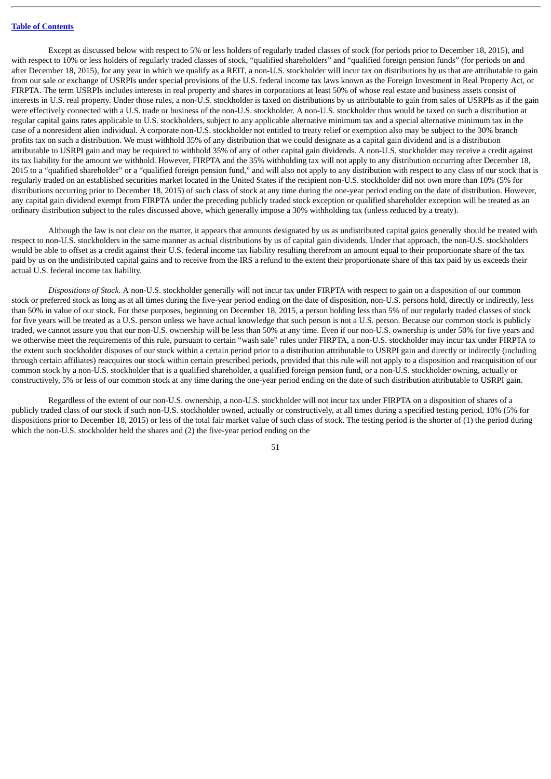Except as discussed below with respect to 5% or less holders of regularly traded classes of stock (for periods prior to December 18, 2015), and with respect to 10% or less holders of regularly traded classes of stock, "qualified shareholders" and "qualified foreign pension funds" (for periods on and after December 18, 2015), for any year in which we qualify as a REIT, a non-U.S. stockholder will incur tax on distributions by us that are attributable to gain from our sale or exchange of USRPIs under special provisions of the U.S. federal income tax laws known as the Foreign Investment in Real Property Act, or FIRPTA. The term USRPIs includes interests in real property and shares in corporations at least 50% of whose real estate and business assets consist of interests in U.S. real property. Under those rules, a non-U.S. stockholder is taxed on distributions by us attributable to gain from sales of USRPIs as if the gain were effectively connected with a U.S. trade or business of the non-U.S. stockholder. A non-U.S. stockholder thus would be taxed on such a distribution at regular capital gains rates applicable to U.S. stockholders, subject to any applicable alternative minimum tax and a special alternative minimum tax in the case of a nonresident alien individual. A corporate non-U.S. stockholder not entitled to treaty relief or exemption also may be subject to the 30% branch profits tax on such a distribution. We must withhold 35% of any distribution that we could designate as a capital gain dividend and is a distribution attributable to USRPI gain and may be required to withhold 35% of any of other capital gain dividends. A non-U.S. stockholder may receive a credit against its tax liability for the amount we withhold. However, FIRPTA and the 35% withholding tax will not apply to any distribution occurring after December 18, 2015 to a "qualified shareholder" or a "qualified foreign pension fund," and will also not apply to any distribution with respect to any class of our stock that is regularly traded on an established securities market located in the United States if the recipient non-U.S. stockholder did not own more than 10% (5% for distributions occurring prior to December 18, 2015) of such class of stock at any time during the one-year period ending on the date of distribution. However, any capital gain dividend exempt from FIRPTA under the preceding publicly traded stock exception or qualified shareholder exception will be treated as an ordinary distribution subject to the rules discussed above, which generally impose a 30% withholding tax (unless reduced by a treaty).

Although the law is not clear on the matter, it appears that amounts designated by us as undistributed capital gains generally should be treated with respect to non-U.S. stockholders in the same manner as actual distributions by us of capital gain dividends. Under that approach, the non-U.S. stockholders would be able to offset as a credit against their U.S. federal income tax liability resulting therefrom an amount equal to their proportionate share of the tax paid by us on the undistributed capital gains and to receive from the IRS a refund to the extent their proportionate share of this tax paid by us exceeds their actual U.S. federal income tax liability.

*Dispositions of Stock*. A non-U.S. stockholder generally will not incur tax under FIRPTA with respect to gain on a disposition of our common stock or preferred stock as long as at all times during the five-year period ending on the date of disposition, non-U.S. persons hold, directly or indirectly, less than 50% in value of our stock. For these purposes, beginning on December 18, 2015, a person holding less than 5% of our regularly traded classes of stock for five years will be treated as a U.S. person unless we have actual knowledge that such person is not a U.S. person. Because our common stock is publicly traded, we cannot assure you that our non-U.S. ownership will be less than 50% at any time. Even if our non-U.S. ownership is under 50% for five years and we otherwise meet the requirements of this rule, pursuant to certain "wash sale" rules under FIRPTA, a non-U.S. stockholder may incur tax under FIRPTA to the extent such stockholder disposes of our stock within a certain period prior to a distribution attributable to USRPI gain and directly or indirectly (including through certain affiliates) reacquires our stock within certain prescribed periods, provided that this rule will not apply to a disposition and reacquisition of our common stock by a non-U.S. stockholder that is a qualified shareholder, a qualified foreign pension fund, or a non-U.S. stockholder owning, actually or constructively, 5% or less of our common stock at any time during the one-year period ending on the date of such distribution attributable to USRPI gain.

Regardless of the extent of our non-U.S. ownership, a non-U.S. stockholder will not incur tax under FIRPTA on a disposition of shares of a publicly traded class of our stock if such non-U.S. stockholder owned, actually or constructively, at all times during a specified testing period, 10% (5% for dispositions prior to December 18, 2015) or less of the total fair market value of such class of stock. The testing period is the shorter of (1) the period during which the non-U.S. stockholder held the shares and (2) the five-year period ending on the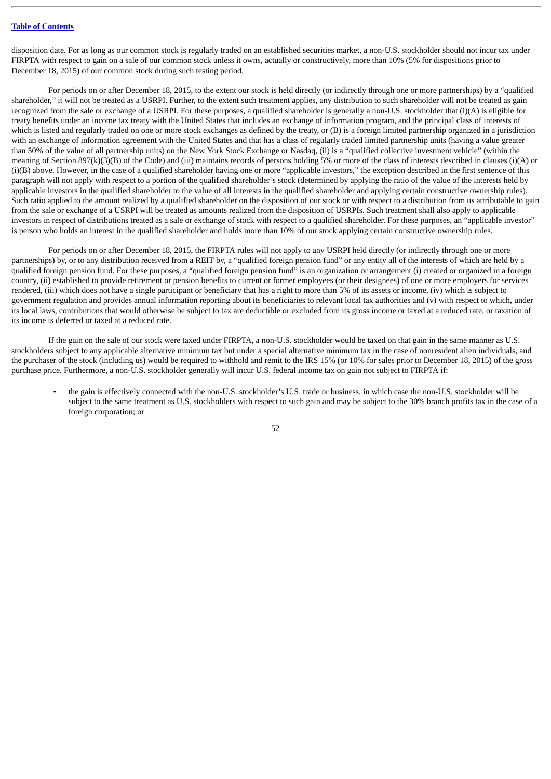disposition date. For as long as our common stock is regularly traded on an established securities market, a non-U.S. stockholder should not incur tax under FIRPTA with respect to gain on a sale of our common stock unless it owns, actually or constructively, more than 10% (5% for dispositions prior to December 18, 2015) of our common stock during such testing period.

For periods on or after December 18, 2015, to the extent our stock is held directly (or indirectly through one or more partnerships) by a "qualified shareholder," it will not be treated as a USRPI. Further, to the extent such treatment applies, any distribution to such shareholder will not be treated as gain recognized from the sale or exchange of a USRPI. For these purposes, a qualified shareholder is generally a non-U.S. stockholder that (i)(A) is eligible for treaty benefits under an income tax treaty with the United States that includes an exchange of information program, and the principal class of interests of which is listed and regularly traded on one or more stock exchanges as defined by the treaty, or (B) is a foreign limited partnership organized in a jurisdiction with an exchange of information agreement with the United States and that has a class of regularly traded limited partnership units (having a value greater than 50% of the value of all partnership units) on the New York Stock Exchange or Nasdaq, (ii) is a "qualified collective investment vehicle" (within the meaning of Section 897(k)(3)(B) of the Code) and (iii) maintains records of persons holding 5% or more of the class of interests described in clauses (i)(A) or (i)(B) above. However, in the case of a qualified shareholder having one or more "applicable investors," the exception described in the first sentence of this paragraph will not apply with respect to a portion of the qualified shareholder's stock (determined by applying the ratio of the value of the interests held by applicable investors in the qualified shareholder to the value of all interests in the qualified shareholder and applying certain constructive ownership rules). Such ratio applied to the amount realized by a qualified shareholder on the disposition of our stock or with respect to a distribution from us attributable to gain from the sale or exchange of a USRPI will be treated as amounts realized from the disposition of USRPIs. Such treatment shall also apply to applicable investors in respect of distributions treated as a sale or exchange of stock with respect to a qualified shareholder. For these purposes, an "applicable investor" is person who holds an interest in the qualified shareholder and holds more than 10% of our stock applying certain constructive ownership rules.

For periods on or after December 18, 2015, the FIRPTA rules will not apply to any USRPI held directly (or indirectly through one or more partnerships) by, or to any distribution received from a REIT by, a "qualified foreign pension fund" or any entity all of the interests of which are held by a qualified foreign pension fund. For these purposes, a "qualified foreign pension fund" is an organization or arrangement (i) created or organized in a foreign country, (ii) established to provide retirement or pension benefits to current or former employees (or their designees) of one or more employers for services rendered, (iii) which does not have a single participant or beneficiary that has a right to more than 5% of its assets or income, (iv) which is subject to government regulation and provides annual information reporting about its beneficiaries to relevant local tax authorities and (v) with respect to which, under its local laws, contributions that would otherwise be subject to tax are deductible or excluded from its gross income or taxed at a reduced rate, or taxation of its income is deferred or taxed at a reduced rate.

If the gain on the sale of our stock were taxed under FIRPTA, a non-U.S. stockholder would be taxed on that gain in the same manner as U.S. stockholders subject to any applicable alternative minimum tax but under a special alternative minimum tax in the case of nonresident alien individuals, and the purchaser of the stock (including us) would be required to withhold and remit to the IRS 15% (or 10% for sales prior to December 18, 2015) of the gross purchase price. Furthermore, a non-U.S. stockholder generally will incur U.S. federal income tax on gain not subject to FIRPTA if:

• the gain is effectively connected with the non-U.S. stockholder's U.S. trade or business, in which case the non-U.S. stockholder will be subject to the same treatment as U.S. stockholders with respect to such gain and may be subject to the 30% branch profits tax in the case of a foreign corporation; or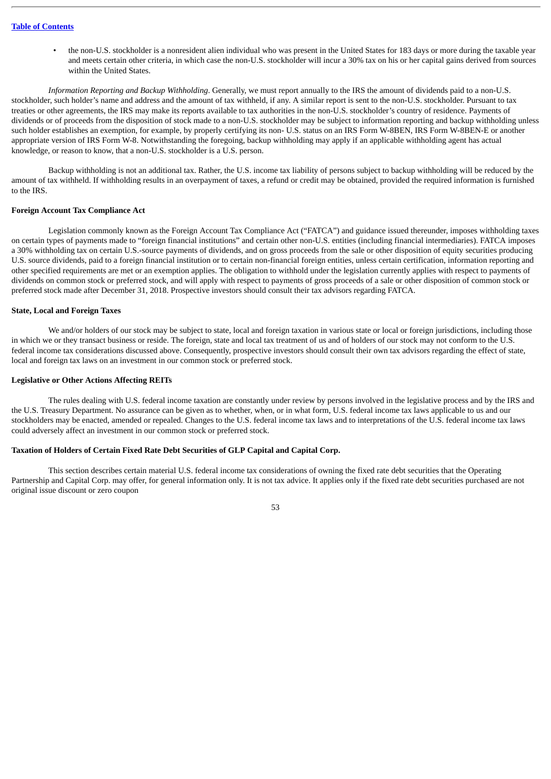• the non-U.S. stockholder is a nonresident alien individual who was present in the United States for 183 days or more during the taxable year and meets certain other criteria, in which case the non-U.S. stockholder will incur a 30% tax on his or her capital gains derived from sources within the United States.

*Information Reporting and Backup Withholding*. Generally, we must report annually to the IRS the amount of dividends paid to a non-U.S. stockholder, such holder's name and address and the amount of tax withheld, if any. A similar report is sent to the non-U.S. stockholder. Pursuant to tax treaties or other agreements, the IRS may make its reports available to tax authorities in the non-U.S. stockholder's country of residence. Payments of dividends or of proceeds from the disposition of stock made to a non-U.S. stockholder may be subject to information reporting and backup withholding unless such holder establishes an exemption, for example, by properly certifying its non- U.S. status on an IRS Form W-8BEN, IRS Form W-8BEN-E or another appropriate version of IRS Form W-8. Notwithstanding the foregoing, backup withholding may apply if an applicable withholding agent has actual knowledge, or reason to know, that a non-U.S. stockholder is a U.S. person.

Backup withholding is not an additional tax. Rather, the U.S. income tax liability of persons subject to backup withholding will be reduced by the amount of tax withheld. If withholding results in an overpayment of taxes, a refund or credit may be obtained, provided the required information is furnished to the IRS.

#### **Foreign Account Tax Compliance Act**

Legislation commonly known as the Foreign Account Tax Compliance Act ("FATCA") and guidance issued thereunder, imposes withholding taxes on certain types of payments made to "foreign financial institutions" and certain other non-U.S. entities (including financial intermediaries). FATCA imposes a 30% withholding tax on certain U.S.-source payments of dividends, and on gross proceeds from the sale or other disposition of equity securities producing U.S. source dividends, paid to a foreign financial institution or to certain non-financial foreign entities, unless certain certification, information reporting and other specified requirements are met or an exemption applies. The obligation to withhold under the legislation currently applies with respect to payments of dividends on common stock or preferred stock, and will apply with respect to payments of gross proceeds of a sale or other disposition of common stock or preferred stock made after December 31, 2018. Prospective investors should consult their tax advisors regarding FATCA.

#### **State, Local and Foreign Taxes**

We and/or holders of our stock may be subject to state, local and foreign taxation in various state or local or foreign jurisdictions, including those in which we or they transact business or reside. The foreign, state and local tax treatment of us and of holders of our stock may not conform to the U.S. federal income tax considerations discussed above. Consequently, prospective investors should consult their own tax advisors regarding the effect of state, local and foreign tax laws on an investment in our common stock or preferred stock.

# **Legislative or Other Actions Affecting REITs**

The rules dealing with U.S. federal income taxation are constantly under review by persons involved in the legislative process and by the IRS and the U.S. Treasury Department. No assurance can be given as to whether, when, or in what form, U.S. federal income tax laws applicable to us and our stockholders may be enacted, amended or repealed. Changes to the U.S. federal income tax laws and to interpretations of the U.S. federal income tax laws could adversely affect an investment in our common stock or preferred stock.

# **Taxation of Holders of Certain Fixed Rate Debt Securities of GLP Capital and Capital Corp.**

This section describes certain material U.S. federal income tax considerations of owning the fixed rate debt securities that the Operating Partnership and Capital Corp. may offer, for general information only. It is not tax advice. It applies only if the fixed rate debt securities purchased are not original issue discount or zero coupon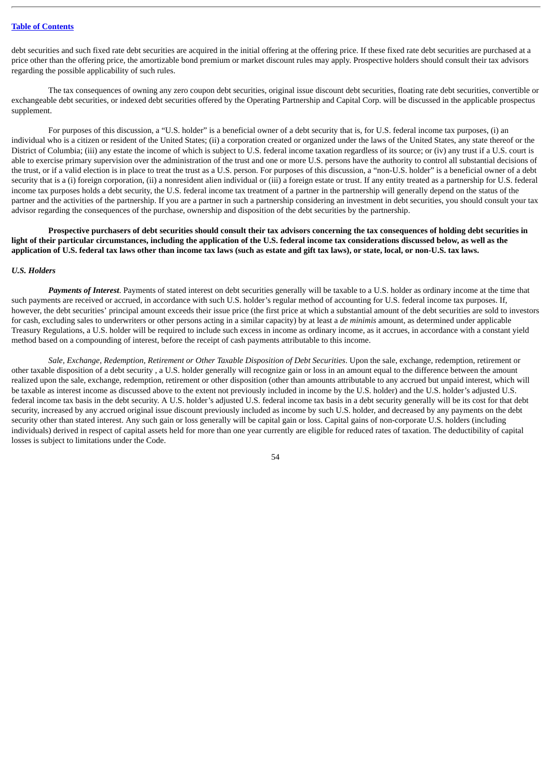debt securities and such fixed rate debt securities are acquired in the initial offering at the offering price. If these fixed rate debt securities are purchased at a price other than the offering price, the amortizable bond premium or market discount rules may apply. Prospective holders should consult their tax advisors regarding the possible applicability of such rules.

The tax consequences of owning any zero coupon debt securities, original issue discount debt securities, floating rate debt securities, convertible or exchangeable debt securities, or indexed debt securities offered by the Operating Partnership and Capital Corp. will be discussed in the applicable prospectus supplement.

For purposes of this discussion, a "U.S. holder" is a beneficial owner of a debt security that is, for U.S. federal income tax purposes, (i) an individual who is a citizen or resident of the United States; (ii) a corporation created or organized under the laws of the United States, any state thereof or the District of Columbia; (iii) any estate the income of which is subject to U.S. federal income taxation regardless of its source; or (iv) any trust if a U.S. court is able to exercise primary supervision over the administration of the trust and one or more U.S. persons have the authority to control all substantial decisions of the trust, or if a valid election is in place to treat the trust as a U.S. person. For purposes of this discussion, a "non-U.S. holder" is a beneficial owner of a debt security that is a (i) foreign corporation, (ii) a nonresident alien individual or (iii) a foreign estate or trust. If any entity treated as a partnership for U.S. federal income tax purposes holds a debt security, the U.S. federal income tax treatment of a partner in the partnership will generally depend on the status of the partner and the activities of the partnership. If you are a partner in such a partnership considering an investment in debt securities, you should consult your tax advisor regarding the consequences of the purchase, ownership and disposition of the debt securities by the partnership.

Prospective purchasers of debt securities should consult their tax advisors concerning the tax consequences of holding debt securities in light of their particular circumstances, including the application of the U.S. federal income tax considerations discussed below, as well as the application of U.S. federal tax laws other than income tax laws (such as estate and gift tax laws), or state, local, or non-U.S. tax laws.

#### *U.S. Holders*

*Payments of Interest*. Payments of stated interest on debt securities generally will be taxable to a U.S. holder as ordinary income at the time that such payments are received or accrued, in accordance with such U.S. holder's regular method of accounting for U.S. federal income tax purposes. If, however, the debt securities' principal amount exceeds their issue price (the first price at which a substantial amount of the debt securities are sold to investors for cash, excluding sales to underwriters or other persons acting in a similar capacity) by at least a *de minimis* amount, as determined under applicable Treasury Regulations, a U.S. holder will be required to include such excess in income as ordinary income, as it accrues, in accordance with a constant yield method based on a compounding of interest, before the receipt of cash payments attributable to this income.

*Sale, Exchange, Redemption, Retirement or Other Taxable Disposition of Debt Securities*. Upon the sale, exchange, redemption, retirement or other taxable disposition of a debt security , a U.S. holder generally will recognize gain or loss in an amount equal to the difference between the amount realized upon the sale, exchange, redemption, retirement or other disposition (other than amounts attributable to any accrued but unpaid interest, which will be taxable as interest income as discussed above to the extent not previously included in income by the U.S. holder) and the U.S. holder's adjusted U.S. federal income tax basis in the debt security. A U.S. holder's adjusted U.S. federal income tax basis in a debt security generally will be its cost for that debt security, increased by any accrued original issue discount previously included as income by such U.S. holder, and decreased by any payments on the debt security other than stated interest. Any such gain or loss generally will be capital gain or loss. Capital gains of non-corporate U.S. holders (including individuals) derived in respect of capital assets held for more than one year currently are eligible for reduced rates of taxation. The deductibility of capital losses is subject to limitations under the Code.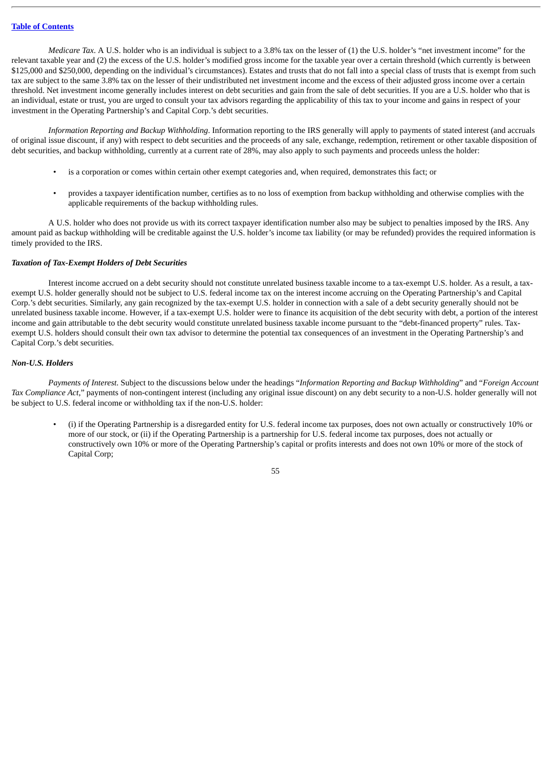*Medicare Tax*. A U.S. holder who is an individual is subject to a 3.8% tax on the lesser of (1) the U.S. holder's "net investment income" for the relevant taxable year and (2) the excess of the U.S. holder's modified gross income for the taxable year over a certain threshold (which currently is between \$125,000 and \$250,000, depending on the individual's circumstances). Estates and trusts that do not fall into a special class of trusts that is exempt from such tax are subject to the same 3.8% tax on the lesser of their undistributed net investment income and the excess of their adjusted gross income over a certain threshold. Net investment income generally includes interest on debt securities and gain from the sale of debt securities. If you are a U.S. holder who that is an individual, estate or trust, you are urged to consult your tax advisors regarding the applicability of this tax to your income and gains in respect of your investment in the Operating Partnership's and Capital Corp.'s debt securities.

*Information Reporting and Backup Withholding*. Information reporting to the IRS generally will apply to payments of stated interest (and accruals of original issue discount, if any) with respect to debt securities and the proceeds of any sale, exchange, redemption, retirement or other taxable disposition of debt securities, and backup withholding, currently at a current rate of 28%, may also apply to such payments and proceeds unless the holder:

- is a corporation or comes within certain other exempt categories and, when required, demonstrates this fact; or
- provides a taxpayer identification number, certifies as to no loss of exemption from backup withholding and otherwise complies with the applicable requirements of the backup withholding rules.

A U.S. holder who does not provide us with its correct taxpayer identification number also may be subject to penalties imposed by the IRS. Any amount paid as backup withholding will be creditable against the U.S. holder's income tax liability (or may be refunded) provides the required information is timely provided to the IRS.

## *Taxation of Tax-Exempt Holders of Debt Securities*

Interest income accrued on a debt security should not constitute unrelated business taxable income to a tax-exempt U.S. holder. As a result, a taxexempt U.S. holder generally should not be subject to U.S. federal income tax on the interest income accruing on the Operating Partnership's and Capital Corp.'s debt securities. Similarly, any gain recognized by the tax-exempt U.S. holder in connection with a sale of a debt security generally should not be unrelated business taxable income. However, if a tax-exempt U.S. holder were to finance its acquisition of the debt security with debt, a portion of the interest income and gain attributable to the debt security would constitute unrelated business taxable income pursuant to the "debt-financed property" rules. Taxexempt U.S. holders should consult their own tax advisor to determine the potential tax consequences of an investment in the Operating Partnership's and Capital Corp.'s debt securities.

## *Non-U.S. Holders*

*Payments of Interest*. Subject to the discussions below under the headings "*Information Reporting and Backup Withholding*" and "*Foreign Account Tax Compliance Act*," payments of non-contingent interest (including any original issue discount) on any debt security to a non-U.S. holder generally will not be subject to U.S. federal income or withholding tax if the non-U.S. holder:

• (i) if the Operating Partnership is a disregarded entity for U.S. federal income tax purposes, does not own actually or constructively 10% or more of our stock, or (ii) if the Operating Partnership is a partnership for U.S. federal income tax purposes, does not actually or constructively own 10% or more of the Operating Partnership's capital or profits interests and does not own 10% or more of the stock of Capital Corp;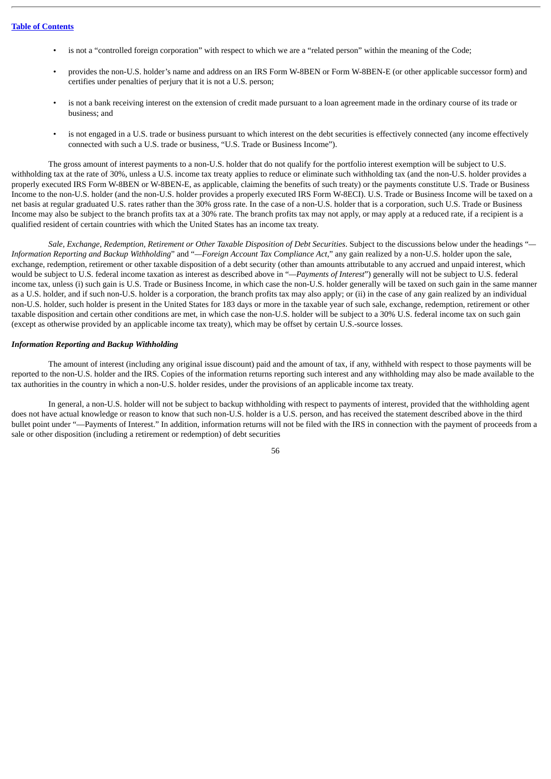- is not a "controlled foreign corporation" with respect to which we are a "related person" within the meaning of the Code;
- provides the non-U.S. holder's name and address on an IRS Form W-8BEN or Form W-8BEN-E (or other applicable successor form) and certifies under penalties of perjury that it is not a U.S. person;
- is not a bank receiving interest on the extension of credit made pursuant to a loan agreement made in the ordinary course of its trade or business; and
- is not engaged in a U.S. trade or business pursuant to which interest on the debt securities is effectively connected (any income effectively connected with such a U.S. trade or business, "U.S. Trade or Business Income").

The gross amount of interest payments to a non-U.S. holder that do not qualify for the portfolio interest exemption will be subject to U.S. withholding tax at the rate of 30%, unless a U.S. income tax treaty applies to reduce or eliminate such withholding tax (and the non-U.S. holder provides a properly executed IRS Form W-8BEN or W-8BEN-E, as applicable, claiming the benefits of such treaty) or the payments constitute U.S. Trade or Business Income to the non-U.S. holder (and the non-U.S. holder provides a properly executed IRS Form W-8ECI). U.S. Trade or Business Income will be taxed on a net basis at regular graduated U.S. rates rather than the 30% gross rate. In the case of a non-U.S. holder that is a corporation, such U.S. Trade or Business Income may also be subject to the branch profits tax at a 30% rate. The branch profits tax may not apply, or may apply at a reduced rate, if a recipient is a qualified resident of certain countries with which the United States has an income tax treaty.

Sale, Exchange, Redemption, Retirement or Other Taxable Disposition of Debt Securities. Subject to the discussions below under the headings "-*Information Reporting and Backup Withholding*" and "*—Foreign Account Tax Compliance Act*," any gain realized by a non-U.S. holder upon the sale, exchange, redemption, retirement or other taxable disposition of a debt security (other than amounts attributable to any accrued and unpaid interest, which would be subject to U.S. federal income taxation as interest as described above in "*—Payments of Interest*") generally will not be subject to U.S. federal income tax, unless (i) such gain is U.S. Trade or Business Income, in which case the non-U.S. holder generally will be taxed on such gain in the same manner as a U.S. holder, and if such non-U.S. holder is a corporation, the branch profits tax may also apply; or (ii) in the case of any gain realized by an individual non-U.S. holder, such holder is present in the United States for 183 days or more in the taxable year of such sale, exchange, redemption, retirement or other taxable disposition and certain other conditions are met, in which case the non-U.S. holder will be subject to a 30% U.S. federal income tax on such gain (except as otherwise provided by an applicable income tax treaty), which may be offset by certain U.S.-source losses.

## *Information Reporting and Backup Withholding*

The amount of interest (including any original issue discount) paid and the amount of tax, if any, withheld with respect to those payments will be reported to the non-U.S. holder and the IRS. Copies of the information returns reporting such interest and any withholding may also be made available to the tax authorities in the country in which a non-U.S. holder resides, under the provisions of an applicable income tax treaty.

In general, a non-U.S. holder will not be subject to backup withholding with respect to payments of interest, provided that the withholding agent does not have actual knowledge or reason to know that such non-U.S. holder is a U.S. person, and has received the statement described above in the third bullet point under "—Payments of Interest." In addition, information returns will not be filed with the IRS in connection with the payment of proceeds from a sale or other disposition (including a retirement or redemption) of debt securities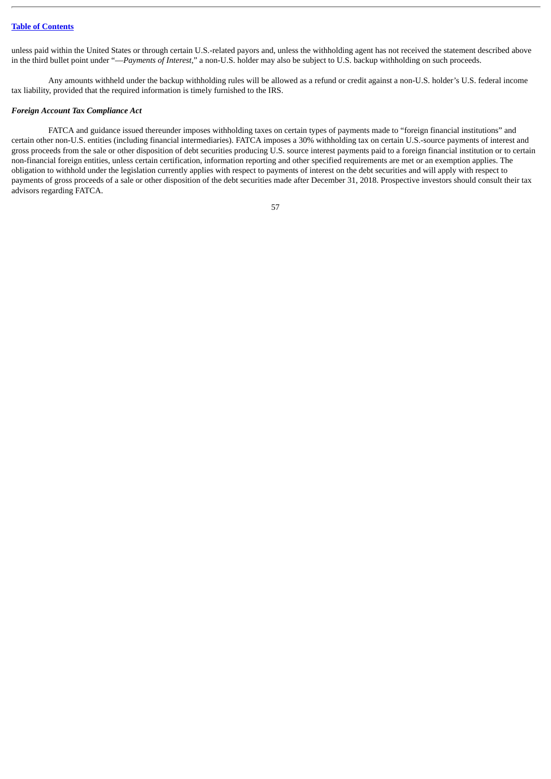unless paid within the United States or through certain U.S.-related payors and, unless the withholding agent has not received the statement described above in the third bullet point under "—*Payments of Interest*," a non-U.S. holder may also be subject to U.S. backup withholding on such proceeds.

Any amounts withheld under the backup withholding rules will be allowed as a refund or credit against a non-U.S. holder's U.S. federal income tax liability, provided that the required information is timely furnished to the IRS.

#### *Foreign Account Tax Compliance Act*

FATCA and guidance issued thereunder imposes withholding taxes on certain types of payments made to "foreign financial institutions" and certain other non-U.S. entities (including financial intermediaries). FATCA imposes a 30% withholding tax on certain U.S.-source payments of interest and gross proceeds from the sale or other disposition of debt securities producing U.S. source interest payments paid to a foreign financial institution or to certain non-financial foreign entities, unless certain certification, information reporting and other specified requirements are met or an exemption applies. The obligation to withhold under the legislation currently applies with respect to payments of interest on the debt securities and will apply with respect to payments of gross proceeds of a sale or other disposition of the debt securities made after December 31, 2018. Prospective investors should consult their tax advisors regarding FATCA.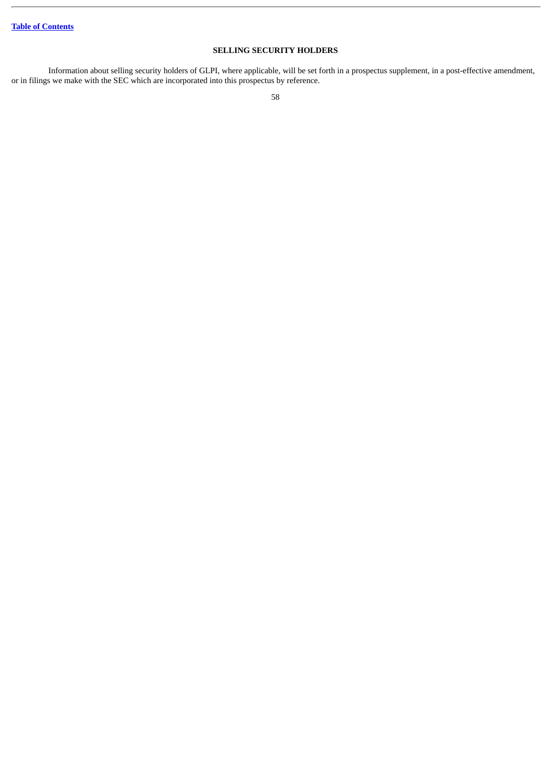# **SELLING SECURITY HOLDERS**

Information about selling security holders of GLPI, where applicable, will be set forth in a prospectus supplement, in a post-effective amendment, or in filings we make with the SEC which are incorporated into this prospectus by reference.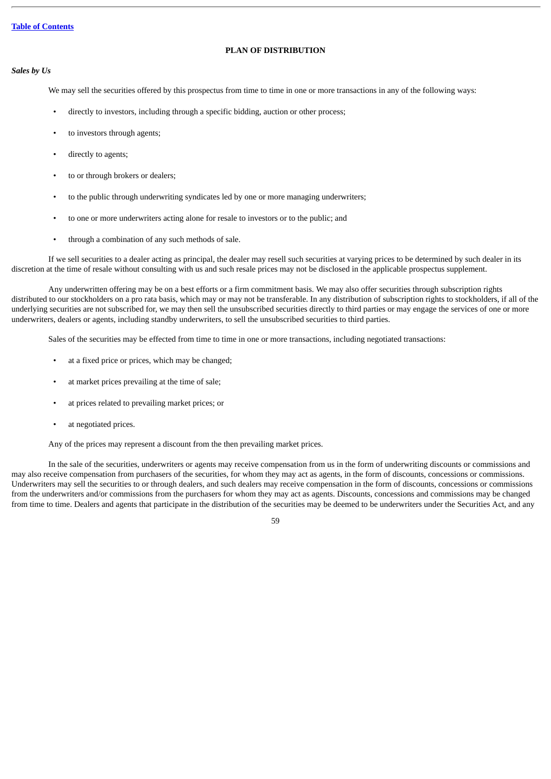# **PLAN OF DISTRIBUTION**

### *Sales by Us*

We may sell the securities offered by this prospectus from time to time in one or more transactions in any of the following ways:

- directly to investors, including through a specific bidding, auction or other process;
- to investors through agents;
- directly to agents;
- to or through brokers or dealers;
- to the public through underwriting syndicates led by one or more managing underwriters;
- to one or more underwriters acting alone for resale to investors or to the public; and
- through a combination of any such methods of sale.

If we sell securities to a dealer acting as principal, the dealer may resell such securities at varying prices to be determined by such dealer in its discretion at the time of resale without consulting with us and such resale prices may not be disclosed in the applicable prospectus supplement.

Any underwritten offering may be on a best efforts or a firm commitment basis. We may also offer securities through subscription rights distributed to our stockholders on a pro rata basis, which may or may not be transferable. In any distribution of subscription rights to stockholders, if all of the underlying securities are not subscribed for, we may then sell the unsubscribed securities directly to third parties or may engage the services of one or more underwriters, dealers or agents, including standby underwriters, to sell the unsubscribed securities to third parties.

Sales of the securities may be effected from time to time in one or more transactions, including negotiated transactions:

- at a fixed price or prices, which may be changed;
- at market prices prevailing at the time of sale;
- at prices related to prevailing market prices; or
- at negotiated prices.

Any of the prices may represent a discount from the then prevailing market prices.

In the sale of the securities, underwriters or agents may receive compensation from us in the form of underwriting discounts or commissions and may also receive compensation from purchasers of the securities, for whom they may act as agents, in the form of discounts, concessions or commissions. Underwriters may sell the securities to or through dealers, and such dealers may receive compensation in the form of discounts, concessions or commissions from the underwriters and/or commissions from the purchasers for whom they may act as agents. Discounts, concessions and commissions may be changed from time to time. Dealers and agents that participate in the distribution of the securities may be deemed to be underwriters under the Securities Act, and any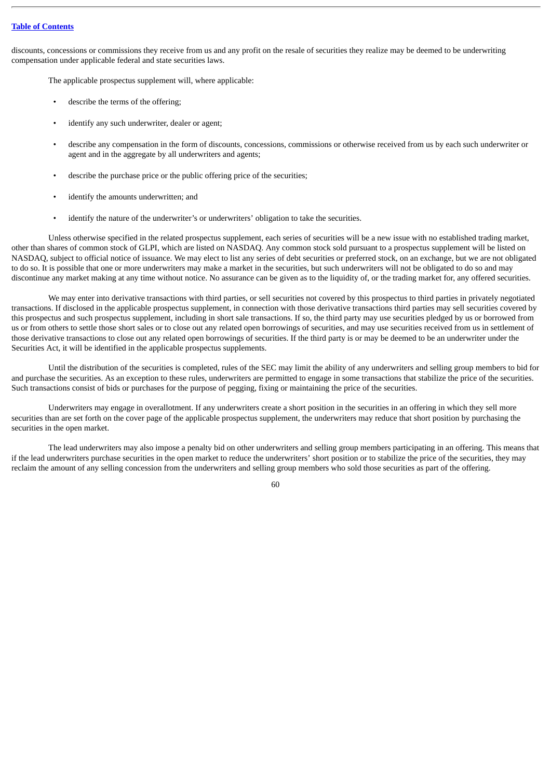discounts, concessions or commissions they receive from us and any profit on the resale of securities they realize may be deemed to be underwriting compensation under applicable federal and state securities laws.

The applicable prospectus supplement will, where applicable:

- describe the terms of the offering;
- identify any such underwriter, dealer or agent;
- describe any compensation in the form of discounts, concessions, commissions or otherwise received from us by each such underwriter or agent and in the aggregate by all underwriters and agents;
- describe the purchase price or the public offering price of the securities;
- identify the amounts underwritten; and
- identify the nature of the underwriter's or underwriters' obligation to take the securities.

Unless otherwise specified in the related prospectus supplement, each series of securities will be a new issue with no established trading market, other than shares of common stock of GLPI, which are listed on NASDAQ. Any common stock sold pursuant to a prospectus supplement will be listed on NASDAQ, subject to official notice of issuance. We may elect to list any series of debt securities or preferred stock, on an exchange, but we are not obligated to do so. It is possible that one or more underwriters may make a market in the securities, but such underwriters will not be obligated to do so and may discontinue any market making at any time without notice. No assurance can be given as to the liquidity of, or the trading market for, any offered securities.

We may enter into derivative transactions with third parties, or sell securities not covered by this prospectus to third parties in privately negotiated transactions. If disclosed in the applicable prospectus supplement, in connection with those derivative transactions third parties may sell securities covered by this prospectus and such prospectus supplement, including in short sale transactions. If so, the third party may use securities pledged by us or borrowed from us or from others to settle those short sales or to close out any related open borrowings of securities, and may use securities received from us in settlement of those derivative transactions to close out any related open borrowings of securities. If the third party is or may be deemed to be an underwriter under the Securities Act, it will be identified in the applicable prospectus supplements.

Until the distribution of the securities is completed, rules of the SEC may limit the ability of any underwriters and selling group members to bid for and purchase the securities. As an exception to these rules, underwriters are permitted to engage in some transactions that stabilize the price of the securities. Such transactions consist of bids or purchases for the purpose of pegging, fixing or maintaining the price of the securities.

Underwriters may engage in overallotment. If any underwriters create a short position in the securities in an offering in which they sell more securities than are set forth on the cover page of the applicable prospectus supplement, the underwriters may reduce that short position by purchasing the securities in the open market.

The lead underwriters may also impose a penalty bid on other underwriters and selling group members participating in an offering. This means that if the lead underwriters purchase securities in the open market to reduce the underwriters' short position or to stabilize the price of the securities, they may reclaim the amount of any selling concession from the underwriters and selling group members who sold those securities as part of the offering.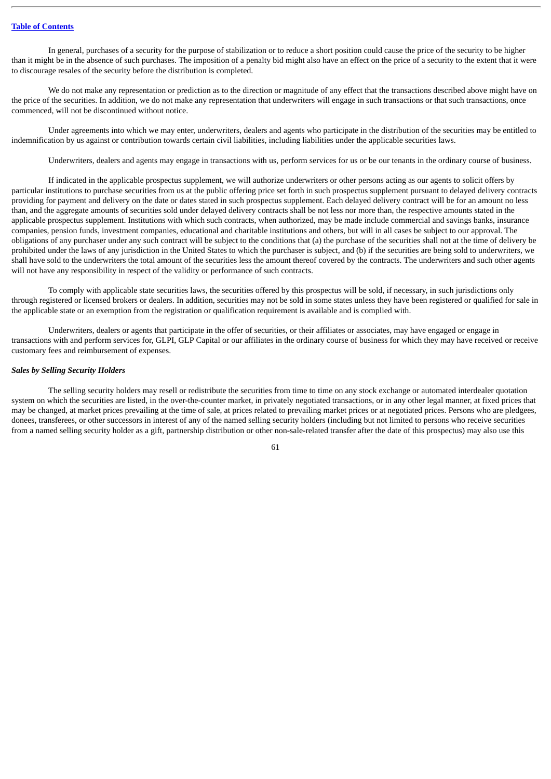In general, purchases of a security for the purpose of stabilization or to reduce a short position could cause the price of the security to be higher than it might be in the absence of such purchases. The imposition of a penalty bid might also have an effect on the price of a security to the extent that it were to discourage resales of the security before the distribution is completed.

We do not make any representation or prediction as to the direction or magnitude of any effect that the transactions described above might have on the price of the securities. In addition, we do not make any representation that underwriters will engage in such transactions or that such transactions, once commenced, will not be discontinued without notice.

Under agreements into which we may enter, underwriters, dealers and agents who participate in the distribution of the securities may be entitled to indemnification by us against or contribution towards certain civil liabilities, including liabilities under the applicable securities laws.

Underwriters, dealers and agents may engage in transactions with us, perform services for us or be our tenants in the ordinary course of business.

If indicated in the applicable prospectus supplement, we will authorize underwriters or other persons acting as our agents to solicit offers by particular institutions to purchase securities from us at the public offering price set forth in such prospectus supplement pursuant to delayed delivery contracts providing for payment and delivery on the date or dates stated in such prospectus supplement. Each delayed delivery contract will be for an amount no less than, and the aggregate amounts of securities sold under delayed delivery contracts shall be not less nor more than, the respective amounts stated in the applicable prospectus supplement. Institutions with which such contracts, when authorized, may be made include commercial and savings banks, insurance companies, pension funds, investment companies, educational and charitable institutions and others, but will in all cases be subject to our approval. The obligations of any purchaser under any such contract will be subject to the conditions that (a) the purchase of the securities shall not at the time of delivery be prohibited under the laws of any jurisdiction in the United States to which the purchaser is subject, and (b) if the securities are being sold to underwriters, we shall have sold to the underwriters the total amount of the securities less the amount thereof covered by the contracts. The underwriters and such other agents will not have any responsibility in respect of the validity or performance of such contracts.

To comply with applicable state securities laws, the securities offered by this prospectus will be sold, if necessary, in such jurisdictions only through registered or licensed brokers or dealers. In addition, securities may not be sold in some states unless they have been registered or qualified for sale in the applicable state or an exemption from the registration or qualification requirement is available and is complied with.

Underwriters, dealers or agents that participate in the offer of securities, or their affiliates or associates, may have engaged or engage in transactions with and perform services for, GLPI, GLP Capital or our affiliates in the ordinary course of business for which they may have received or receive customary fees and reimbursement of expenses.

### *Sales by Selling Security Holders*

The selling security holders may resell or redistribute the securities from time to time on any stock exchange or automated interdealer quotation system on which the securities are listed, in the over-the-counter market, in privately negotiated transactions, or in any other legal manner, at fixed prices that may be changed, at market prices prevailing at the time of sale, at prices related to prevailing market prices or at negotiated prices. Persons who are pledgees, donees, transferees, or other successors in interest of any of the named selling security holders (including but not limited to persons who receive securities from a named selling security holder as a gift, partnership distribution or other non-sale-related transfer after the date of this prospectus) may also use this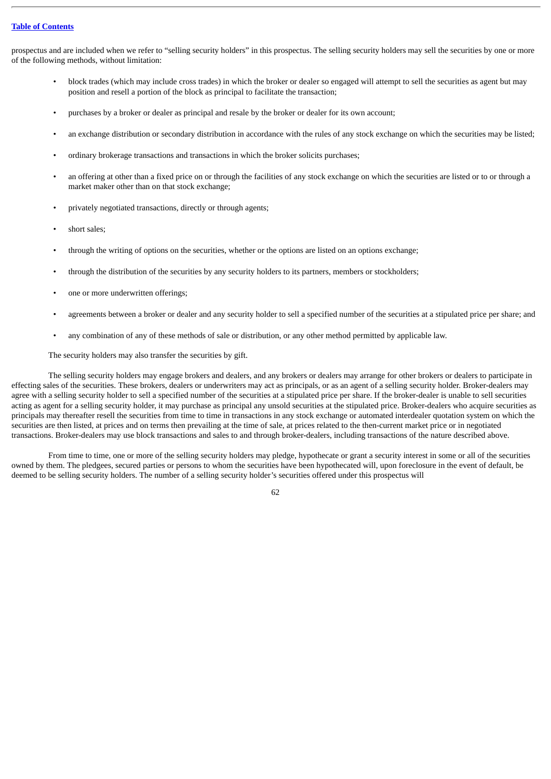prospectus and are included when we refer to "selling security holders" in this prospectus. The selling security holders may sell the securities by one or more of the following methods, without limitation:

- block trades (which may include cross trades) in which the broker or dealer so engaged will attempt to sell the securities as agent but may position and resell a portion of the block as principal to facilitate the transaction;
- purchases by a broker or dealer as principal and resale by the broker or dealer for its own account;
- an exchange distribution or secondary distribution in accordance with the rules of any stock exchange on which the securities may be listed;
- ordinary brokerage transactions and transactions in which the broker solicits purchases;
- an offering at other than a fixed price on or through the facilities of any stock exchange on which the securities are listed or to or through a market maker other than on that stock exchange;
- privately negotiated transactions, directly or through agents;
- short sales;
- through the writing of options on the securities, whether or the options are listed on an options exchange;
- through the distribution of the securities by any security holders to its partners, members or stockholders;
- one or more underwritten offerings;
- agreements between a broker or dealer and any security holder to sell a specified number of the securities at a stipulated price per share; and
- any combination of any of these methods of sale or distribution, or any other method permitted by applicable law.

The security holders may also transfer the securities by gift.

The selling security holders may engage brokers and dealers, and any brokers or dealers may arrange for other brokers or dealers to participate in effecting sales of the securities. These brokers, dealers or underwriters may act as principals, or as an agent of a selling security holder. Broker-dealers may agree with a selling security holder to sell a specified number of the securities at a stipulated price per share. If the broker-dealer is unable to sell securities acting as agent for a selling security holder, it may purchase as principal any unsold securities at the stipulated price. Broker-dealers who acquire securities as principals may thereafter resell the securities from time to time in transactions in any stock exchange or automated interdealer quotation system on which the securities are then listed, at prices and on terms then prevailing at the time of sale, at prices related to the then-current market price or in negotiated transactions. Broker-dealers may use block transactions and sales to and through broker-dealers, including transactions of the nature described above.

From time to time, one or more of the selling security holders may pledge, hypothecate or grant a security interest in some or all of the securities owned by them. The pledgees, secured parties or persons to whom the securities have been hypothecated will, upon foreclosure in the event of default, be deemed to be selling security holders. The number of a selling security holder's securities offered under this prospectus will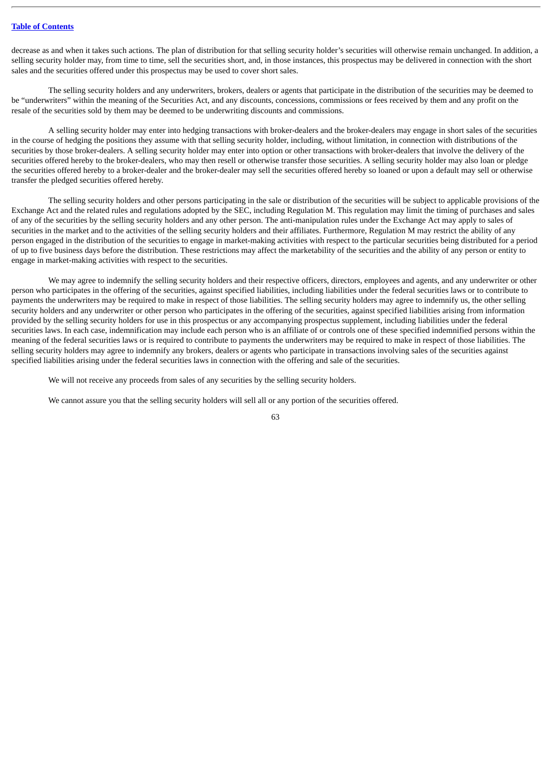decrease as and when it takes such actions. The plan of distribution for that selling security holder's securities will otherwise remain unchanged. In addition, a selling security holder may, from time to time, sell the securities short, and, in those instances, this prospectus may be delivered in connection with the short sales and the securities offered under this prospectus may be used to cover short sales.

The selling security holders and any underwriters, brokers, dealers or agents that participate in the distribution of the securities may be deemed to be "underwriters" within the meaning of the Securities Act, and any discounts, concessions, commissions or fees received by them and any profit on the resale of the securities sold by them may be deemed to be underwriting discounts and commissions.

A selling security holder may enter into hedging transactions with broker-dealers and the broker-dealers may engage in short sales of the securities in the course of hedging the positions they assume with that selling security holder, including, without limitation, in connection with distributions of the securities by those broker-dealers. A selling security holder may enter into option or other transactions with broker-dealers that involve the delivery of the securities offered hereby to the broker-dealers, who may then resell or otherwise transfer those securities. A selling security holder may also loan or pledge the securities offered hereby to a broker-dealer and the broker-dealer may sell the securities offered hereby so loaned or upon a default may sell or otherwise transfer the pledged securities offered hereby.

The selling security holders and other persons participating in the sale or distribution of the securities will be subject to applicable provisions of the Exchange Act and the related rules and regulations adopted by the SEC, including Regulation M. This regulation may limit the timing of purchases and sales of any of the securities by the selling security holders and any other person. The anti-manipulation rules under the Exchange Act may apply to sales of securities in the market and to the activities of the selling security holders and their affiliates. Furthermore, Regulation M may restrict the ability of any person engaged in the distribution of the securities to engage in market-making activities with respect to the particular securities being distributed for a period of up to five business days before the distribution. These restrictions may affect the marketability of the securities and the ability of any person or entity to engage in market-making activities with respect to the securities.

We may agree to indemnify the selling security holders and their respective officers, directors, employees and agents, and any underwriter or other person who participates in the offering of the securities, against specified liabilities, including liabilities under the federal securities laws or to contribute to payments the underwriters may be required to make in respect of those liabilities. The selling security holders may agree to indemnify us, the other selling security holders and any underwriter or other person who participates in the offering of the securities, against specified liabilities arising from information provided by the selling security holders for use in this prospectus or any accompanying prospectus supplement, including liabilities under the federal securities laws. In each case, indemnification may include each person who is an affiliate of or controls one of these specified indemnified persons within the meaning of the federal securities laws or is required to contribute to payments the underwriters may be required to make in respect of those liabilities. The selling security holders may agree to indemnify any brokers, dealers or agents who participate in transactions involving sales of the securities against specified liabilities arising under the federal securities laws in connection with the offering and sale of the securities.

We will not receive any proceeds from sales of any securities by the selling security holders.

We cannot assure you that the selling security holders will sell all or any portion of the securities offered.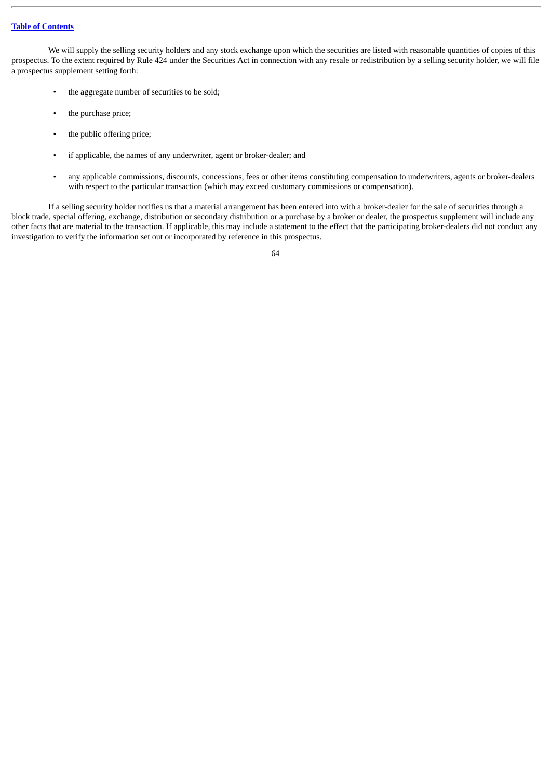We will supply the selling security holders and any stock exchange upon which the securities are listed with reasonable quantities of copies of this prospectus. To the extent required by Rule 424 under the Securities Act in connection with any resale or redistribution by a selling security holder, we will file a prospectus supplement setting forth:

- the aggregate number of securities to be sold;
- the purchase price;
- the public offering price;
- if applicable, the names of any underwriter, agent or broker-dealer; and
- any applicable commissions, discounts, concessions, fees or other items constituting compensation to underwriters, agents or broker-dealers with respect to the particular transaction (which may exceed customary commissions or compensation).

If a selling security holder notifies us that a material arrangement has been entered into with a broker-dealer for the sale of securities through a block trade, special offering, exchange, distribution or secondary distribution or a purchase by a broker or dealer, the prospectus supplement will include any other facts that are material to the transaction. If applicable, this may include a statement to the effect that the participating broker-dealers did not conduct any investigation to verify the information set out or incorporated by reference in this prospectus.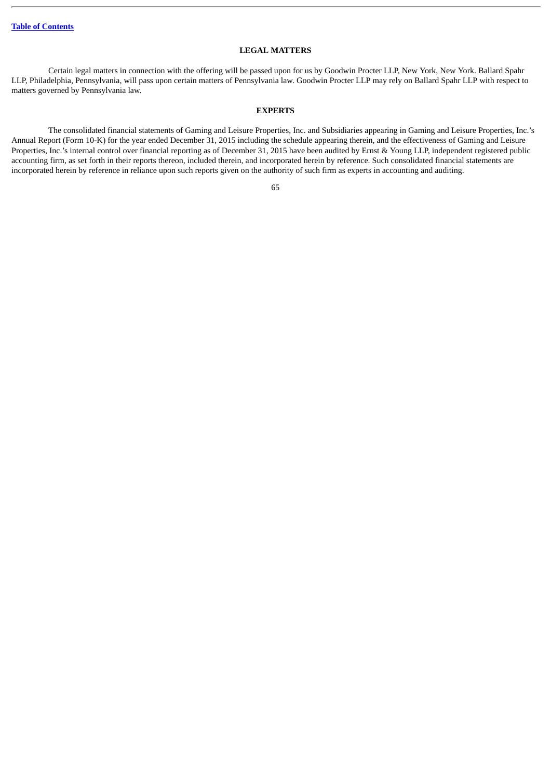# **LEGAL MATTERS**

Certain legal matters in connection with the offering will be passed upon for us by Goodwin Procter LLP, New York, New York. Ballard Spahr LLP, Philadelphia, Pennsylvania, will pass upon certain matters of Pennsylvania law. Goodwin Procter LLP may rely on Ballard Spahr LLP with respect to matters governed by Pennsylvania law.

# **EXPERTS**

The consolidated financial statements of Gaming and Leisure Properties, Inc. and Subsidiaries appearing in Gaming and Leisure Properties, Inc.'s Annual Report (Form 10-K) for the year ended December 31, 2015 including the schedule appearing therein, and the effectiveness of Gaming and Leisure Properties, Inc.'s internal control over financial reporting as of December 31, 2015 have been audited by Ernst & Young LLP, independent registered public accounting firm, as set forth in their reports thereon, included therein, and incorporated herein by reference. Such consolidated financial statements are incorporated herein by reference in reliance upon such reports given on the authority of such firm as experts in accounting and auditing.